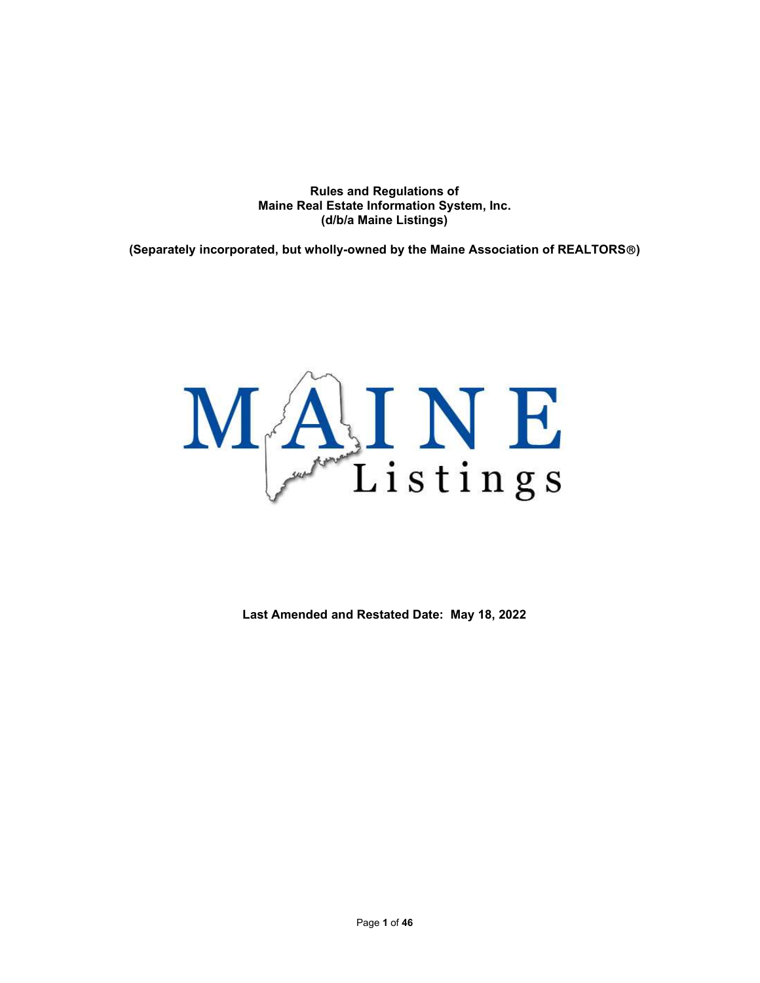Rules and Regulations of Maine Real Estate Information System, Inc. (d/b/a Maine Listings)

(Separately incorporated, but wholly-owned by the Maine Association of REALTORS®)



Last Amended and Restated Date: May 18, 2022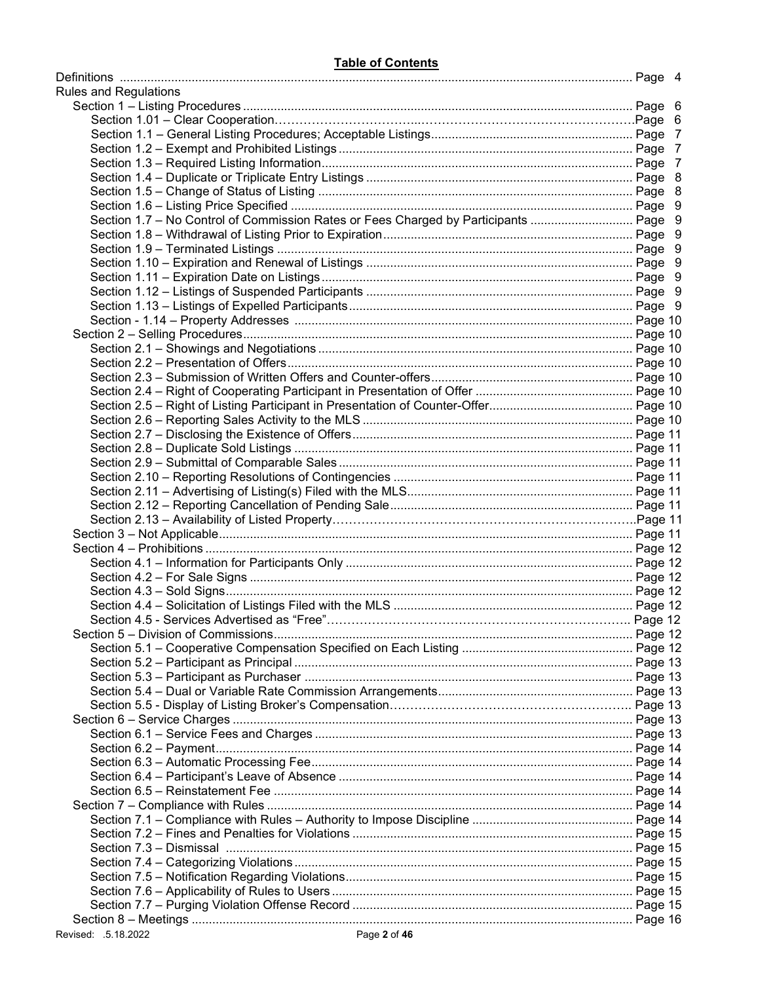| <b>Rules and Regulations</b>                                                         |  |
|--------------------------------------------------------------------------------------|--|
|                                                                                      |  |
|                                                                                      |  |
|                                                                                      |  |
|                                                                                      |  |
|                                                                                      |  |
|                                                                                      |  |
|                                                                                      |  |
|                                                                                      |  |
| Section 1.7 - No Control of Commission Rates or Fees Charged by Participants  Page 9 |  |
|                                                                                      |  |
|                                                                                      |  |
|                                                                                      |  |
|                                                                                      |  |
|                                                                                      |  |
|                                                                                      |  |
|                                                                                      |  |
|                                                                                      |  |
|                                                                                      |  |
|                                                                                      |  |
|                                                                                      |  |
|                                                                                      |  |
|                                                                                      |  |
|                                                                                      |  |
|                                                                                      |  |
|                                                                                      |  |
|                                                                                      |  |
|                                                                                      |  |
|                                                                                      |  |
|                                                                                      |  |
|                                                                                      |  |
|                                                                                      |  |
|                                                                                      |  |
|                                                                                      |  |
|                                                                                      |  |
|                                                                                      |  |
|                                                                                      |  |
|                                                                                      |  |
|                                                                                      |  |
|                                                                                      |  |
|                                                                                      |  |
|                                                                                      |  |
|                                                                                      |  |
|                                                                                      |  |
|                                                                                      |  |
|                                                                                      |  |
|                                                                                      |  |
|                                                                                      |  |
|                                                                                      |  |
|                                                                                      |  |
|                                                                                      |  |
|                                                                                      |  |
|                                                                                      |  |
|                                                                                      |  |
|                                                                                      |  |
|                                                                                      |  |
|                                                                                      |  |
|                                                                                      |  |
|                                                                                      |  |
|                                                                                      |  |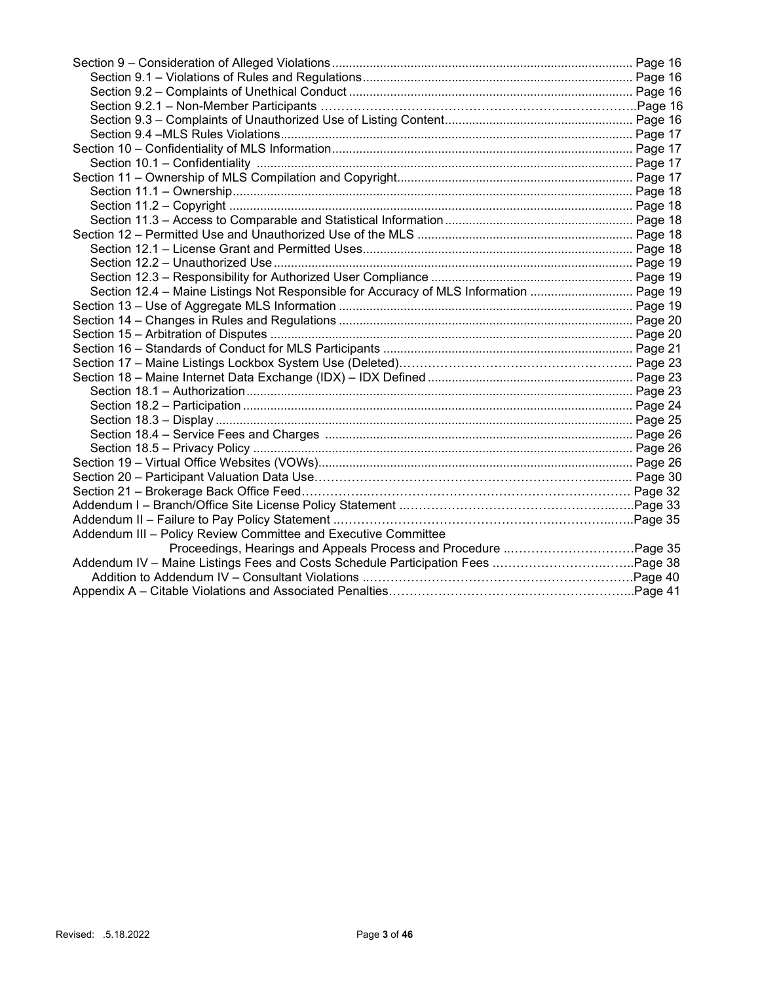| Section 12.4 - Maine Listings Not Responsible for Accuracy of MLS Information  Page 19 |  |
|----------------------------------------------------------------------------------------|--|
|                                                                                        |  |
|                                                                                        |  |
|                                                                                        |  |
|                                                                                        |  |
|                                                                                        |  |
|                                                                                        |  |
|                                                                                        |  |
|                                                                                        |  |
|                                                                                        |  |
|                                                                                        |  |
|                                                                                        |  |
|                                                                                        |  |
|                                                                                        |  |
|                                                                                        |  |
|                                                                                        |  |
|                                                                                        |  |
| Addendum III - Policy Review Committee and Executive Committee                         |  |
|                                                                                        |  |
|                                                                                        |  |
|                                                                                        |  |
|                                                                                        |  |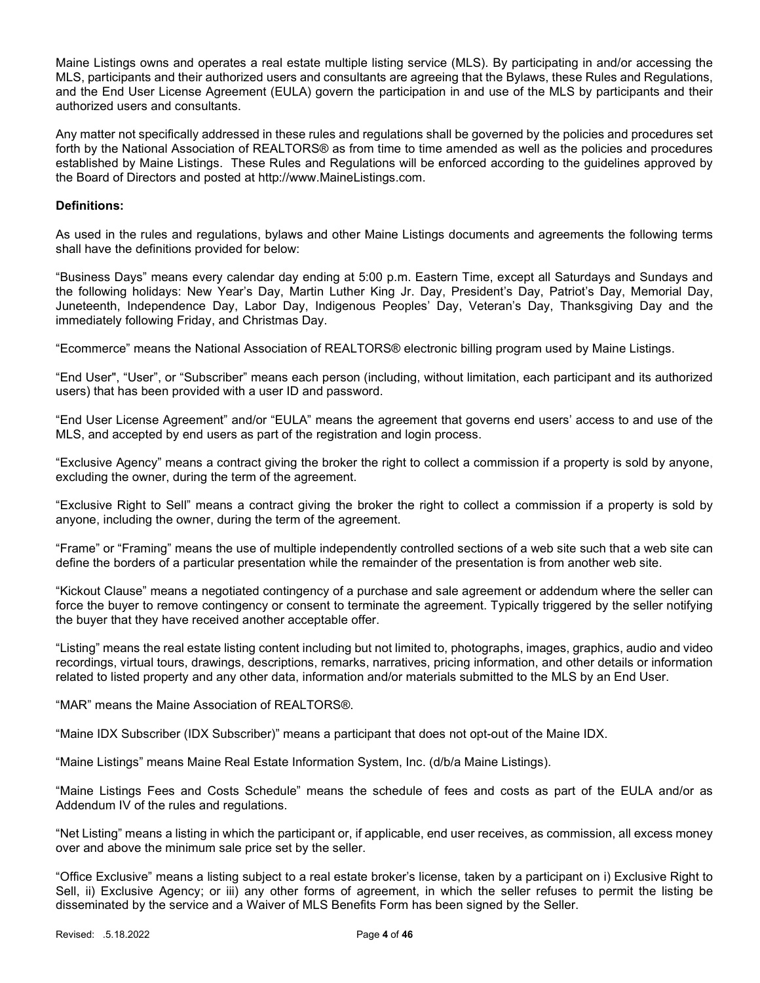Maine Listings owns and operates a real estate multiple listing service (MLS). By participating in and/or accessing the MLS, participants and their authorized users and consultants are agreeing that the Bylaws, these Rules and Regulations, and the End User License Agreement (EULA) govern the participation in and use of the MLS by participants and their authorized users and consultants.

Any matter not specifically addressed in these rules and regulations shall be governed by the policies and procedures set forth by the National Association of REALTORS® as from time to time amended as well as the policies and procedures established by Maine Listings. These Rules and Regulations will be enforced according to the guidelines approved by the Board of Directors and posted at http://www.MaineListings.com.

#### Definitions:

As used in the rules and regulations, bylaws and other Maine Listings documents and agreements the following terms shall have the definitions provided for below:

"Business Days" means every calendar day ending at 5:00 p.m. Eastern Time, except all Saturdays and Sundays and the following holidays: New Year's Day, Martin Luther King Jr. Day, President's Day, Patriot's Day, Memorial Day, Juneteenth, Independence Day, Labor Day, Indigenous Peoples' Day, Veteran's Day, Thanksgiving Day and the immediately following Friday, and Christmas Day.

"Ecommerce" means the National Association of REALTORS® electronic billing program used by Maine Listings.

"End User", "User", or "Subscriber" means each person (including, without limitation, each participant and its authorized users) that has been provided with a user ID and password.

"End User License Agreement" and/or "EULA" means the agreement that governs end users' access to and use of the MLS, and accepted by end users as part of the registration and login process.

"Exclusive Agency" means a contract giving the broker the right to collect a commission if a property is sold by anyone, excluding the owner, during the term of the agreement.

"Exclusive Right to Sell" means a contract giving the broker the right to collect a commission if a property is sold by anyone, including the owner, during the term of the agreement.

"Frame" or "Framing" means the use of multiple independently controlled sections of a web site such that a web site can define the borders of a particular presentation while the remainder of the presentation is from another web site.

"Kickout Clause" means a negotiated contingency of a purchase and sale agreement or addendum where the seller can force the buyer to remove contingency or consent to terminate the agreement. Typically triggered by the seller notifying the buyer that they have received another acceptable offer.

"Listing" means the real estate listing content including but not limited to, photographs, images, graphics, audio and video recordings, virtual tours, drawings, descriptions, remarks, narratives, pricing information, and other details or information related to listed property and any other data, information and/or materials submitted to the MLS by an End User.

#### "MAR" means the Maine Association of REALTORS®.

"Maine IDX Subscriber (IDX Subscriber)" means a participant that does not opt-out of the Maine IDX.

"Maine Listings" means Maine Real Estate Information System, Inc. (d/b/a Maine Listings).

"Maine Listings Fees and Costs Schedule" means the schedule of fees and costs as part of the EULA and/or as Addendum IV of the rules and regulations.

"Net Listing" means a listing in which the participant or, if applicable, end user receives, as commission, all excess money over and above the minimum sale price set by the seller.

"Office Exclusive" means a listing subject to a real estate broker's license, taken by a participant on i) Exclusive Right to Sell, ii) Exclusive Agency; or iii) any other forms of agreement, in which the seller refuses to permit the listing be disseminated by the service and a Waiver of MLS Benefits Form has been signed by the Seller.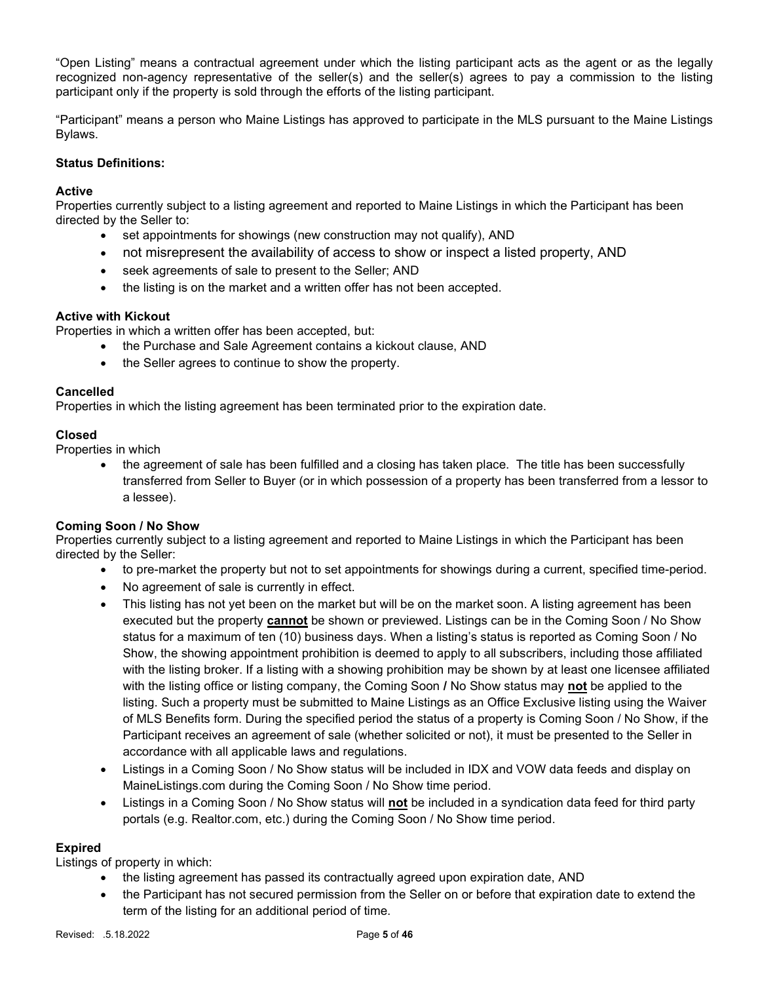"Open Listing" means a contractual agreement under which the listing participant acts as the agent or as the legally recognized non-agency representative of the seller(s) and the seller(s) agrees to pay a commission to the listing participant only if the property is sold through the efforts of the listing participant.

"Participant" means a person who Maine Listings has approved to participate in the MLS pursuant to the Maine Listings Bylaws.

## Status Definitions:

## **Active**

Properties currently subject to a listing agreement and reported to Maine Listings in which the Participant has been directed by the Seller to:

- set appointments for showings (new construction may not qualify), AND
- not misrepresent the availability of access to show or inspect a listed property, AND
- seek agreements of sale to present to the Seller; AND
- the listing is on the market and a written offer has not been accepted.

## Active with Kickout

Properties in which a written offer has been accepted, but:

- the Purchase and Sale Agreement contains a kickout clause, AND
- the Seller agrees to continue to show the property.

## Cancelled

Properties in which the listing agreement has been terminated prior to the expiration date.

## Closed

Properties in which

 the agreement of sale has been fulfilled and a closing has taken place. The title has been successfully transferred from Seller to Buyer (or in which possession of a property has been transferred from a lessor to a lessee).

## Coming Soon / No Show

Properties currently subject to a listing agreement and reported to Maine Listings in which the Participant has been directed by the Seller:

- to pre-market the property but not to set appointments for showings during a current, specified time-period.
- No agreement of sale is currently in effect.
- This listing has not yet been on the market but will be on the market soon. A listing agreement has been executed but the property **cannot** be shown or previewed. Listings can be in the Coming Soon / No Show status for a maximum of ten (10) business days. When a listing's status is reported as Coming Soon / No Show, the showing appointment prohibition is deemed to apply to all subscribers, including those affiliated with the listing broker. If a listing with a showing prohibition may be shown by at least one licensee affiliated with the listing office or listing company, the Coming Soon / No Show status may not be applied to the listing. Such a property must be submitted to Maine Listings as an Office Exclusive listing using the Waiver of MLS Benefits form. During the specified period the status of a property is Coming Soon / No Show, if the Participant receives an agreement of sale (whether solicited or not), it must be presented to the Seller in accordance with all applicable laws and regulations.
- Listings in a Coming Soon / No Show status will be included in IDX and VOW data feeds and display on MaineListings.com during the Coming Soon / No Show time period.
- Listings in a Coming Soon / No Show status will not be included in a syndication data feed for third party portals (e.g. Realtor.com, etc.) during the Coming Soon / No Show time period.

## Expired

Listings of property in which:

- the listing agreement has passed its contractually agreed upon expiration date, AND
- the Participant has not secured permission from the Seller on or before that expiration date to extend the term of the listing for an additional period of time.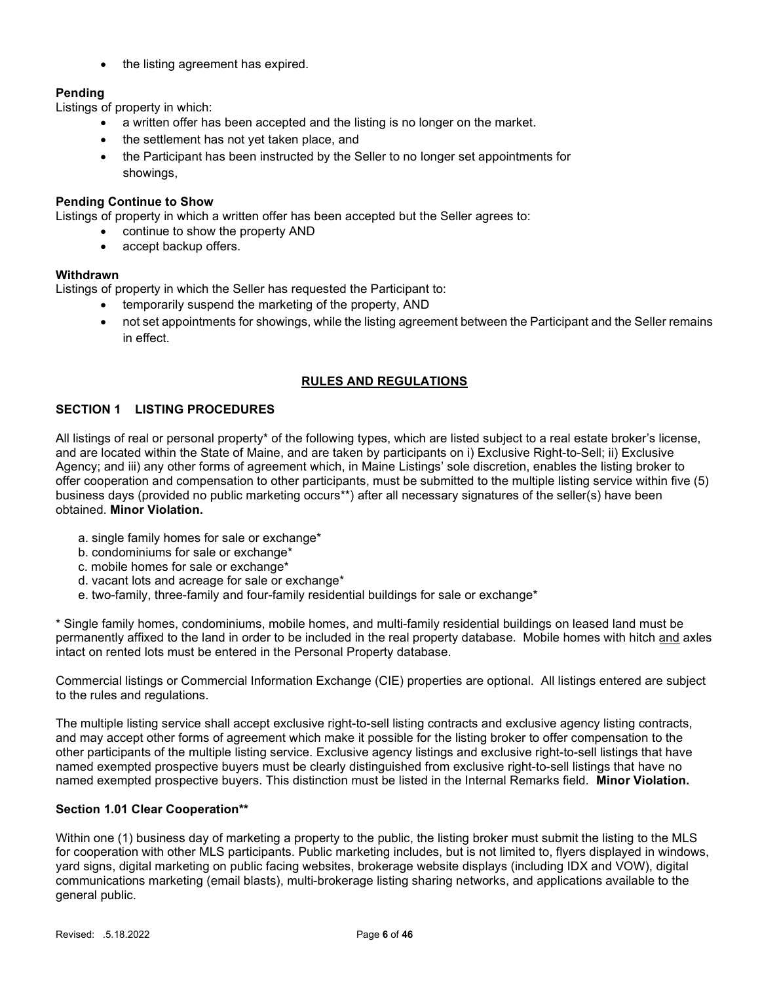the listing agreement has expired.

# Pending

Listings of property in which:

- a written offer has been accepted and the listing is no longer on the market.
- the settlement has not yet taken place, and
- the Participant has been instructed by the Seller to no longer set appointments for showings,

## Pending Continue to Show

Listings of property in which a written offer has been accepted but the Seller agrees to:

- continue to show the property AND
- accept backup offers.

## **Withdrawn**

Listings of property in which the Seller has requested the Participant to:

- temporarily suspend the marketing of the property, AND
- not set appointments for showings, while the listing agreement between the Participant and the Seller remains in effect.

## RULES AND REGULATIONS

## SECTION 1 LISTING PROCEDURES

All listings of real or personal property\* of the following types, which are listed subject to a real estate broker's license, and are located within the State of Maine, and are taken by participants on i) Exclusive Right-to-Sell; ii) Exclusive Agency; and iii) any other forms of agreement which, in Maine Listings' sole discretion, enables the listing broker to offer cooperation and compensation to other participants, must be submitted to the multiple listing service within five (5) business days (provided no public marketing occurs\*\*) after all necessary signatures of the seller(s) have been obtained. Minor Violation.

- a. single family homes for sale or exchange\*
- b. condominiums for sale or exchange\*
- c. mobile homes for sale or exchange\*
- d. vacant lots and acreage for sale or exchange\*
- e. two-family, three-family and four-family residential buildings for sale or exchange\*

\* Single family homes, condominiums, mobile homes, and multi-family residential buildings on leased land must be permanently affixed to the land in order to be included in the real property database. Mobile homes with hitch and axles intact on rented lots must be entered in the Personal Property database.

Commercial listings or Commercial Information Exchange (CIE) properties are optional. All listings entered are subject to the rules and regulations.

The multiple listing service shall accept exclusive right-to-sell listing contracts and exclusive agency listing contracts, and may accept other forms of agreement which make it possible for the listing broker to offer compensation to the other participants of the multiple listing service. Exclusive agency listings and exclusive right-to-sell listings that have named exempted prospective buyers must be clearly distinguished from exclusive right-to-sell listings that have no named exempted prospective buyers. This distinction must be listed in the Internal Remarks field. Minor Violation.

## Section 1.01 Clear Cooperation\*\*

Within one (1) business day of marketing a property to the public, the listing broker must submit the listing to the MLS for cooperation with other MLS participants. Public marketing includes, but is not limited to, flyers displayed in windows, yard signs, digital marketing on public facing websites, brokerage website displays (including IDX and VOW), digital communications marketing (email blasts), multi-brokerage listing sharing networks, and applications available to the general public.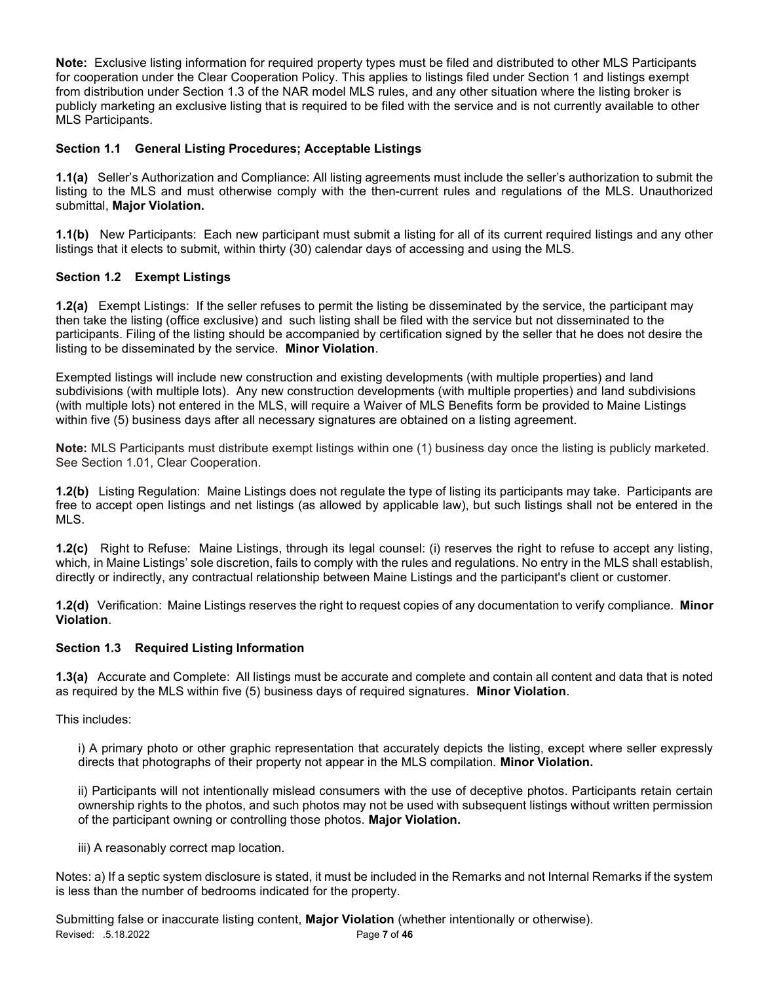Note: Exclusive listing information for required property types must be filed and distributed to other MLS Participants for cooperation under the Clear Cooperation Policy. This applies to listings filed under Section 1 and listings exempt from distribution under Section 1.3 of the NAR model MLS rules, and any other situation where the listing broker is publicly marketing an exclusive listing that is required to be filed with the service and is not currently available to other MLS Participants.

## Section 1.1 General Listing Procedures; Acceptable Listings

1.1(a) Seller's Authorization and Compliance: All listing agreements must include the seller's authorization to submit the listing to the MLS and must otherwise comply with the then-current rules and regulations of the MLS. Unauthorized submittal, Major Violation.

1.1(b) New Participants: Each new participant must submit a listing for all of its current required listings and any other listings that it elects to submit, within thirty (30) calendar days of accessing and using the MLS.

## Section 1.2 Exempt Listings

1.2(a) Exempt Listings: If the seller refuses to permit the listing be disseminated by the service, the participant may then take the listing (office exclusive) and such listing shall be filed with the service but not disseminated to the participants. Filing of the listing should be accompanied by certification signed by the seller that he does not desire the listing to be disseminated by the service. Minor Violation.

Exempted listings will include new construction and existing developments (with multiple properties) and land subdivisions (with multiple lots). Any new construction developments (with multiple properties) and land subdivisions (with multiple lots) not entered in the MLS, will require a Waiver of MLS Benefits form be provided to Maine Listings within five (5) business days after all necessary signatures are obtained on a listing agreement.

Note: MLS Participants must distribute exempt listings within one (1) business day once the listing is publicly marketed. See Section 1.01, Clear Cooperation.

1.2(b) Listing Regulation: Maine Listings does not regulate the type of listing its participants may take. Participants are free to accept open listings and net listings (as allowed by applicable law), but such listings shall not be entered in the MLS.

1.2(c) Right to Refuse: Maine Listings, through its legal counsel: (i) reserves the right to refuse to accept any listing, which, in Maine Listings' sole discretion, fails to comply with the rules and regulations. No entry in the MLS shall establish, directly or indirectly, any contractual relationship between Maine Listings and the participant's client or customer.

1.2(d) Verification: Maine Listings reserves the right to request copies of any documentation to verify compliance. Minor Violation.

## Section 1.3 Required Listing Information

1.3(a) Accurate and Complete: All listings must be accurate and complete and contain all content and data that is noted as required by the MLS within five (5) business days of required signatures. Minor Violation.

This includes:

i) A primary photo or other graphic representation that accurately depicts the listing, except where seller expressly directs that photographs of their property not appear in the MLS compilation. Minor Violation.

ii) Participants will not intentionally mislead consumers with the use of deceptive photos. Participants retain certain ownership rights to the photos, and such photos may not be used with subsequent listings without written permission of the participant owning or controlling those photos. Major Violation.

iii) A reasonably correct map location.

Notes: a) If a septic system disclosure is stated, it must be included in the Remarks and not Internal Remarks if the system is less than the number of bedrooms indicated for the property.

Revised: .5.18.2022 **Page 7 of 46** Submitting false or inaccurate listing content, **Major Violation** (whether intentionally or otherwise).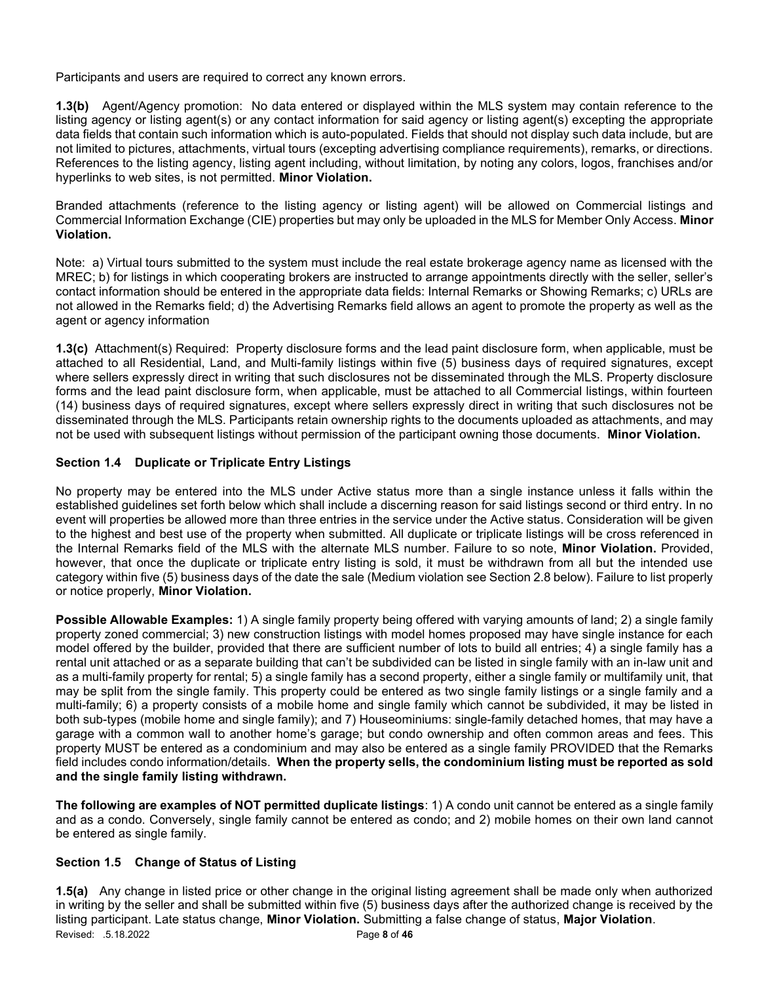Participants and users are required to correct any known errors.

1.3(b) Agent/Agency promotion: No data entered or displayed within the MLS system may contain reference to the listing agency or listing agent(s) or any contact information for said agency or listing agent(s) excepting the appropriate data fields that contain such information which is auto-populated. Fields that should not display such data include, but are not limited to pictures, attachments, virtual tours (excepting advertising compliance requirements), remarks, or directions. References to the listing agency, listing agent including, without limitation, by noting any colors, logos, franchises and/or hyperlinks to web sites, is not permitted. Minor Violation.

Branded attachments (reference to the listing agency or listing agent) will be allowed on Commercial listings and Commercial Information Exchange (CIE) properties but may only be uploaded in the MLS for Member Only Access. Minor Violation.

Note: a) Virtual tours submitted to the system must include the real estate brokerage agency name as licensed with the MREC; b) for listings in which cooperating brokers are instructed to arrange appointments directly with the seller, seller's contact information should be entered in the appropriate data fields: Internal Remarks or Showing Remarks; c) URLs are not allowed in the Remarks field; d) the Advertising Remarks field allows an agent to promote the property as well as the agent or agency information

1.3(c) Attachment(s) Required: Property disclosure forms and the lead paint disclosure form, when applicable, must be attached to all Residential, Land, and Multi-family listings within five (5) business days of required signatures, except where sellers expressly direct in writing that such disclosures not be disseminated through the MLS. Property disclosure forms and the lead paint disclosure form, when applicable, must be attached to all Commercial listings, within fourteen (14) business days of required signatures, except where sellers expressly direct in writing that such disclosures not be disseminated through the MLS. Participants retain ownership rights to the documents uploaded as attachments, and may not be used with subsequent listings without permission of the participant owning those documents. Minor Violation.

## Section 1.4 Duplicate or Triplicate Entry Listings

No property may be entered into the MLS under Active status more than a single instance unless it falls within the established guidelines set forth below which shall include a discerning reason for said listings second or third entry. In no event will properties be allowed more than three entries in the service under the Active status. Consideration will be given to the highest and best use of the property when submitted. All duplicate or triplicate listings will be cross referenced in the Internal Remarks field of the MLS with the alternate MLS number. Failure to so note, Minor Violation. Provided, however, that once the duplicate or triplicate entry listing is sold, it must be withdrawn from all but the intended use category within five (5) business days of the date the sale (Medium violation see Section 2.8 below). Failure to list properly or notice properly, Minor Violation.

Possible Allowable Examples: 1) A single family property being offered with varying amounts of land; 2) a single family property zoned commercial; 3) new construction listings with model homes proposed may have single instance for each model offered by the builder, provided that there are sufficient number of lots to build all entries; 4) a single family has a rental unit attached or as a separate building that can't be subdivided can be listed in single family with an in-law unit and as a multi-family property for rental; 5) a single family has a second property, either a single family or multifamily unit, that may be split from the single family. This property could be entered as two single family listings or a single family and a multi-family; 6) a property consists of a mobile home and single family which cannot be subdivided, it may be listed in both sub-types (mobile home and single family); and 7) Houseominiums: single-family detached homes, that may have a garage with a common wall to another home's garage; but condo ownership and often common areas and fees. This property MUST be entered as a condominium and may also be entered as a single family PROVIDED that the Remarks field includes condo information/details. When the property sells, the condominium listing must be reported as sold and the single family listing withdrawn.

The following are examples of NOT permitted duplicate listings: 1) A condo unit cannot be entered as a single family and as a condo. Conversely, single family cannot be entered as condo; and 2) mobile homes on their own land cannot be entered as single family.

## Section 1.5 Change of Status of Listing

Revised: .5.18.2022 **Page 8 of 46** 1.5(a) Any change in listed price or other change in the original listing agreement shall be made only when authorized in writing by the seller and shall be submitted within five (5) business days after the authorized change is received by the listing participant. Late status change, Minor Violation. Submitting a false change of status, Major Violation.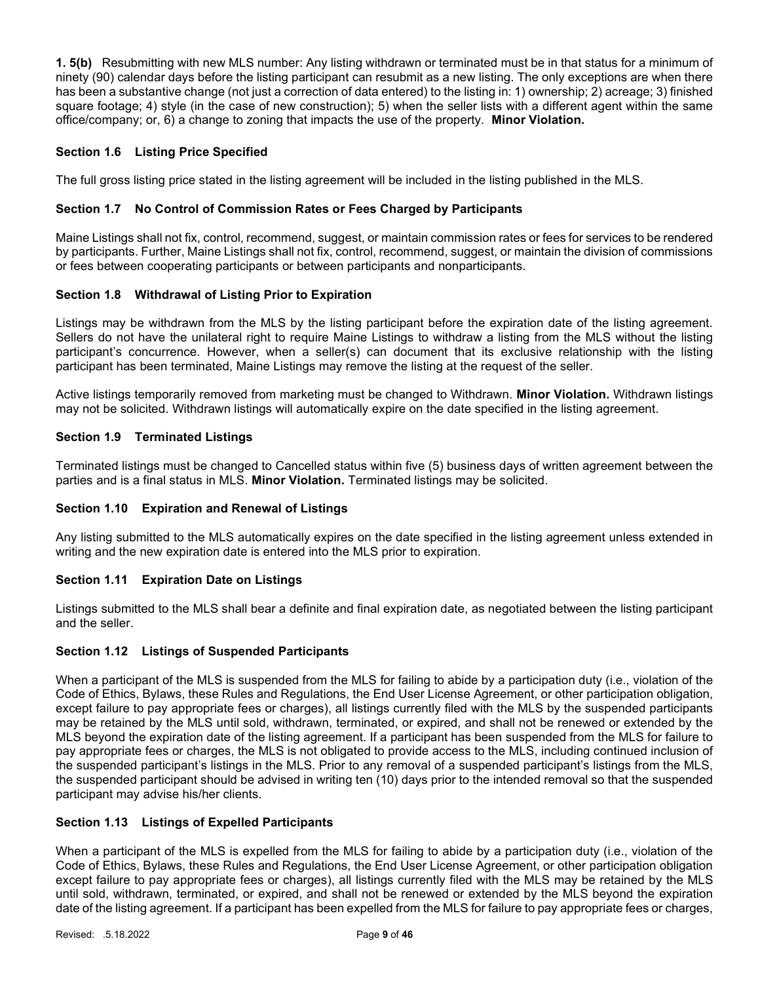1. 5(b) Resubmitting with new MLS number: Any listing withdrawn or terminated must be in that status for a minimum of ninety (90) calendar days before the listing participant can resubmit as a new listing. The only exceptions are when there has been a substantive change (not just a correction of data entered) to the listing in: 1) ownership; 2) acreage; 3) finished square footage; 4) style (in the case of new construction); 5) when the seller lists with a different agent within the same office/company; or, 6) a change to zoning that impacts the use of the property. Minor Violation.

## Section 1.6 Listing Price Specified

The full gross listing price stated in the listing agreement will be included in the listing published in the MLS.

## Section 1.7 No Control of Commission Rates or Fees Charged by Participants

Maine Listings shall not fix, control, recommend, suggest, or maintain commission rates or fees for services to be rendered by participants. Further, Maine Listings shall not fix, control, recommend, suggest, or maintain the division of commissions or fees between cooperating participants or between participants and nonparticipants.

## Section 1.8 Withdrawal of Listing Prior to Expiration

Listings may be withdrawn from the MLS by the listing participant before the expiration date of the listing agreement. Sellers do not have the unilateral right to require Maine Listings to withdraw a listing from the MLS without the listing participant's concurrence. However, when a seller(s) can document that its exclusive relationship with the listing participant has been terminated, Maine Listings may remove the listing at the request of the seller.

Active listings temporarily removed from marketing must be changed to Withdrawn. Minor Violation. Withdrawn listings may not be solicited. Withdrawn listings will automatically expire on the date specified in the listing agreement.

## Section 1.9 Terminated Listings

Terminated listings must be changed to Cancelled status within five (5) business days of written agreement between the parties and is a final status in MLS. Minor Violation. Terminated listings may be solicited.

## Section 1.10 Expiration and Renewal of Listings

Any listing submitted to the MLS automatically expires on the date specified in the listing agreement unless extended in writing and the new expiration date is entered into the MLS prior to expiration.

## Section 1.11 Expiration Date on Listings

Listings submitted to the MLS shall bear a definite and final expiration date, as negotiated between the listing participant and the seller.

## Section 1.12 Listings of Suspended Participants

When a participant of the MLS is suspended from the MLS for failing to abide by a participation duty (i.e., violation of the Code of Ethics, Bylaws, these Rules and Regulations, the End User License Agreement, or other participation obligation, except failure to pay appropriate fees or charges), all listings currently filed with the MLS by the suspended participants may be retained by the MLS until sold, withdrawn, terminated, or expired, and shall not be renewed or extended by the MLS beyond the expiration date of the listing agreement. If a participant has been suspended from the MLS for failure to pay appropriate fees or charges, the MLS is not obligated to provide access to the MLS, including continued inclusion of the suspended participant's listings in the MLS. Prior to any removal of a suspended participant's listings from the MLS, the suspended participant should be advised in writing ten (10) days prior to the intended removal so that the suspended participant may advise his/her clients.

## Section 1.13 Listings of Expelled Participants

When a participant of the MLS is expelled from the MLS for failing to abide by a participation duty (i.e., violation of the Code of Ethics, Bylaws, these Rules and Regulations, the End User License Agreement, or other participation obligation except failure to pay appropriate fees or charges), all listings currently filed with the MLS may be retained by the MLS until sold, withdrawn, terminated, or expired, and shall not be renewed or extended by the MLS beyond the expiration date of the listing agreement. If a participant has been expelled from the MLS for failure to pay appropriate fees or charges,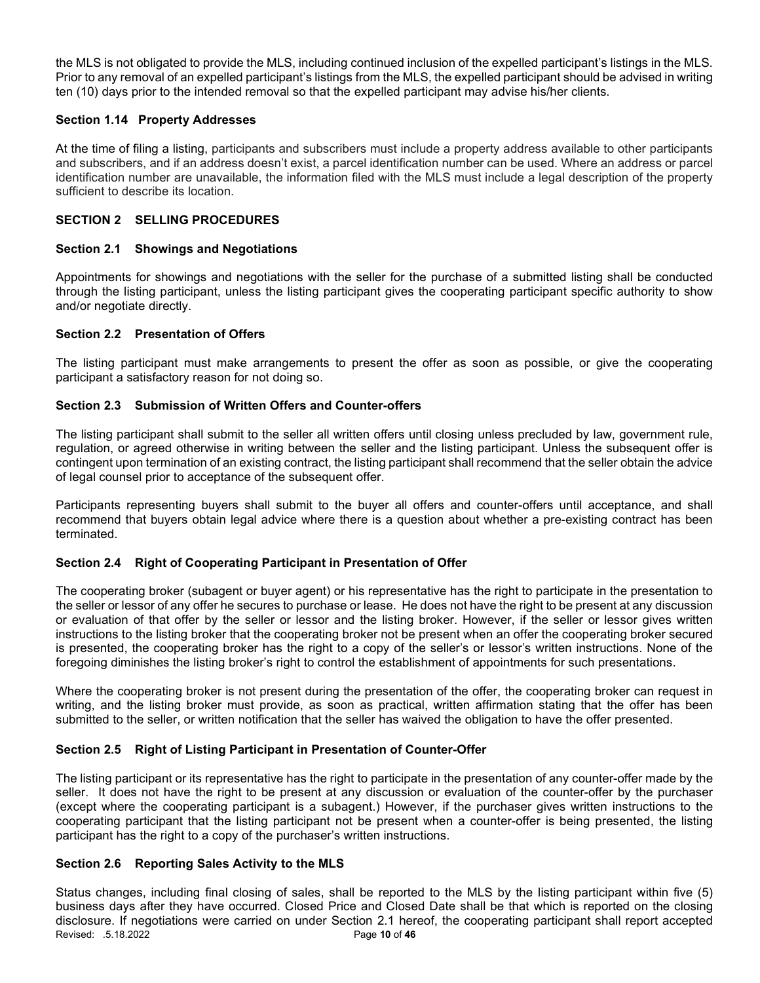the MLS is not obligated to provide the MLS, including continued inclusion of the expelled participant's listings in the MLS. Prior to any removal of an expelled participant's listings from the MLS, the expelled participant should be advised in writing ten (10) days prior to the intended removal so that the expelled participant may advise his/her clients.

## Section 1.14 Property Addresses

At the time of filing a listing, participants and subscribers must include a property address available to other participants and subscribers, and if an address doesn't exist, a parcel identification number can be used. Where an address or parcel identification number are unavailable, the information filed with the MLS must include a legal description of the property sufficient to describe its location.

## SECTION 2 SELLING PROCEDURES

## Section 2.1 Showings and Negotiations

Appointments for showings and negotiations with the seller for the purchase of a submitted listing shall be conducted through the listing participant, unless the listing participant gives the cooperating participant specific authority to show and/or negotiate directly.

## Section 2.2 Presentation of Offers

The listing participant must make arrangements to present the offer as soon as possible, or give the cooperating participant a satisfactory reason for not doing so.

## Section 2.3 Submission of Written Offers and Counter-offers

The listing participant shall submit to the seller all written offers until closing unless precluded by law, government rule, regulation, or agreed otherwise in writing between the seller and the listing participant. Unless the subsequent offer is contingent upon termination of an existing contract, the listing participant shall recommend that the seller obtain the advice of legal counsel prior to acceptance of the subsequent offer.

Participants representing buyers shall submit to the buyer all offers and counter-offers until acceptance, and shall recommend that buyers obtain legal advice where there is a question about whether a pre-existing contract has been terminated.

## Section 2.4 Right of Cooperating Participant in Presentation of Offer

The cooperating broker (subagent or buyer agent) or his representative has the right to participate in the presentation to the seller or lessor of any offer he secures to purchase or lease. He does not have the right to be present at any discussion or evaluation of that offer by the seller or lessor and the listing broker. However, if the seller or lessor gives written instructions to the listing broker that the cooperating broker not be present when an offer the cooperating broker secured is presented, the cooperating broker has the right to a copy of the seller's or lessor's written instructions. None of the foregoing diminishes the listing broker's right to control the establishment of appointments for such presentations.

Where the cooperating broker is not present during the presentation of the offer, the cooperating broker can request in writing, and the listing broker must provide, as soon as practical, written affirmation stating that the offer has been submitted to the seller, or written notification that the seller has waived the obligation to have the offer presented.

## Section 2.5 Right of Listing Participant in Presentation of Counter-Offer

The listing participant or its representative has the right to participate in the presentation of any counter-offer made by the seller. It does not have the right to be present at any discussion or evaluation of the counter-offer by the purchaser (except where the cooperating participant is a subagent.) However, if the purchaser gives written instructions to the cooperating participant that the listing participant not be present when a counter-offer is being presented, the listing participant has the right to a copy of the purchaser's written instructions.

## Section 2.6 Reporting Sales Activity to the MLS

Revised: .5.18.2022 **Page 10 of 46** Status changes, including final closing of sales, shall be reported to the MLS by the listing participant within five (5) business days after they have occurred. Closed Price and Closed Date shall be that which is reported on the closing disclosure. If negotiations were carried on under Section 2.1 hereof, the cooperating participant shall report accepted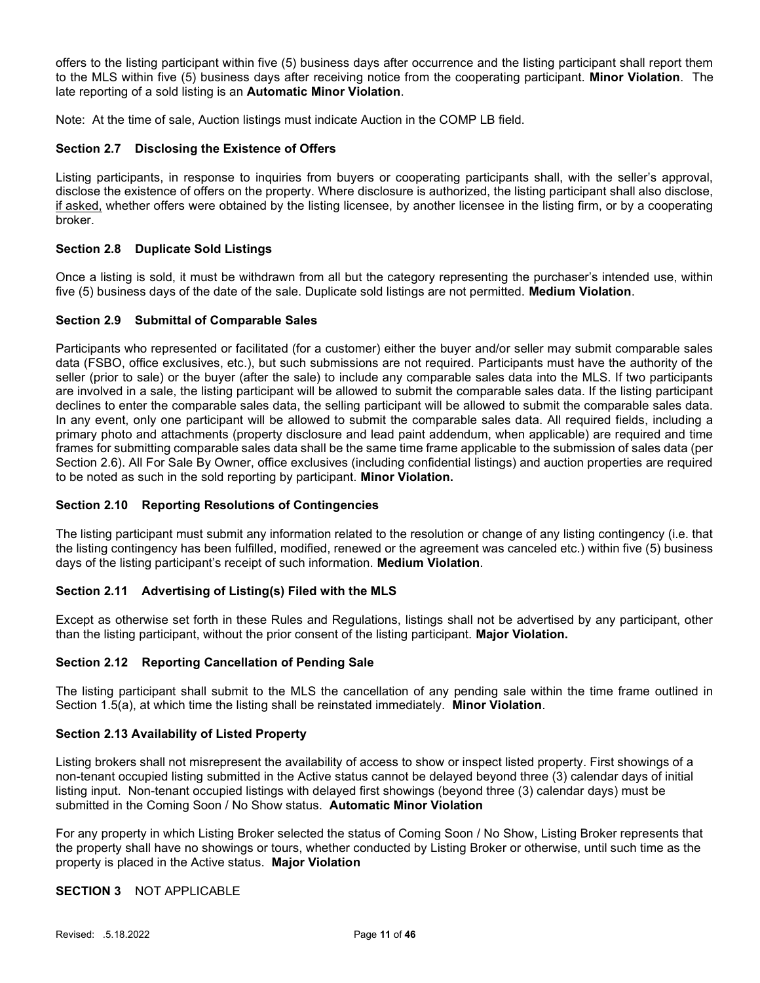offers to the listing participant within five (5) business days after occurrence and the listing participant shall report them to the MLS within five (5) business days after receiving notice from the cooperating participant. Minor Violation. The late reporting of a sold listing is an Automatic Minor Violation.

Note: At the time of sale, Auction listings must indicate Auction in the COMP LB field.

## Section 2.7 Disclosing the Existence of Offers

Listing participants, in response to inquiries from buyers or cooperating participants shall, with the seller's approval, disclose the existence of offers on the property. Where disclosure is authorized, the listing participant shall also disclose, if asked, whether offers were obtained by the listing licensee, by another licensee in the listing firm, or by a cooperating broker.

## Section 2.8 Duplicate Sold Listings

Once a listing is sold, it must be withdrawn from all but the category representing the purchaser's intended use, within five (5) business days of the date of the sale. Duplicate sold listings are not permitted. **Medium Violation**.

## Section 2.9 Submittal of Comparable Sales

Participants who represented or facilitated (for a customer) either the buyer and/or seller may submit comparable sales data (FSBO, office exclusives, etc.), but such submissions are not required. Participants must have the authority of the seller (prior to sale) or the buyer (after the sale) to include any comparable sales data into the MLS. If two participants are involved in a sale, the listing participant will be allowed to submit the comparable sales data. If the listing participant declines to enter the comparable sales data, the selling participant will be allowed to submit the comparable sales data. In any event, only one participant will be allowed to submit the comparable sales data. All required fields, including a primary photo and attachments (property disclosure and lead paint addendum, when applicable) are required and time frames for submitting comparable sales data shall be the same time frame applicable to the submission of sales data (per Section 2.6). All For Sale By Owner, office exclusives (including confidential listings) and auction properties are required to be noted as such in the sold reporting by participant. Minor Violation.

## Section 2.10 Reporting Resolutions of Contingencies

The listing participant must submit any information related to the resolution or change of any listing contingency (i.e. that the listing contingency has been fulfilled, modified, renewed or the agreement was canceled etc.) within five (5) business days of the listing participant's receipt of such information. Medium Violation.

## Section 2.11 Advertising of Listing(s) Filed with the MLS

Except as otherwise set forth in these Rules and Regulations, listings shall not be advertised by any participant, other than the listing participant, without the prior consent of the listing participant. Major Violation.

## Section 2.12 Reporting Cancellation of Pending Sale

The listing participant shall submit to the MLS the cancellation of any pending sale within the time frame outlined in Section 1.5(a), at which time the listing shall be reinstated immediately. Minor Violation.

## Section 2.13 Availability of Listed Property

Listing brokers shall not misrepresent the availability of access to show or inspect listed property. First showings of a non-tenant occupied listing submitted in the Active status cannot be delayed beyond three (3) calendar days of initial listing input. Non-tenant occupied listings with delayed first showings (beyond three (3) calendar days) must be submitted in the Coming Soon / No Show status. Automatic Minor Violation

For any property in which Listing Broker selected the status of Coming Soon / No Show, Listing Broker represents that the property shall have no showings or tours, whether conducted by Listing Broker or otherwise, until such time as the property is placed in the Active status. Major Violation

## SECTION 3 NOT APPLICABLE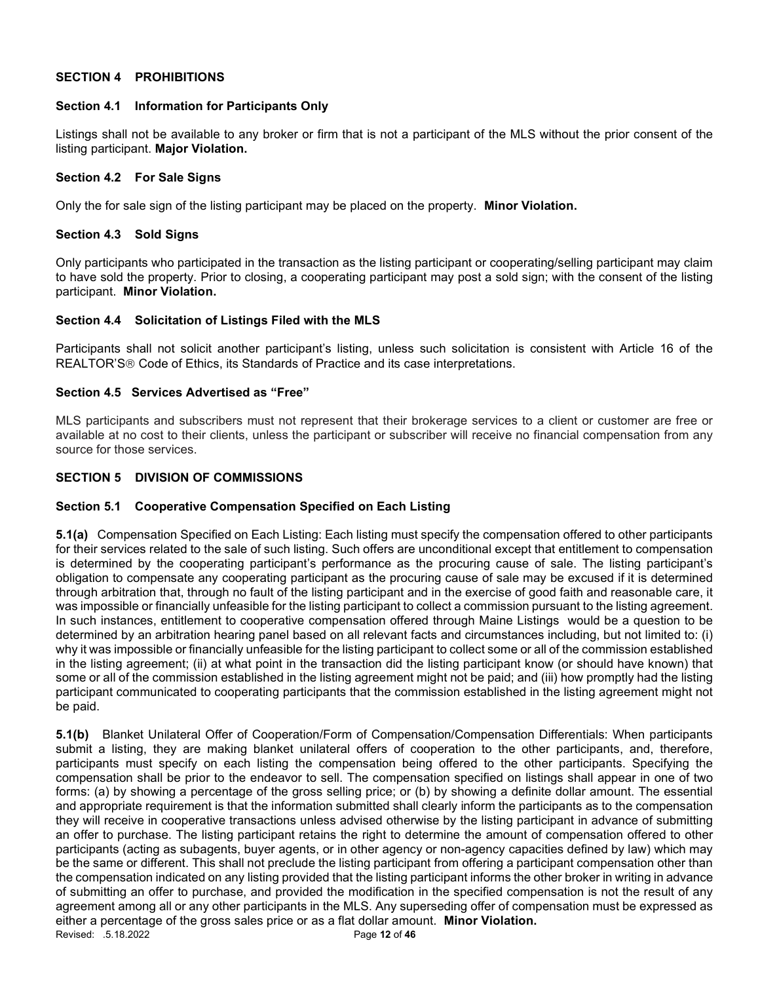## SECTION 4 PROHIBITIONS

## Section 4.1 Information for Participants Only

Listings shall not be available to any broker or firm that is not a participant of the MLS without the prior consent of the listing participant. Major Violation.

## Section 4.2 For Sale Signs

Only the for sale sign of the listing participant may be placed on the property. Minor Violation.

## Section 4.3 Sold Signs

Only participants who participated in the transaction as the listing participant or cooperating/selling participant may claim to have sold the property. Prior to closing, a cooperating participant may post a sold sign; with the consent of the listing participant. Minor Violation.

## Section 4.4 Solicitation of Listings Filed with the MLS

Participants shall not solicit another participant's listing, unless such solicitation is consistent with Article 16 of the REALTOR'S<sup>®</sup> Code of Ethics, its Standards of Practice and its case interpretations.

## Section 4.5 Services Advertised as "Free"

MLS participants and subscribers must not represent that their brokerage services to a client or customer are free or available at no cost to their clients, unless the participant or subscriber will receive no financial compensation from any source for those services.

## SECTION 5 DIVISION OF COMMISSIONS

## Section 5.1 Cooperative Compensation Specified on Each Listing

5.1(a) Compensation Specified on Each Listing: Each listing must specify the compensation offered to other participants for their services related to the sale of such listing. Such offers are unconditional except that entitlement to compensation is determined by the cooperating participant's performance as the procuring cause of sale. The listing participant's obligation to compensate any cooperating participant as the procuring cause of sale may be excused if it is determined through arbitration that, through no fault of the listing participant and in the exercise of good faith and reasonable care, it was impossible or financially unfeasible for the listing participant to collect a commission pursuant to the listing agreement. In such instances, entitlement to cooperative compensation offered through Maine Listings would be a question to be determined by an arbitration hearing panel based on all relevant facts and circumstances including, but not limited to: (i) why it was impossible or financially unfeasible for the listing participant to collect some or all of the commission established in the listing agreement; (ii) at what point in the transaction did the listing participant know (or should have known) that some or all of the commission established in the listing agreement might not be paid; and (iii) how promptly had the listing participant communicated to cooperating participants that the commission established in the listing agreement might not be paid.

Revised: .5.18.2022 **Page 12 of 46** 5.1(b) Blanket Unilateral Offer of Cooperation/Form of Compensation/Compensation Differentials: When participants submit a listing, they are making blanket unilateral offers of cooperation to the other participants, and, therefore, participants must specify on each listing the compensation being offered to the other participants. Specifying the compensation shall be prior to the endeavor to sell. The compensation specified on listings shall appear in one of two forms: (a) by showing a percentage of the gross selling price; or (b) by showing a definite dollar amount. The essential and appropriate requirement is that the information submitted shall clearly inform the participants as to the compensation they will receive in cooperative transactions unless advised otherwise by the listing participant in advance of submitting an offer to purchase. The listing participant retains the right to determine the amount of compensation offered to other participants (acting as subagents, buyer agents, or in other agency or non-agency capacities defined by law) which may be the same or different. This shall not preclude the listing participant from offering a participant compensation other than the compensation indicated on any listing provided that the listing participant informs the other broker in writing in advance of submitting an offer to purchase, and provided the modification in the specified compensation is not the result of any agreement among all or any other participants in the MLS. Any superseding offer of compensation must be expressed as either a percentage of the gross sales price or as a flat dollar amount. Minor Violation.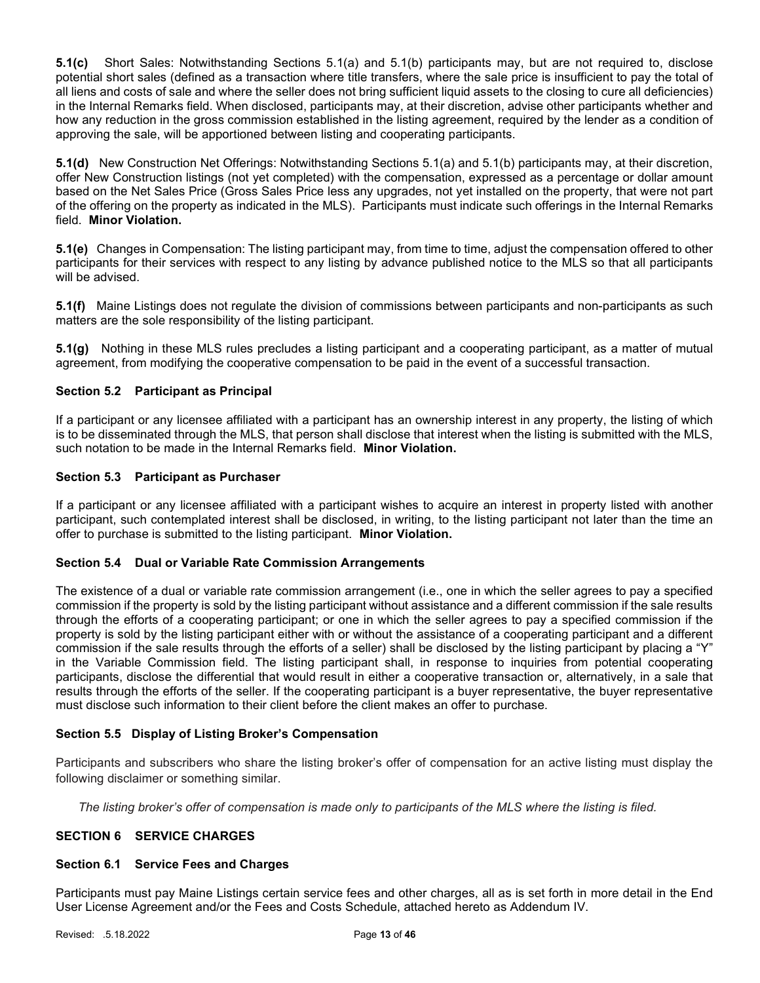5.1(c) Short Sales: Notwithstanding Sections 5.1(a) and 5.1(b) participants may, but are not required to, disclose potential short sales (defined as a transaction where title transfers, where the sale price is insufficient to pay the total of all liens and costs of sale and where the seller does not bring sufficient liquid assets to the closing to cure all deficiencies) in the Internal Remarks field. When disclosed, participants may, at their discretion, advise other participants whether and how any reduction in the gross commission established in the listing agreement, required by the lender as a condition of approving the sale, will be apportioned between listing and cooperating participants.

5.1(d) New Construction Net Offerings: Notwithstanding Sections 5.1(a) and 5.1(b) participants may, at their discretion, offer New Construction listings (not yet completed) with the compensation, expressed as a percentage or dollar amount based on the Net Sales Price (Gross Sales Price less any upgrades, not yet installed on the property, that were not part of the offering on the property as indicated in the MLS). Participants must indicate such offerings in the Internal Remarks field. Minor Violation.

5.1(e) Changes in Compensation: The listing participant may, from time to time, adjust the compensation offered to other participants for their services with respect to any listing by advance published notice to the MLS so that all participants will be advised.

5.1(f) Maine Listings does not regulate the division of commissions between participants and non-participants as such matters are the sole responsibility of the listing participant.

5.1(g) Nothing in these MLS rules precludes a listing participant and a cooperating participant, as a matter of mutual agreement, from modifying the cooperative compensation to be paid in the event of a successful transaction.

## Section 5.2 Participant as Principal

If a participant or any licensee affiliated with a participant has an ownership interest in any property, the listing of which is to be disseminated through the MLS, that person shall disclose that interest when the listing is submitted with the MLS, such notation to be made in the Internal Remarks field. Minor Violation.

#### Section 5.3 Participant as Purchaser

If a participant or any licensee affiliated with a participant wishes to acquire an interest in property listed with another participant, such contemplated interest shall be disclosed, in writing, to the listing participant not later than the time an offer to purchase is submitted to the listing participant. Minor Violation.

## Section 5.4 Dual or Variable Rate Commission Arrangements

The existence of a dual or variable rate commission arrangement (i.e., one in which the seller agrees to pay a specified commission if the property is sold by the listing participant without assistance and a different commission if the sale results through the efforts of a cooperating participant; or one in which the seller agrees to pay a specified commission if the property is sold by the listing participant either with or without the assistance of a cooperating participant and a different commission if the sale results through the efforts of a seller) shall be disclosed by the listing participant by placing a "Y" in the Variable Commission field. The listing participant shall, in response to inquiries from potential cooperating participants, disclose the differential that would result in either a cooperative transaction or, alternatively, in a sale that results through the efforts of the seller. If the cooperating participant is a buyer representative, the buyer representative must disclose such information to their client before the client makes an offer to purchase.

## Section 5.5 Display of Listing Broker's Compensation

Participants and subscribers who share the listing broker's offer of compensation for an active listing must display the following disclaimer or something similar.

The listing broker's offer of compensation is made only to participants of the MLS where the listing is filed.

## SECTION 6 SERVICE CHARGES

#### Section 6.1 Service Fees and Charges

Participants must pay Maine Listings certain service fees and other charges, all as is set forth in more detail in the End User License Agreement and/or the Fees and Costs Schedule, attached hereto as Addendum IV.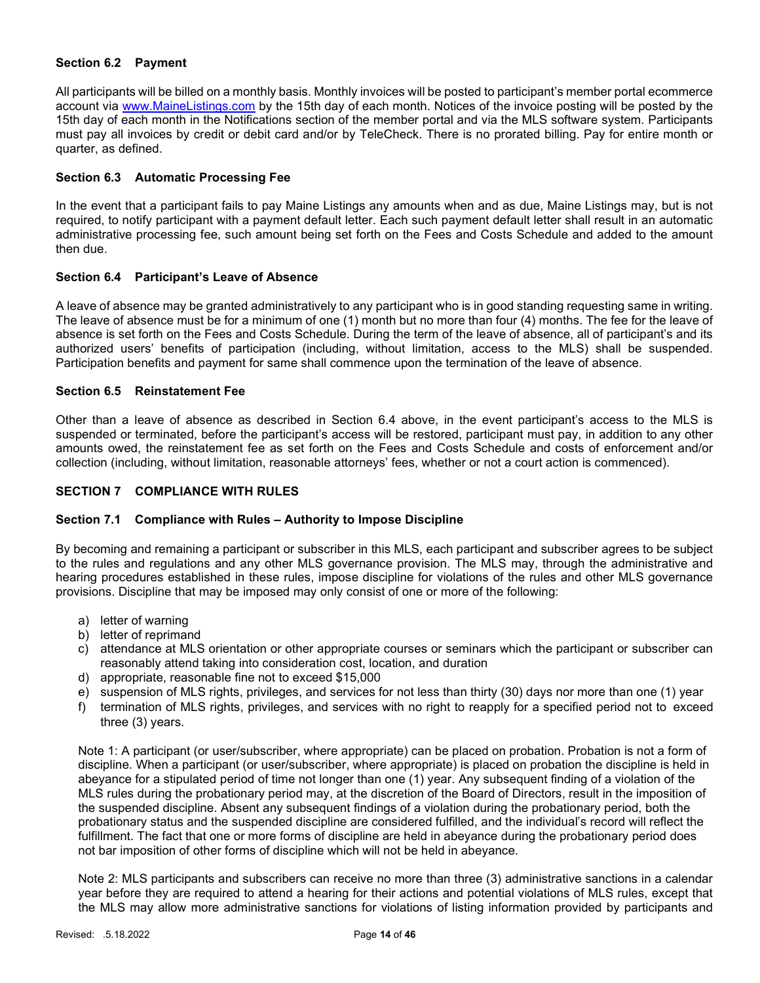## Section 6.2 Payment

All participants will be billed on a monthly basis. Monthly invoices will be posted to participant's member portal ecommerce account via www.MaineListings.com by the 15th day of each month. Notices of the invoice posting will be posted by the 15th day of each month in the Notifications section of the member portal and via the MLS software system. Participants must pay all invoices by credit or debit card and/or by TeleCheck. There is no prorated billing. Pay for entire month or quarter, as defined.

## Section 6.3 Automatic Processing Fee

In the event that a participant fails to pay Maine Listings any amounts when and as due, Maine Listings may, but is not required, to notify participant with a payment default letter. Each such payment default letter shall result in an automatic administrative processing fee, such amount being set forth on the Fees and Costs Schedule and added to the amount then due.

## Section 6.4 Participant's Leave of Absence

A leave of absence may be granted administratively to any participant who is in good standing requesting same in writing. The leave of absence must be for a minimum of one (1) month but no more than four (4) months. The fee for the leave of absence is set forth on the Fees and Costs Schedule. During the term of the leave of absence, all of participant's and its authorized users' benefits of participation (including, without limitation, access to the MLS) shall be suspended. Participation benefits and payment for same shall commence upon the termination of the leave of absence.

## Section 6.5 Reinstatement Fee

Other than a leave of absence as described in Section 6.4 above, in the event participant's access to the MLS is suspended or terminated, before the participant's access will be restored, participant must pay, in addition to any other amounts owed, the reinstatement fee as set forth on the Fees and Costs Schedule and costs of enforcement and/or collection (including, without limitation, reasonable attorneys' fees, whether or not a court action is commenced).

## SECTION 7 COMPLIANCE WITH RULES

## Section 7.1 Compliance with Rules – Authority to Impose Discipline

By becoming and remaining a participant or subscriber in this MLS, each participant and subscriber agrees to be subject to the rules and regulations and any other MLS governance provision. The MLS may, through the administrative and hearing procedures established in these rules, impose discipline for violations of the rules and other MLS governance provisions. Discipline that may be imposed may only consist of one or more of the following:

- a) letter of warning
- b) letter of reprimand
- c) attendance at MLS orientation or other appropriate courses or seminars which the participant or subscriber can reasonably attend taking into consideration cost, location, and duration
- d) appropriate, reasonable fine not to exceed \$15,000
- e) suspension of MLS rights, privileges, and services for not less than thirty (30) days nor more than one (1) year
- f) termination of MLS rights, privileges, and services with no right to reapply for a specified period not to exceed three (3) years.

Note 1: A participant (or user/subscriber, where appropriate) can be placed on probation. Probation is not a form of discipline. When a participant (or user/subscriber, where appropriate) is placed on probation the discipline is held in abeyance for a stipulated period of time not longer than one (1) year. Any subsequent finding of a violation of the MLS rules during the probationary period may, at the discretion of the Board of Directors, result in the imposition of the suspended discipline. Absent any subsequent findings of a violation during the probationary period, both the probationary status and the suspended discipline are considered fulfilled, and the individual's record will reflect the fulfillment. The fact that one or more forms of discipline are held in abeyance during the probationary period does not bar imposition of other forms of discipline which will not be held in abeyance.

Note 2: MLS participants and subscribers can receive no more than three (3) administrative sanctions in a calendar year before they are required to attend a hearing for their actions and potential violations of MLS rules, except that the MLS may allow more administrative sanctions for violations of listing information provided by participants and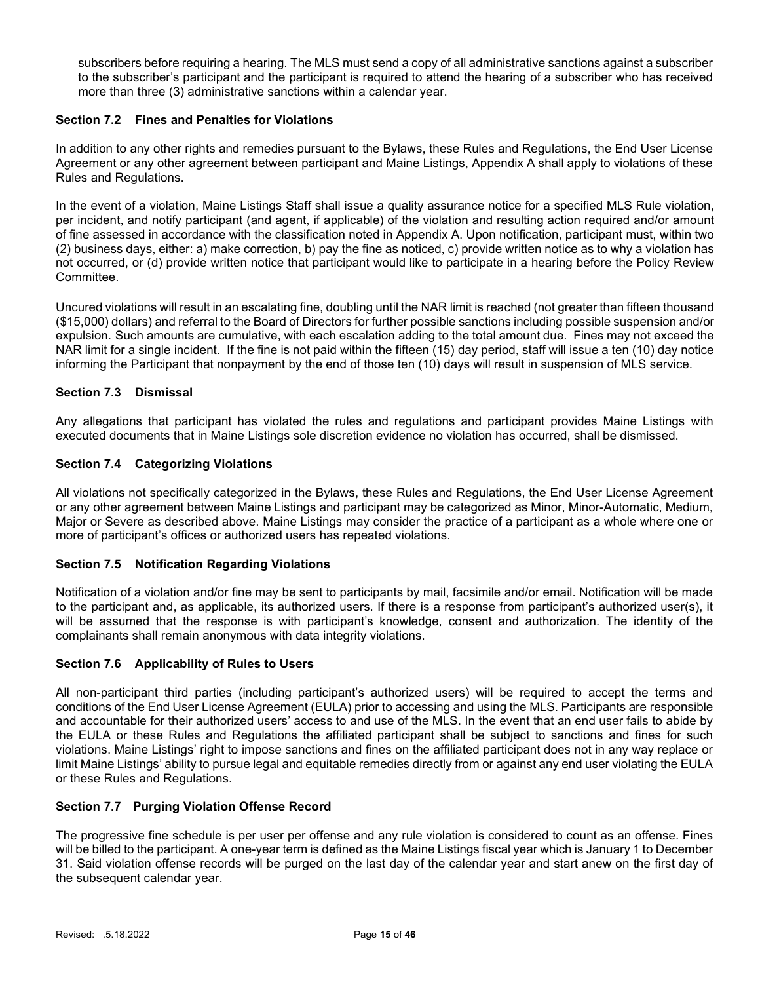subscribers before requiring a hearing. The MLS must send a copy of all administrative sanctions against a subscriber to the subscriber's participant and the participant is required to attend the hearing of a subscriber who has received more than three (3) administrative sanctions within a calendar year.

## Section 7.2 Fines and Penalties for Violations

In addition to any other rights and remedies pursuant to the Bylaws, these Rules and Regulations, the End User License Agreement or any other agreement between participant and Maine Listings, Appendix A shall apply to violations of these Rules and Regulations.

In the event of a violation, Maine Listings Staff shall issue a quality assurance notice for a specified MLS Rule violation, per incident, and notify participant (and agent, if applicable) of the violation and resulting action required and/or amount of fine assessed in accordance with the classification noted in Appendix A. Upon notification, participant must, within two (2) business days, either: a) make correction, b) pay the fine as noticed, c) provide written notice as to why a violation has not occurred, or (d) provide written notice that participant would like to participate in a hearing before the Policy Review Committee.

Uncured violations will result in an escalating fine, doubling until the NAR limit is reached (not greater than fifteen thousand (\$15,000) dollars) and referral to the Board of Directors for further possible sanctions including possible suspension and/or expulsion. Such amounts are cumulative, with each escalation adding to the total amount due. Fines may not exceed the NAR limit for a single incident. If the fine is not paid within the fifteen (15) day period, staff will issue a ten (10) day notice informing the Participant that nonpayment by the end of those ten (10) days will result in suspension of MLS service.

## Section 7.3 Dismissal

Any allegations that participant has violated the rules and regulations and participant provides Maine Listings with executed documents that in Maine Listings sole discretion evidence no violation has occurred, shall be dismissed.

## Section 7.4 Categorizing Violations

All violations not specifically categorized in the Bylaws, these Rules and Regulations, the End User License Agreement or any other agreement between Maine Listings and participant may be categorized as Minor, Minor-Automatic, Medium, Major or Severe as described above. Maine Listings may consider the practice of a participant as a whole where one or more of participant's offices or authorized users has repeated violations.

## Section 7.5 Notification Regarding Violations

Notification of a violation and/or fine may be sent to participants by mail, facsimile and/or email. Notification will be made to the participant and, as applicable, its authorized users. If there is a response from participant's authorized user(s), it will be assumed that the response is with participant's knowledge, consent and authorization. The identity of the complainants shall remain anonymous with data integrity violations.

## Section 7.6 Applicability of Rules to Users

All non-participant third parties (including participant's authorized users) will be required to accept the terms and conditions of the End User License Agreement (EULA) prior to accessing and using the MLS. Participants are responsible and accountable for their authorized users' access to and use of the MLS. In the event that an end user fails to abide by the EULA or these Rules and Regulations the affiliated participant shall be subject to sanctions and fines for such violations. Maine Listings' right to impose sanctions and fines on the affiliated participant does not in any way replace or limit Maine Listings' ability to pursue legal and equitable remedies directly from or against any end user violating the EULA or these Rules and Regulations.

## Section 7.7 Purging Violation Offense Record

The progressive fine schedule is per user per offense and any rule violation is considered to count as an offense. Fines will be billed to the participant. A one-year term is defined as the Maine Listings fiscal year which is January 1 to December 31. Said violation offense records will be purged on the last day of the calendar year and start anew on the first day of the subsequent calendar year.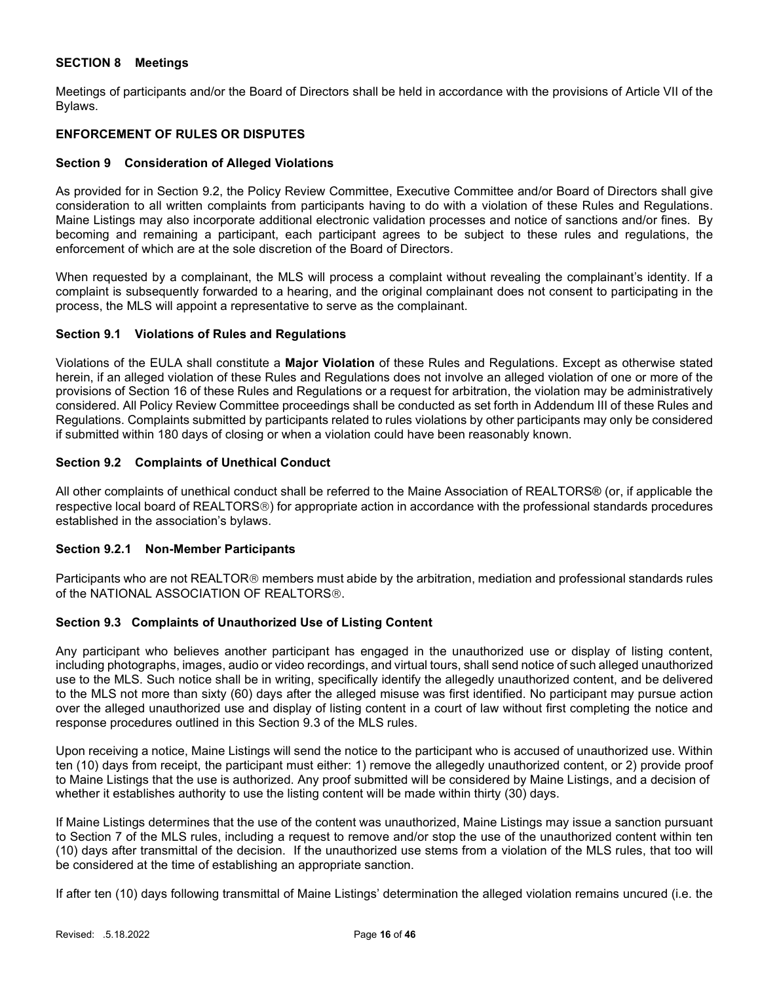## SECTION 8 Meetings

Meetings of participants and/or the Board of Directors shall be held in accordance with the provisions of Article VII of the Bylaws.

## ENFORCEMENT OF RULES OR DISPUTES

## Section 9 Consideration of Alleged Violations

As provided for in Section 9.2, the Policy Review Committee, Executive Committee and/or Board of Directors shall give consideration to all written complaints from participants having to do with a violation of these Rules and Regulations. Maine Listings may also incorporate additional electronic validation processes and notice of sanctions and/or fines. By becoming and remaining a participant, each participant agrees to be subject to these rules and regulations, the enforcement of which are at the sole discretion of the Board of Directors.

When requested by a complainant, the MLS will process a complaint without revealing the complainant's identity. If a complaint is subsequently forwarded to a hearing, and the original complainant does not consent to participating in the process, the MLS will appoint a representative to serve as the complainant.

#### Section 9.1 Violations of Rules and Regulations

Violations of the EULA shall constitute a Major Violation of these Rules and Regulations. Except as otherwise stated herein, if an alleged violation of these Rules and Regulations does not involve an alleged violation of one or more of the provisions of Section 16 of these Rules and Regulations or a request for arbitration, the violation may be administratively considered. All Policy Review Committee proceedings shall be conducted as set forth in Addendum III of these Rules and Regulations. Complaints submitted by participants related to rules violations by other participants may only be considered if submitted within 180 days of closing or when a violation could have been reasonably known.

## Section 9.2 Complaints of Unethical Conduct

All other complaints of unethical conduct shall be referred to the Maine Association of REALTORS® (or, if applicable the respective local board of REALTORS®) for appropriate action in accordance with the professional standards procedures established in the association's bylaws.

## Section 9.2.1 Non-Member Participants

Participants who are not REALTOR<sup>®</sup> members must abide by the arbitration, mediation and professional standards rules of the NATIONAL ASSOCIATION OF REALTORS®.

## Section 9.3 Complaints of Unauthorized Use of Listing Content

Any participant who believes another participant has engaged in the unauthorized use or display of listing content, including photographs, images, audio or video recordings, and virtual tours, shall send notice of such alleged unauthorized use to the MLS. Such notice shall be in writing, specifically identify the allegedly unauthorized content, and be delivered to the MLS not more than sixty (60) days after the alleged misuse was first identified. No participant may pursue action over the alleged unauthorized use and display of listing content in a court of law without first completing the notice and response procedures outlined in this Section 9.3 of the MLS rules.

Upon receiving a notice, Maine Listings will send the notice to the participant who is accused of unauthorized use. Within ten (10) days from receipt, the participant must either: 1) remove the allegedly unauthorized content, or 2) provide proof to Maine Listings that the use is authorized. Any proof submitted will be considered by Maine Listings, and a decision of whether it establishes authority to use the listing content will be made within thirty (30) days.

If Maine Listings determines that the use of the content was unauthorized, Maine Listings may issue a sanction pursuant to Section 7 of the MLS rules, including a request to remove and/or stop the use of the unauthorized content within ten (10) days after transmittal of the decision. If the unauthorized use stems from a violation of the MLS rules, that too will be considered at the time of establishing an appropriate sanction.

If after ten (10) days following transmittal of Maine Listings' determination the alleged violation remains uncured (i.e. the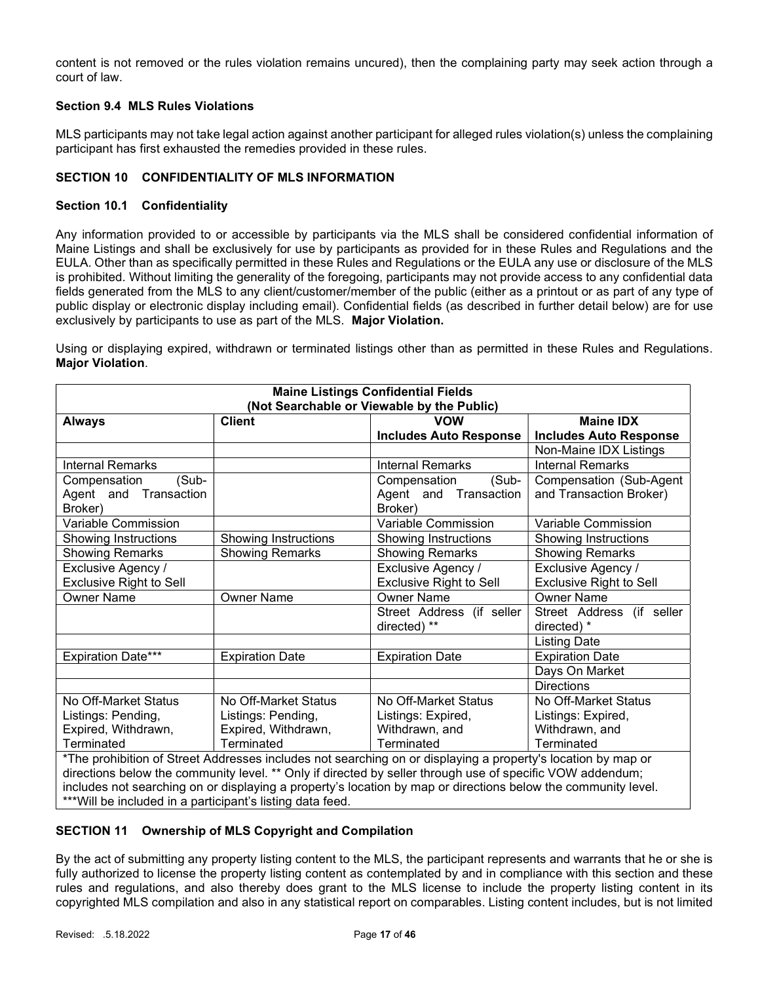content is not removed or the rules violation remains uncured), then the complaining party may seek action through a court of law.

## Section 9.4 MLS Rules Violations

MLS participants may not take legal action against another participant for alleged rules violation(s) unless the complaining participant has first exhausted the remedies provided in these rules.

## SECTION 10 CONFIDENTIALITY OF MLS INFORMATION

## Section 10.1 Confidentiality

Any information provided to or accessible by participants via the MLS shall be considered confidential information of Maine Listings and shall be exclusively for use by participants as provided for in these Rules and Regulations and the EULA. Other than as specifically permitted in these Rules and Regulations or the EULA any use or disclosure of the MLS is prohibited. Without limiting the generality of the foregoing, participants may not provide access to any confidential data fields generated from the MLS to any client/customer/member of the public (either as a printout or as part of any type of public display or electronic display including email). Confidential fields (as described in further detail below) are for use exclusively by participants to use as part of the MLS. Major Violation.

Using or displaying expired, withdrawn or terminated listings other than as permitted in these Rules and Regulations. Major Violation.

| <b>Maine Listings Confidential Fields</b><br>(Not Searchable or Viewable by the Public)                       |                        |                                                                                                              |                               |  |
|---------------------------------------------------------------------------------------------------------------|------------------------|--------------------------------------------------------------------------------------------------------------|-------------------------------|--|
| <b>Client</b><br><b>VOW</b><br><b>Maine IDX</b><br><b>Always</b>                                              |                        |                                                                                                              |                               |  |
|                                                                                                               |                        | <b>Includes Auto Response</b>                                                                                | <b>Includes Auto Response</b> |  |
|                                                                                                               |                        |                                                                                                              | Non-Maine IDX Listings        |  |
| <b>Internal Remarks</b>                                                                                       |                        | <b>Internal Remarks</b>                                                                                      | <b>Internal Remarks</b>       |  |
| (Sub-<br>Compensation                                                                                         |                        | (Sub-<br>Compensation                                                                                        | Compensation (Sub-Agent       |  |
| Agent and Transaction                                                                                         |                        | Agent and Transaction                                                                                        | and Transaction Broker)       |  |
| Broker)                                                                                                       |                        | Broker)                                                                                                      |                               |  |
| Variable Commission                                                                                           |                        | <b>Variable Commission</b>                                                                                   | Variable Commission           |  |
| Showing Instructions                                                                                          | Showing Instructions   | Showing Instructions                                                                                         | Showing Instructions          |  |
| <b>Showing Remarks</b>                                                                                        | <b>Showing Remarks</b> | <b>Showing Remarks</b>                                                                                       | <b>Showing Remarks</b>        |  |
| Exclusive Agency /<br>Exclusive Agency /<br>Exclusive Agency /                                                |                        |                                                                                                              |                               |  |
| <b>Exclusive Right to Sell</b><br><b>Exclusive Right to Sell</b><br><b>Exclusive Right to Sell</b>            |                        |                                                                                                              |                               |  |
| <b>Owner Name</b><br><b>Owner Name</b><br><b>Owner Name</b><br><b>Owner Name</b>                              |                        |                                                                                                              |                               |  |
| Street Address (if seller                                                                                     |                        | Street Address (if seller                                                                                    |                               |  |
| directed) **<br>directed) *                                                                                   |                        |                                                                                                              |                               |  |
| <b>Listing Date</b>                                                                                           |                        |                                                                                                              |                               |  |
| <b>Expiration Date***</b>                                                                                     | <b>Expiration Date</b> | <b>Expiration Date</b>                                                                                       | <b>Expiration Date</b>        |  |
|                                                                                                               |                        |                                                                                                              | Days On Market                |  |
|                                                                                                               |                        |                                                                                                              | <b>Directions</b>             |  |
| No Off-Market Status                                                                                          | No Off-Market Status   | No Off-Market Status                                                                                         | No Off-Market Status          |  |
| Listings: Pending,                                                                                            | Listings: Pending,     | Listings: Expired,                                                                                           | Listings: Expired,            |  |
| Expired, Withdrawn,                                                                                           | Expired, Withdrawn,    | Withdrawn, and                                                                                               | Withdrawn, and                |  |
| Terminated                                                                                                    | Terminated             | Terminated                                                                                                   | Terminated                    |  |
|                                                                                                               |                        | *The prohibition of Street Addresses includes not searching on or displaying a property's location by map or |                               |  |
| directions below the community level. ** Only if directed by seller through use of specific VOW addendum;     |                        |                                                                                                              |                               |  |
| includes not searching on or displaying a property's location by map or directions below the community level. |                        |                                                                                                              |                               |  |
| *** Will be included in a participant's listing data feed.                                                    |                        |                                                                                                              |                               |  |

## SECTION 11 Ownership of MLS Copyright and Compilation

By the act of submitting any property listing content to the MLS, the participant represents and warrants that he or she is fully authorized to license the property listing content as contemplated by and in compliance with this section and these rules and regulations, and also thereby does grant to the MLS license to include the property listing content in its copyrighted MLS compilation and also in any statistical report on comparables. Listing content includes, but is not limited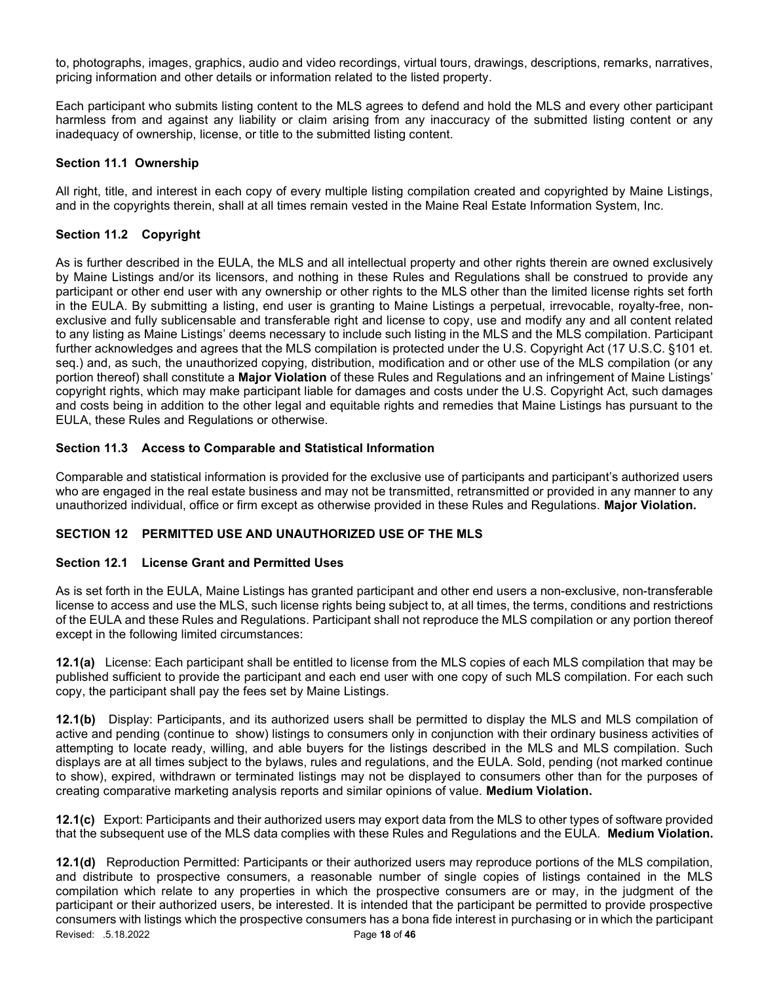to, photographs, images, graphics, audio and video recordings, virtual tours, drawings, descriptions, remarks, narratives, pricing information and other details or information related to the listed property.

Each participant who submits listing content to the MLS agrees to defend and hold the MLS and every other participant harmless from and against any liability or claim arising from any inaccuracy of the submitted listing content or any inadequacy of ownership, license, or title to the submitted listing content.

## Section 11.1 Ownership

All right, title, and interest in each copy of every multiple listing compilation created and copyrighted by Maine Listings, and in the copyrights therein, shall at all times remain vested in the Maine Real Estate Information System, Inc.

## Section 11.2 Copyright

As is further described in the EULA, the MLS and all intellectual property and other rights therein are owned exclusively by Maine Listings and/or its licensors, and nothing in these Rules and Regulations shall be construed to provide any participant or other end user with any ownership or other rights to the MLS other than the limited license rights set forth in the EULA. By submitting a listing, end user is granting to Maine Listings a perpetual, irrevocable, royalty-free, nonexclusive and fully sublicensable and transferable right and license to copy, use and modify any and all content related to any listing as Maine Listings' deems necessary to include such listing in the MLS and the MLS compilation. Participant further acknowledges and agrees that the MLS compilation is protected under the U.S. Copyright Act (17 U.S.C. §101 et. seq.) and, as such, the unauthorized copying, distribution, modification and or other use of the MLS compilation (or any portion thereof) shall constitute a **Major Violation** of these Rules and Regulations and an infringement of Maine Listings' copyright rights, which may make participant liable for damages and costs under the U.S. Copyright Act, such damages and costs being in addition to the other legal and equitable rights and remedies that Maine Listings has pursuant to the EULA, these Rules and Regulations or otherwise.

## Section 11.3 Access to Comparable and Statistical Information

Comparable and statistical information is provided for the exclusive use of participants and participant's authorized users who are engaged in the real estate business and may not be transmitted, retransmitted or provided in any manner to any unauthorized individual, office or firm except as otherwise provided in these Rules and Regulations. Major Violation.

## SECTION 12 PERMITTED USE AND UNAUTHORIZED USE OF THE MLS

## Section 12.1 License Grant and Permitted Uses

As is set forth in the EULA, Maine Listings has granted participant and other end users a non-exclusive, non-transferable license to access and use the MLS, such license rights being subject to, at all times, the terms, conditions and restrictions of the EULA and these Rules and Regulations. Participant shall not reproduce the MLS compilation or any portion thereof except in the following limited circumstances:

12.1(a) License: Each participant shall be entitled to license from the MLS copies of each MLS compilation that may be published sufficient to provide the participant and each end user with one copy of such MLS compilation. For each such copy, the participant shall pay the fees set by Maine Listings.

12.1(b) Display: Participants, and its authorized users shall be permitted to display the MLS and MLS compilation of active and pending (continue to show) listings to consumers only in conjunction with their ordinary business activities of attempting to locate ready, willing, and able buyers for the listings described in the MLS and MLS compilation. Such displays are at all times subject to the bylaws, rules and regulations, and the EULA. Sold, pending (not marked continue to show), expired, withdrawn or terminated listings may not be displayed to consumers other than for the purposes of creating comparative marketing analysis reports and similar opinions of value. Medium Violation.

12.1(c) Export: Participants and their authorized users may export data from the MLS to other types of software provided that the subsequent use of the MLS data complies with these Rules and Regulations and the EULA. Medium Violation.

Revised: .5.18.2022 **Page 18 of 46** 12.1(d) Reproduction Permitted: Participants or their authorized users may reproduce portions of the MLS compilation, and distribute to prospective consumers, a reasonable number of single copies of listings contained in the MLS compilation which relate to any properties in which the prospective consumers are or may, in the judgment of the participant or their authorized users, be interested. It is intended that the participant be permitted to provide prospective consumers with listings which the prospective consumers has a bona fide interest in purchasing or in which the participant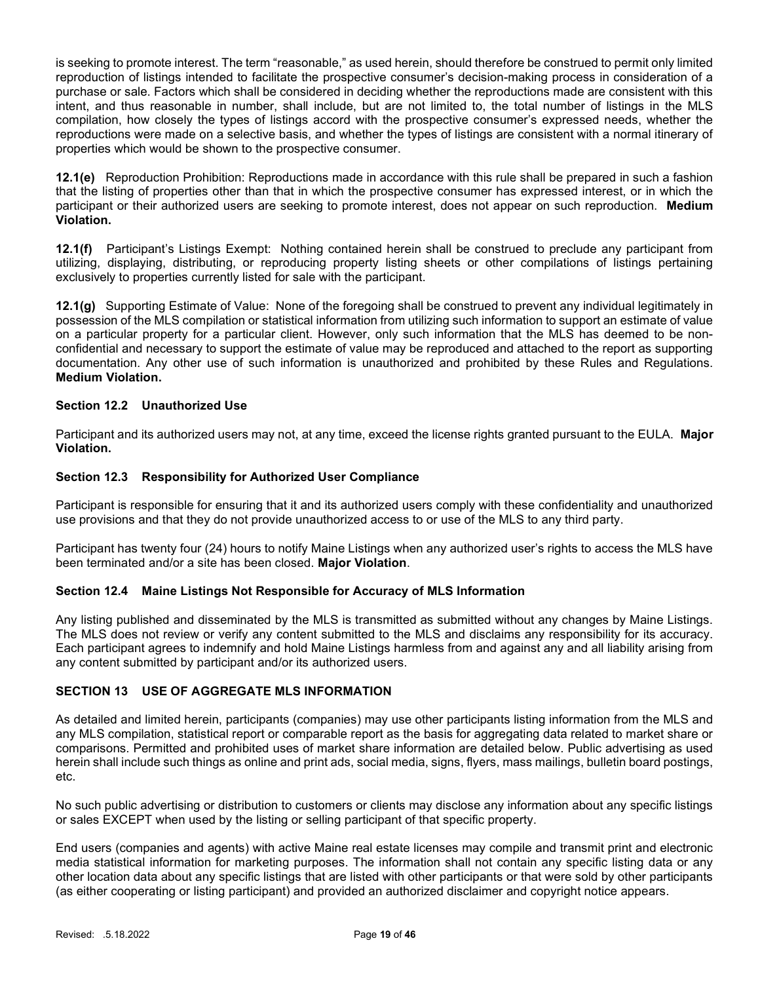is seeking to promote interest. The term "reasonable," as used herein, should therefore be construed to permit only limited reproduction of listings intended to facilitate the prospective consumer's decision-making process in consideration of a purchase or sale. Factors which shall be considered in deciding whether the reproductions made are consistent with this intent, and thus reasonable in number, shall include, but are not limited to, the total number of listings in the MLS compilation, how closely the types of listings accord with the prospective consumer's expressed needs, whether the reproductions were made on a selective basis, and whether the types of listings are consistent with a normal itinerary of properties which would be shown to the prospective consumer.

12.1(e) Reproduction Prohibition: Reproductions made in accordance with this rule shall be prepared in such a fashion that the listing of properties other than that in which the prospective consumer has expressed interest, or in which the participant or their authorized users are seeking to promote interest, does not appear on such reproduction. Medium Violation.

12.1(f) Participant's Listings Exempt: Nothing contained herein shall be construed to preclude any participant from utilizing, displaying, distributing, or reproducing property listing sheets or other compilations of listings pertaining exclusively to properties currently listed for sale with the participant.

12.1(g) Supporting Estimate of Value: None of the foregoing shall be construed to prevent any individual legitimately in possession of the MLS compilation or statistical information from utilizing such information to support an estimate of value on a particular property for a particular client. However, only such information that the MLS has deemed to be nonconfidential and necessary to support the estimate of value may be reproduced and attached to the report as supporting documentation. Any other use of such information is unauthorized and prohibited by these Rules and Regulations. Medium Violation.

## Section 12.2 Unauthorized Use

Participant and its authorized users may not, at any time, exceed the license rights granted pursuant to the EULA. Major Violation.

## Section 12.3 Responsibility for Authorized User Compliance

Participant is responsible for ensuring that it and its authorized users comply with these confidentiality and unauthorized use provisions and that they do not provide unauthorized access to or use of the MLS to any third party.

Participant has twenty four (24) hours to notify Maine Listings when any authorized user's rights to access the MLS have been terminated and/or a site has been closed. Major Violation.

## Section 12.4 Maine Listings Not Responsible for Accuracy of MLS Information

Any listing published and disseminated by the MLS is transmitted as submitted without any changes by Maine Listings. The MLS does not review or verify any content submitted to the MLS and disclaims any responsibility for its accuracy. Each participant agrees to indemnify and hold Maine Listings harmless from and against any and all liability arising from any content submitted by participant and/or its authorized users.

## SECTION 13 USE OF AGGREGATE MLS INFORMATION

As detailed and limited herein, participants (companies) may use other participants listing information from the MLS and any MLS compilation, statistical report or comparable report as the basis for aggregating data related to market share or comparisons. Permitted and prohibited uses of market share information are detailed below. Public advertising as used herein shall include such things as online and print ads, social media, signs, flyers, mass mailings, bulletin board postings, etc.

No such public advertising or distribution to customers or clients may disclose any information about any specific listings or sales EXCEPT when used by the listing or selling participant of that specific property.

End users (companies and agents) with active Maine real estate licenses may compile and transmit print and electronic media statistical information for marketing purposes. The information shall not contain any specific listing data or any other location data about any specific listings that are listed with other participants or that were sold by other participants (as either cooperating or listing participant) and provided an authorized disclaimer and copyright notice appears.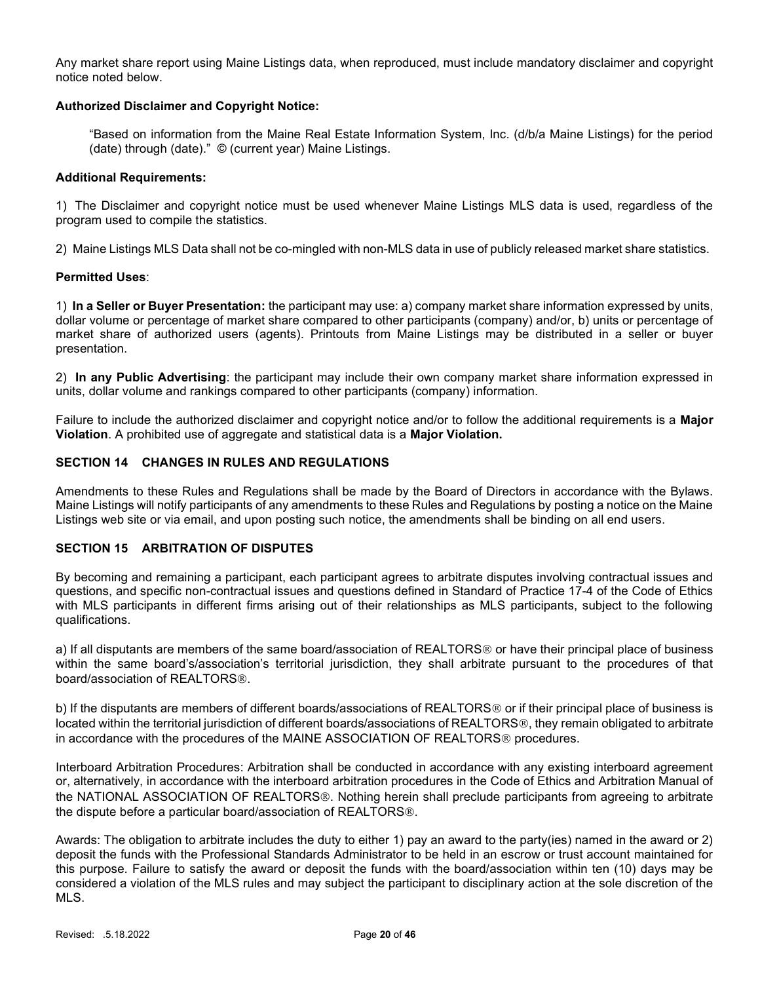Any market share report using Maine Listings data, when reproduced, must include mandatory disclaimer and copyright notice noted below.

## Authorized Disclaimer and Copyright Notice:

"Based on information from the Maine Real Estate Information System, Inc. (d/b/a Maine Listings) for the period (date) through (date)." © (current year) Maine Listings.

#### Additional Requirements:

1) The Disclaimer and copyright notice must be used whenever Maine Listings MLS data is used, regardless of the program used to compile the statistics.

2) Maine Listings MLS Data shall not be co-mingled with non-MLS data in use of publicly released market share statistics.

## Permitted Uses:

1) In a Seller or Buyer Presentation: the participant may use: a) company market share information expressed by units, dollar volume or percentage of market share compared to other participants (company) and/or, b) units or percentage of market share of authorized users (agents). Printouts from Maine Listings may be distributed in a seller or buyer presentation.

2) In any Public Advertising: the participant may include their own company market share information expressed in units, dollar volume and rankings compared to other participants (company) information.

Failure to include the authorized disclaimer and copyright notice and/or to follow the additional requirements is a Major Violation. A prohibited use of aggregate and statistical data is a Major Violation.

## SECTION 14 CHANGES IN RULES AND REGULATIONS

Amendments to these Rules and Regulations shall be made by the Board of Directors in accordance with the Bylaws. Maine Listings will notify participants of any amendments to these Rules and Regulations by posting a notice on the Maine Listings web site or via email, and upon posting such notice, the amendments shall be binding on all end users.

## SECTION 15 ARBITRATION OF DISPUTES

By becoming and remaining a participant, each participant agrees to arbitrate disputes involving contractual issues and questions, and specific non-contractual issues and questions defined in Standard of Practice 17-4 of the Code of Ethics with MLS participants in different firms arising out of their relationships as MLS participants, subject to the following qualifications.

a) If all disputants are members of the same board/association of REALTORS<sup>®</sup> or have their principal place of business within the same board's/association's territorial jurisdiction, they shall arbitrate pursuant to the procedures of that board/association of REALTORS®.

b) If the disputants are members of different boards/associations of REALTORS<sup>®</sup> or if their principal place of business is located within the territorial jurisdiction of different boards/associations of REALTORS®, they remain obligated to arbitrate in accordance with the procedures of the MAINE ASSOCIATION OF REALTORS<sup>®</sup> procedures.

Interboard Arbitration Procedures: Arbitration shall be conducted in accordance with any existing interboard agreement or, alternatively, in accordance with the interboard arbitration procedures in the Code of Ethics and Arbitration Manual of the NATIONAL ASSOCIATION OF REALTORS<sup>®</sup>. Nothing herein shall preclude participants from agreeing to arbitrate the dispute before a particular board/association of REALTORS®.

Awards: The obligation to arbitrate includes the duty to either 1) pay an award to the party(ies) named in the award or 2) deposit the funds with the Professional Standards Administrator to be held in an escrow or trust account maintained for this purpose. Failure to satisfy the award or deposit the funds with the board/association within ten (10) days may be considered a violation of the MLS rules and may subject the participant to disciplinary action at the sole discretion of the MLS.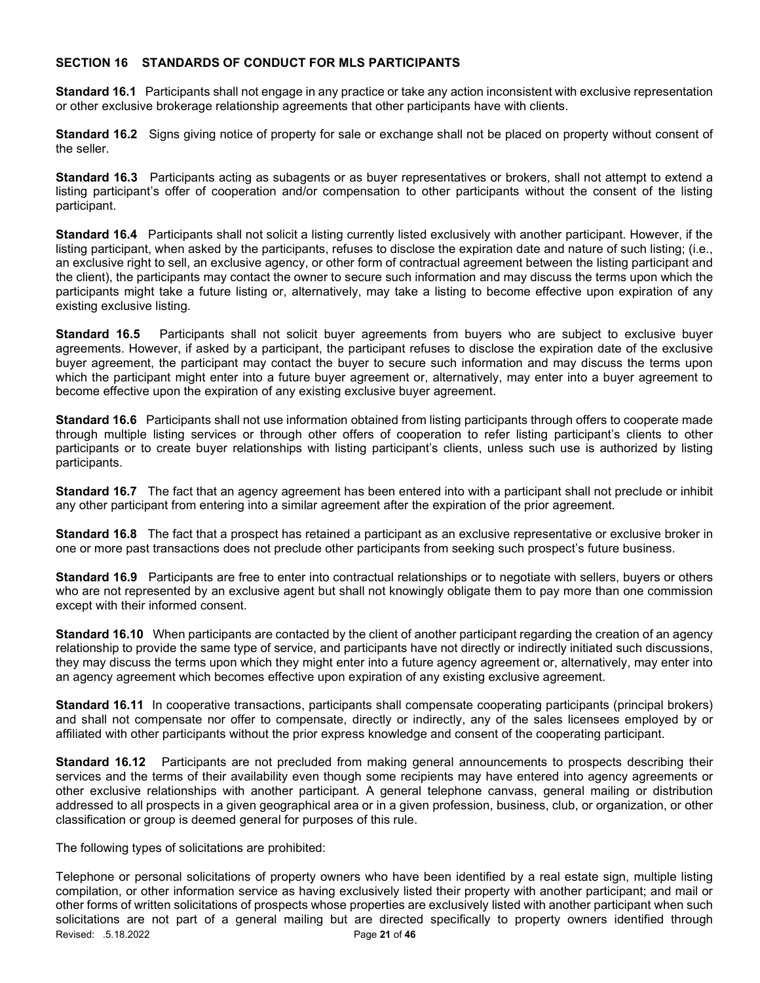## SECTION 16 STANDARDS OF CONDUCT FOR MLS PARTICIPANTS

Standard 16.1 Participants shall not engage in any practice or take any action inconsistent with exclusive representation or other exclusive brokerage relationship agreements that other participants have with clients.

Standard 16.2 Signs giving notice of property for sale or exchange shall not be placed on property without consent of the seller.

Standard 16.3 Participants acting as subagents or as buyer representatives or brokers, shall not attempt to extend a listing participant's offer of cooperation and/or compensation to other participants without the consent of the listing participant.

Standard 16.4 Participants shall not solicit a listing currently listed exclusively with another participant. However, if the listing participant, when asked by the participants, refuses to disclose the expiration date and nature of such listing; (i.e., an exclusive right to sell, an exclusive agency, or other form of contractual agreement between the listing participant and the client), the participants may contact the owner to secure such information and may discuss the terms upon which the participants might take a future listing or, alternatively, may take a listing to become effective upon expiration of any existing exclusive listing.

Standard 16.5 Participants shall not solicit buyer agreements from buyers who are subject to exclusive buyer agreements. However, if asked by a participant, the participant refuses to disclose the expiration date of the exclusive buyer agreement, the participant may contact the buyer to secure such information and may discuss the terms upon which the participant might enter into a future buyer agreement or, alternatively, may enter into a buyer agreement to become effective upon the expiration of any existing exclusive buyer agreement.

Standard 16.6 Participants shall not use information obtained from listing participants through offers to cooperate made through multiple listing services or through other offers of cooperation to refer listing participant's clients to other participants or to create buyer relationships with listing participant's clients, unless such use is authorized by listing participants.

Standard 16.7 The fact that an agency agreement has been entered into with a participant shall not preclude or inhibit any other participant from entering into a similar agreement after the expiration of the prior agreement.

Standard 16.8 The fact that a prospect has retained a participant as an exclusive representative or exclusive broker in one or more past transactions does not preclude other participants from seeking such prospect's future business.

Standard 16.9 Participants are free to enter into contractual relationships or to negotiate with sellers, buyers or others who are not represented by an exclusive agent but shall not knowingly obligate them to pay more than one commission except with their informed consent.

Standard 16.10 When participants are contacted by the client of another participant regarding the creation of an agency relationship to provide the same type of service, and participants have not directly or indirectly initiated such discussions, they may discuss the terms upon which they might enter into a future agency agreement or, alternatively, may enter into an agency agreement which becomes effective upon expiration of any existing exclusive agreement.

Standard 16.11 In cooperative transactions, participants shall compensate cooperating participants (principal brokers) and shall not compensate nor offer to compensate, directly or indirectly, any of the sales licensees employed by or affiliated with other participants without the prior express knowledge and consent of the cooperating participant.

Standard 16.12 Participants are not precluded from making general announcements to prospects describing their services and the terms of their availability even though some recipients may have entered into agency agreements or other exclusive relationships with another participant. A general telephone canvass, general mailing or distribution addressed to all prospects in a given geographical area or in a given profession, business, club, or organization, or other classification or group is deemed general for purposes of this rule.

The following types of solicitations are prohibited:

Revised: .5.18.2022 **Page 21 of 46** Telephone or personal solicitations of property owners who have been identified by a real estate sign, multiple listing compilation, or other information service as having exclusively listed their property with another participant; and mail or other forms of written solicitations of prospects whose properties are exclusively listed with another participant when such solicitations are not part of a general mailing but are directed specifically to property owners identified through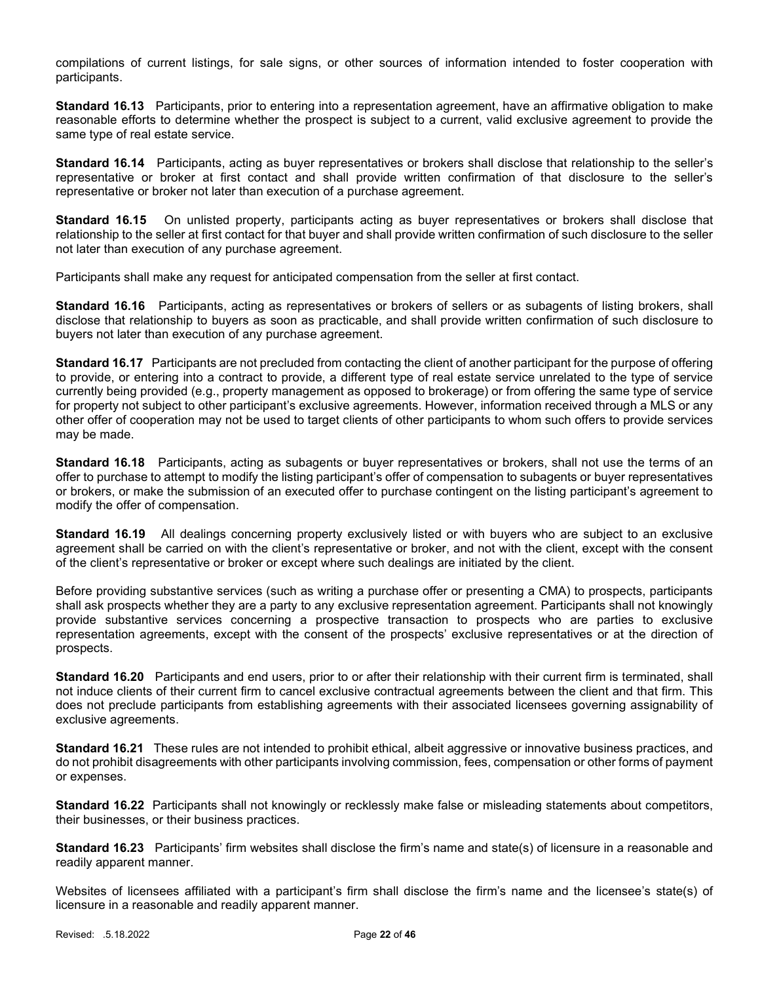compilations of current listings, for sale signs, or other sources of information intended to foster cooperation with participants.

Standard 16.13 Participants, prior to entering into a representation agreement, have an affirmative obligation to make reasonable efforts to determine whether the prospect is subject to a current, valid exclusive agreement to provide the same type of real estate service.

Standard 16.14 Participants, acting as buyer representatives or brokers shall disclose that relationship to the seller's representative or broker at first contact and shall provide written confirmation of that disclosure to the seller's representative or broker not later than execution of a purchase agreement.

Standard 16.15 On unlisted property, participants acting as buyer representatives or brokers shall disclose that relationship to the seller at first contact for that buyer and shall provide written confirmation of such disclosure to the seller not later than execution of any purchase agreement.

Participants shall make any request for anticipated compensation from the seller at first contact.

Standard 16.16 Participants, acting as representatives or brokers of sellers or as subagents of listing brokers, shall disclose that relationship to buyers as soon as practicable, and shall provide written confirmation of such disclosure to buyers not later than execution of any purchase agreement.

Standard 16.17 Participants are not precluded from contacting the client of another participant for the purpose of offering to provide, or entering into a contract to provide, a different type of real estate service unrelated to the type of service currently being provided (e.g., property management as opposed to brokerage) or from offering the same type of service for property not subject to other participant's exclusive agreements. However, information received through a MLS or any other offer of cooperation may not be used to target clients of other participants to whom such offers to provide services may be made.

Standard 16.18 Participants, acting as subagents or buyer representatives or brokers, shall not use the terms of an offer to purchase to attempt to modify the listing participant's offer of compensation to subagents or buyer representatives or brokers, or make the submission of an executed offer to purchase contingent on the listing participant's agreement to modify the offer of compensation.

Standard 16.19 All dealings concerning property exclusively listed or with buyers who are subject to an exclusive agreement shall be carried on with the client's representative or broker, and not with the client, except with the consent of the client's representative or broker or except where such dealings are initiated by the client.

Before providing substantive services (such as writing a purchase offer or presenting a CMA) to prospects, participants shall ask prospects whether they are a party to any exclusive representation agreement. Participants shall not knowingly provide substantive services concerning a prospective transaction to prospects who are parties to exclusive representation agreements, except with the consent of the prospects' exclusive representatives or at the direction of prospects.

Standard 16.20 Participants and end users, prior to or after their relationship with their current firm is terminated, shall not induce clients of their current firm to cancel exclusive contractual agreements between the client and that firm. This does not preclude participants from establishing agreements with their associated licensees governing assignability of exclusive agreements.

Standard 16.21 These rules are not intended to prohibit ethical, albeit aggressive or innovative business practices, and do not prohibit disagreements with other participants involving commission, fees, compensation or other forms of payment or expenses.

Standard 16.22 Participants shall not knowingly or recklessly make false or misleading statements about competitors, their businesses, or their business practices.

Standard 16.23 Participants' firm websites shall disclose the firm's name and state(s) of licensure in a reasonable and readily apparent manner.

Websites of licensees affiliated with a participant's firm shall disclose the firm's name and the licensee's state(s) of licensure in a reasonable and readily apparent manner.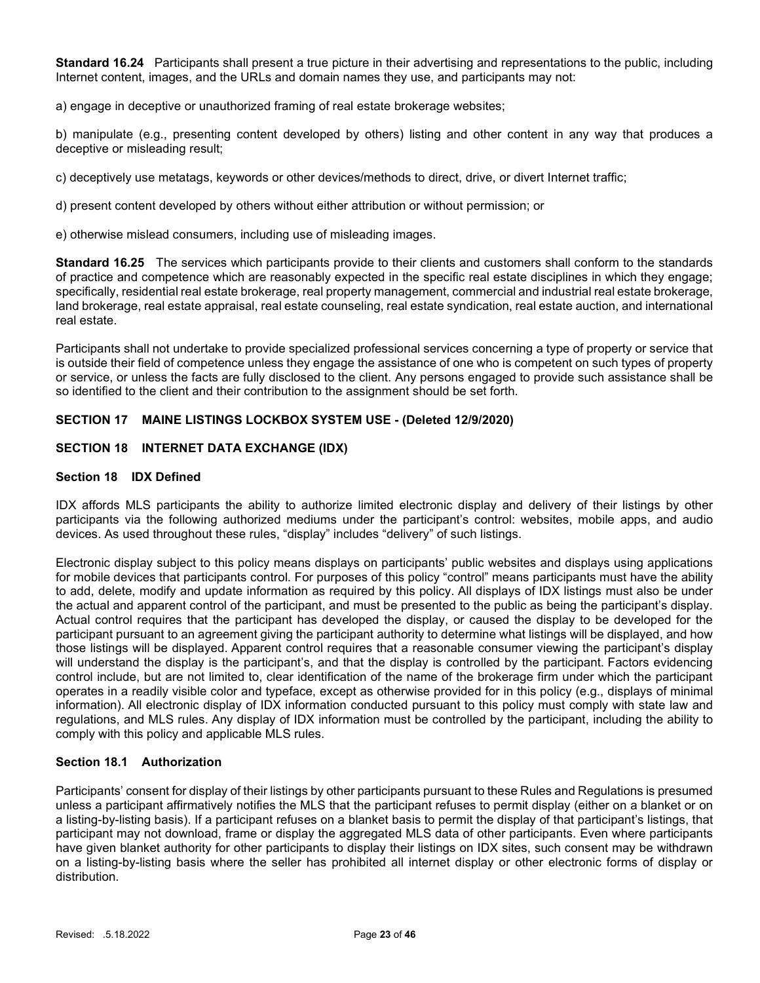Standard 16.24 Participants shall present a true picture in their advertising and representations to the public, including Internet content, images, and the URLs and domain names they use, and participants may not:

a) engage in deceptive or unauthorized framing of real estate brokerage websites;

b) manipulate (e.g., presenting content developed by others) listing and other content in any way that produces a deceptive or misleading result;

c) deceptively use metatags, keywords or other devices/methods to direct, drive, or divert Internet traffic;

d) present content developed by others without either attribution or without permission; or

e) otherwise mislead consumers, including use of misleading images.

Standard 16.25 The services which participants provide to their clients and customers shall conform to the standards of practice and competence which are reasonably expected in the specific real estate disciplines in which they engage; specifically, residential real estate brokerage, real property management, commercial and industrial real estate brokerage, land brokerage, real estate appraisal, real estate counseling, real estate syndication, real estate auction, and international real estate.

Participants shall not undertake to provide specialized professional services concerning a type of property or service that is outside their field of competence unless they engage the assistance of one who is competent on such types of property or service, or unless the facts are fully disclosed to the client. Any persons engaged to provide such assistance shall be so identified to the client and their contribution to the assignment should be set forth.

## SECTION 17 MAINE LISTINGS LOCKBOX SYSTEM USE - (Deleted 12/9/2020)

## SECTION 18 INTERNET DATA EXCHANGE (IDX)

## Section 18 IDX Defined

IDX affords MLS participants the ability to authorize limited electronic display and delivery of their listings by other participants via the following authorized mediums under the participant's control: websites, mobile apps, and audio devices. As used throughout these rules, "display" includes "delivery" of such listings.

Electronic display subject to this policy means displays on participants' public websites and displays using applications for mobile devices that participants control. For purposes of this policy "control" means participants must have the ability to add, delete, modify and update information as required by this policy. All displays of IDX listings must also be under the actual and apparent control of the participant, and must be presented to the public as being the participant's display. Actual control requires that the participant has developed the display, or caused the display to be developed for the participant pursuant to an agreement giving the participant authority to determine what listings will be displayed, and how those listings will be displayed. Apparent control requires that a reasonable consumer viewing the participant's display will understand the display is the participant's, and that the display is controlled by the participant. Factors evidencing control include, but are not limited to, clear identification of the name of the brokerage firm under which the participant operates in a readily visible color and typeface, except as otherwise provided for in this policy (e.g., displays of minimal information). All electronic display of IDX information conducted pursuant to this policy must comply with state law and regulations, and MLS rules. Any display of IDX information must be controlled by the participant, including the ability to comply with this policy and applicable MLS rules.

## Section 18.1 Authorization

Participants' consent for display of their listings by other participants pursuant to these Rules and Regulations is presumed unless a participant affirmatively notifies the MLS that the participant refuses to permit display (either on a blanket or on a listing-by-listing basis). If a participant refuses on a blanket basis to permit the display of that participant's listings, that participant may not download, frame or display the aggregated MLS data of other participants. Even where participants have given blanket authority for other participants to display their listings on IDX sites, such consent may be withdrawn on a listing-by-listing basis where the seller has prohibited all internet display or other electronic forms of display or distribution.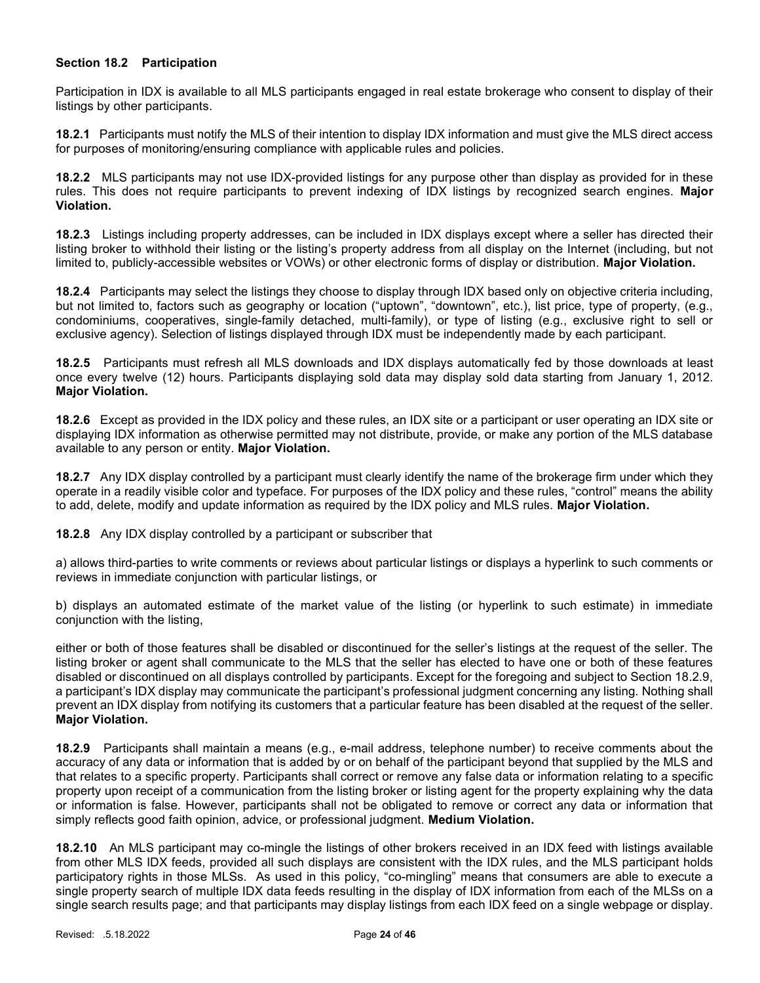## Section 18.2 Participation

Participation in IDX is available to all MLS participants engaged in real estate brokerage who consent to display of their listings by other participants.

18.2.1 Participants must notify the MLS of their intention to display IDX information and must give the MLS direct access for purposes of monitoring/ensuring compliance with applicable rules and policies.

18.2.2 MLS participants may not use IDX-provided listings for any purpose other than display as provided for in these rules. This does not require participants to prevent indexing of IDX listings by recognized search engines. Major Violation.

18.2.3 Listings including property addresses, can be included in IDX displays except where a seller has directed their listing broker to withhold their listing or the listing's property address from all display on the Internet (including, but not limited to, publicly-accessible websites or VOWs) or other electronic forms of display or distribution. Major Violation.

18.2.4 Participants may select the listings they choose to display through IDX based only on objective criteria including, but not limited to, factors such as geography or location ("uptown", "downtown", etc.), list price, type of property, (e.g., condominiums, cooperatives, single-family detached, multi-family), or type of listing (e.g., exclusive right to sell or exclusive agency). Selection of listings displayed through IDX must be independently made by each participant.

18.2.5 Participants must refresh all MLS downloads and IDX displays automatically fed by those downloads at least once every twelve (12) hours. Participants displaying sold data may display sold data starting from January 1, 2012. Major Violation.

18.2.6 Except as provided in the IDX policy and these rules, an IDX site or a participant or user operating an IDX site or displaying IDX information as otherwise permitted may not distribute, provide, or make any portion of the MLS database available to any person or entity. Major Violation.

18.2.7 Any IDX display controlled by a participant must clearly identify the name of the brokerage firm under which they operate in a readily visible color and typeface. For purposes of the IDX policy and these rules, "control" means the ability to add, delete, modify and update information as required by the IDX policy and MLS rules. Major Violation.

18.2.8 Any IDX display controlled by a participant or subscriber that

a) allows third-parties to write comments or reviews about particular listings or displays a hyperlink to such comments or reviews in immediate conjunction with particular listings, or

b) displays an automated estimate of the market value of the listing (or hyperlink to such estimate) in immediate conjunction with the listing,

either or both of those features shall be disabled or discontinued for the seller's listings at the request of the seller. The listing broker or agent shall communicate to the MLS that the seller has elected to have one or both of these features disabled or discontinued on all displays controlled by participants. Except for the foregoing and subject to Section 18.2.9, a participant's IDX display may communicate the participant's professional judgment concerning any listing. Nothing shall prevent an IDX display from notifying its customers that a particular feature has been disabled at the request of the seller. Major Violation.

18.2.9 Participants shall maintain a means (e.g., e-mail address, telephone number) to receive comments about the accuracy of any data or information that is added by or on behalf of the participant beyond that supplied by the MLS and that relates to a specific property. Participants shall correct or remove any false data or information relating to a specific property upon receipt of a communication from the listing broker or listing agent for the property explaining why the data or information is false. However, participants shall not be obligated to remove or correct any data or information that simply reflects good faith opinion, advice, or professional judgment. Medium Violation.

18.2.10 An MLS participant may co-mingle the listings of other brokers received in an IDX feed with listings available from other MLS IDX feeds, provided all such displays are consistent with the IDX rules, and the MLS participant holds participatory rights in those MLSs. As used in this policy, "co-mingling" means that consumers are able to execute a single property search of multiple IDX data feeds resulting in the display of IDX information from each of the MLSs on a single search results page; and that participants may display listings from each IDX feed on a single webpage or display.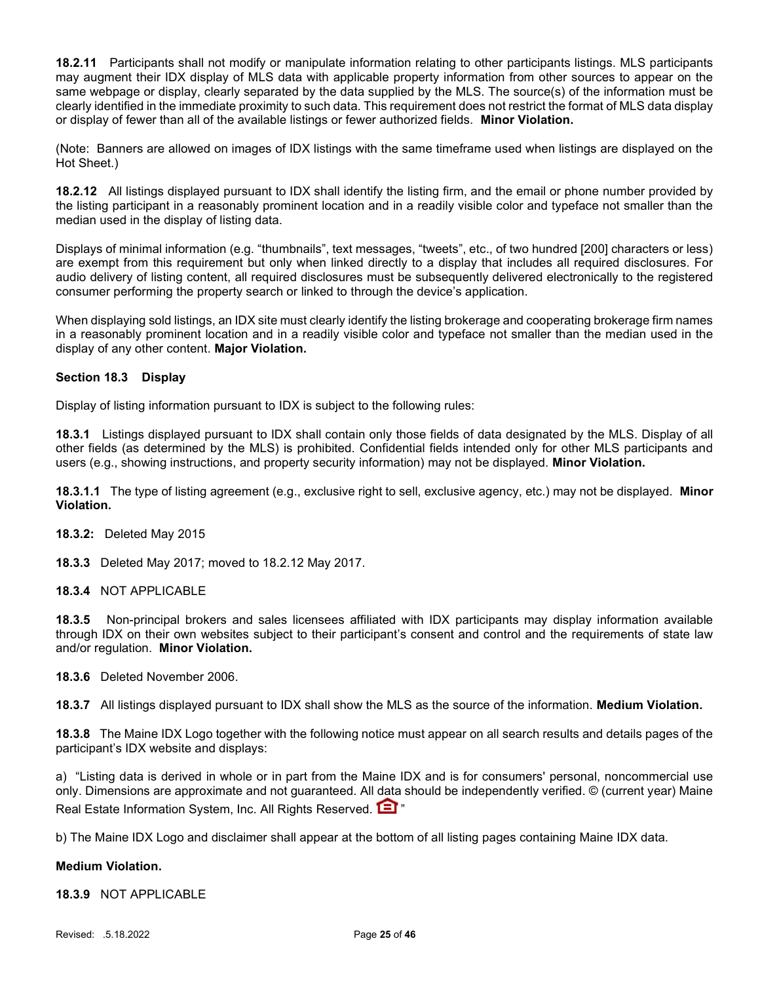18.2.11 Participants shall not modify or manipulate information relating to other participants listings. MLS participants may augment their IDX display of MLS data with applicable property information from other sources to appear on the same webpage or display, clearly separated by the data supplied by the MLS. The source(s) of the information must be clearly identified in the immediate proximity to such data. This requirement does not restrict the format of MLS data display or display of fewer than all of the available listings or fewer authorized fields. Minor Violation.

(Note: Banners are allowed on images of IDX listings with the same timeframe used when listings are displayed on the Hot Sheet.)

18.2.12 All listings displayed pursuant to IDX shall identify the listing firm, and the email or phone number provided by the listing participant in a reasonably prominent location and in a readily visible color and typeface not smaller than the median used in the display of listing data.

Displays of minimal information (e.g. "thumbnails", text messages, "tweets", etc., of two hundred [200] characters or less) are exempt from this requirement but only when linked directly to a display that includes all required disclosures. For audio delivery of listing content, all required disclosures must be subsequently delivered electronically to the registered consumer performing the property search or linked to through the device's application.

When displaying sold listings, an IDX site must clearly identify the listing brokerage and cooperating brokerage firm names in a reasonably prominent location and in a readily visible color and typeface not smaller than the median used in the display of any other content. Major Violation.

## Section 18.3 Display

Display of listing information pursuant to IDX is subject to the following rules:

18.3.1 Listings displayed pursuant to IDX shall contain only those fields of data designated by the MLS. Display of all other fields (as determined by the MLS) is prohibited. Confidential fields intended only for other MLS participants and users (e.g., showing instructions, and property security information) may not be displayed. Minor Violation.

18.3.1.1 The type of listing agreement (e.g., exclusive right to sell, exclusive agency, etc.) may not be displayed. Minor Violation.

18.3.2: Deleted May 2015

18.3.3 Deleted May 2017; moved to 18.2.12 May 2017.

## 18.3.4 NOT APPLICABLE

18.3.5 Non-principal brokers and sales licensees affiliated with IDX participants may display information available through IDX on their own websites subject to their participant's consent and control and the requirements of state law and/or regulation. Minor Violation.

18.3.6 Deleted November 2006.

18.3.7 All listings displayed pursuant to IDX shall show the MLS as the source of the information. Medium Violation.

18.3.8 The Maine IDX Logo together with the following notice must appear on all search results and details pages of the participant's IDX website and displays:

a) "Listing data is derived in whole or in part from the Maine IDX and is for consumers' personal, noncommercial use only. Dimensions are approximate and not guaranteed. All data should be independently verified. © (current year) Maine Real Estate Information System, Inc. All Rights Reserved. **[3]** "

b) The Maine IDX Logo and disclaimer shall appear at the bottom of all listing pages containing Maine IDX data.

## Medium Violation.

18.3.9 NOT APPLICABLE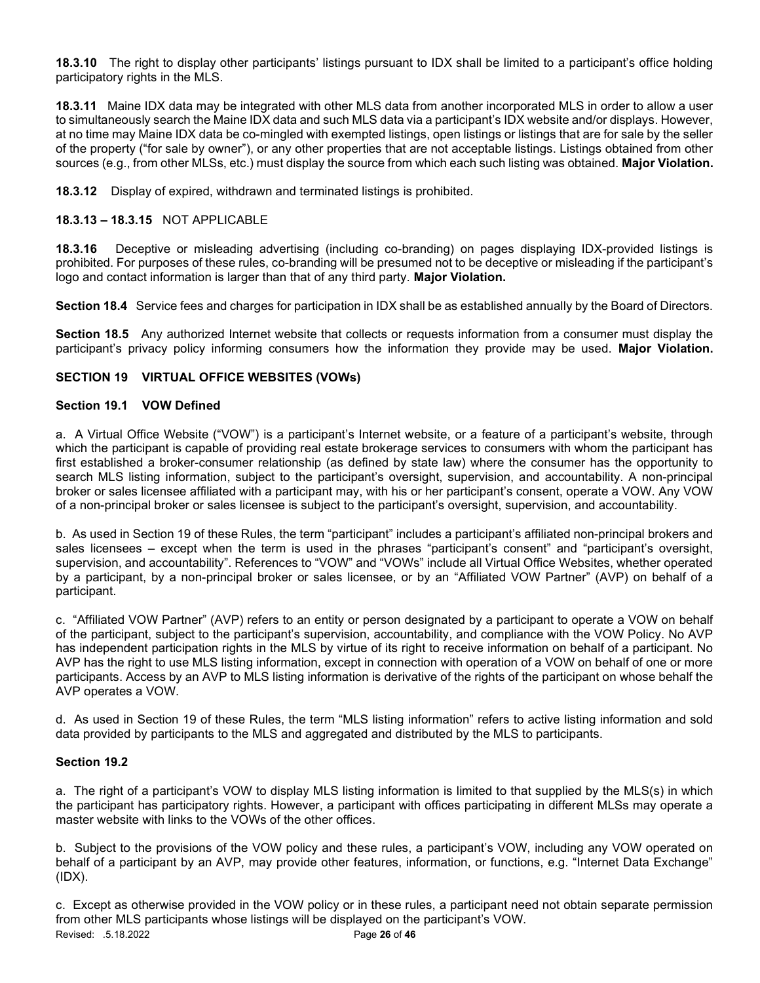18.3.10 The right to display other participants' listings pursuant to IDX shall be limited to a participant's office holding participatory rights in the MLS.

18.3.11 Maine IDX data may be integrated with other MLS data from another incorporated MLS in order to allow a user to simultaneously search the Maine IDX data and such MLS data via a participant's IDX website and/or displays. However, at no time may Maine IDX data be co-mingled with exempted listings, open listings or listings that are for sale by the seller of the property ("for sale by owner"), or any other properties that are not acceptable listings. Listings obtained from other sources (e.g., from other MLSs, etc.) must display the source from which each such listing was obtained. Major Violation.

18.3.12 Display of expired, withdrawn and terminated listings is prohibited.

## 18.3.13 – 18.3.15 NOT APPLICABLE

18.3.16 Deceptive or misleading advertising (including co-branding) on pages displaying IDX-provided listings is prohibited. For purposes of these rules, co-branding will be presumed not to be deceptive or misleading if the participant's logo and contact information is larger than that of any third party. Major Violation.

Section 18.4 Service fees and charges for participation in IDX shall be as established annually by the Board of Directors.

Section 18.5 Any authorized Internet website that collects or requests information from a consumer must display the participant's privacy policy informing consumers how the information they provide may be used. Major Violation.

## SECTION 19 VIRTUAL OFFICE WEBSITES (VOWs)

## Section 19.1 VOW Defined

a. A Virtual Office Website ("VOW") is a participant's Internet website, or a feature of a participant's website, through which the participant is capable of providing real estate brokerage services to consumers with whom the participant has first established a broker-consumer relationship (as defined by state law) where the consumer has the opportunity to search MLS listing information, subject to the participant's oversight, supervision, and accountability. A non-principal broker or sales licensee affiliated with a participant may, with his or her participant's consent, operate a VOW. Any VOW of a non-principal broker or sales licensee is subject to the participant's oversight, supervision, and accountability.

b. As used in Section 19 of these Rules, the term "participant" includes a participant's affiliated non-principal brokers and sales licensees – except when the term is used in the phrases "participant's consent" and "participant's oversight, supervision, and accountability". References to "VOW" and "VOWs" include all Virtual Office Websites, whether operated by a participant, by a non-principal broker or sales licensee, or by an "Affiliated VOW Partner" (AVP) on behalf of a participant.

c. "Affiliated VOW Partner" (AVP) refers to an entity or person designated by a participant to operate a VOW on behalf of the participant, subject to the participant's supervision, accountability, and compliance with the VOW Policy. No AVP has independent participation rights in the MLS by virtue of its right to receive information on behalf of a participant. No AVP has the right to use MLS listing information, except in connection with operation of a VOW on behalf of one or more participants. Access by an AVP to MLS listing information is derivative of the rights of the participant on whose behalf the AVP operates a VOW.

d. As used in Section 19 of these Rules, the term "MLS listing information" refers to active listing information and sold data provided by participants to the MLS and aggregated and distributed by the MLS to participants.

## Section 19.2

a. The right of a participant's VOW to display MLS listing information is limited to that supplied by the MLS(s) in which the participant has participatory rights. However, a participant with offices participating in different MLSs may operate a master website with links to the VOWs of the other offices.

b. Subject to the provisions of the VOW policy and these rules, a participant's VOW, including any VOW operated on behalf of a participant by an AVP, may provide other features, information, or functions, e.g. "Internet Data Exchange" (IDX).

Revised: .5.18.2022 **Page 26 of 46** c. Except as otherwise provided in the VOW policy or in these rules, a participant need not obtain separate permission from other MLS participants whose listings will be displayed on the participant's VOW.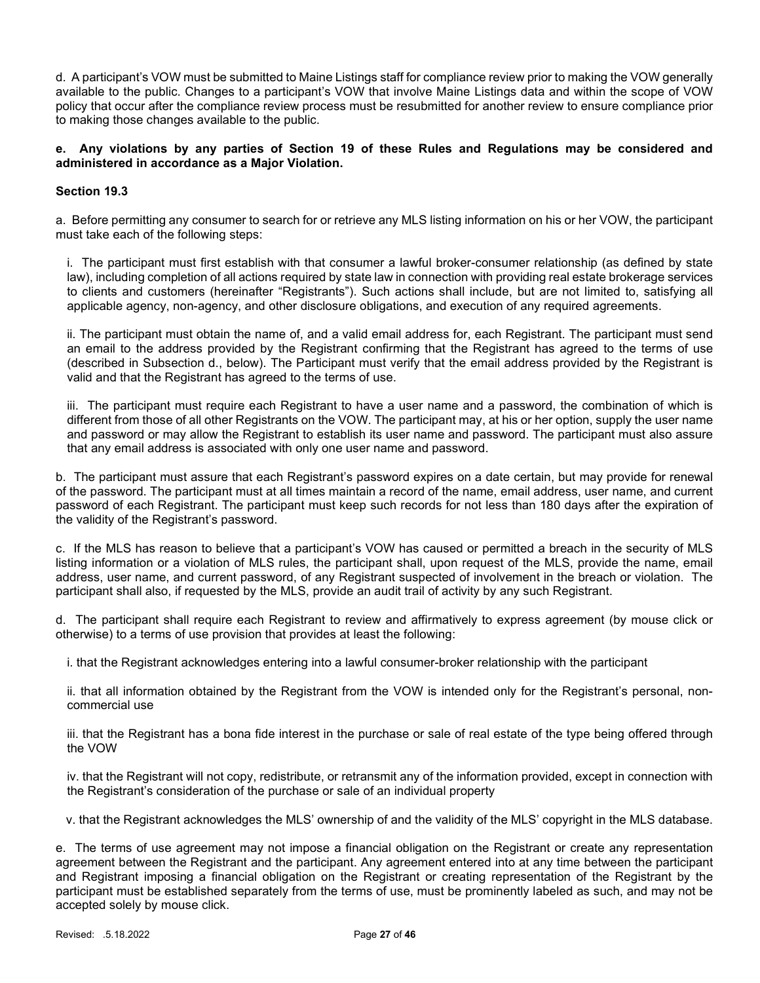d. A participant's VOW must be submitted to Maine Listings staff for compliance review prior to making the VOW generally available to the public. Changes to a participant's VOW that involve Maine Listings data and within the scope of VOW policy that occur after the compliance review process must be resubmitted for another review to ensure compliance prior to making those changes available to the public.

## e. Any violations by any parties of Section 19 of these Rules and Regulations may be considered and administered in accordance as a Major Violation.

## Section 19.3

a. Before permitting any consumer to search for or retrieve any MLS listing information on his or her VOW, the participant must take each of the following steps:

i. The participant must first establish with that consumer a lawful broker-consumer relationship (as defined by state law), including completion of all actions required by state law in connection with providing real estate brokerage services to clients and customers (hereinafter "Registrants"). Such actions shall include, but are not limited to, satisfying all applicable agency, non-agency, and other disclosure obligations, and execution of any required agreements.

ii. The participant must obtain the name of, and a valid email address for, each Registrant. The participant must send an email to the address provided by the Registrant confirming that the Registrant has agreed to the terms of use (described in Subsection d., below). The Participant must verify that the email address provided by the Registrant is valid and that the Registrant has agreed to the terms of use.

iii. The participant must require each Registrant to have a user name and a password, the combination of which is different from those of all other Registrants on the VOW. The participant may, at his or her option, supply the user name and password or may allow the Registrant to establish its user name and password. The participant must also assure that any email address is associated with only one user name and password.

b. The participant must assure that each Registrant's password expires on a date certain, but may provide for renewal of the password. The participant must at all times maintain a record of the name, email address, user name, and current password of each Registrant. The participant must keep such records for not less than 180 days after the expiration of the validity of the Registrant's password.

c. If the MLS has reason to believe that a participant's VOW has caused or permitted a breach in the security of MLS listing information or a violation of MLS rules, the participant shall, upon request of the MLS, provide the name, email address, user name, and current password, of any Registrant suspected of involvement in the breach or violation. The participant shall also, if requested by the MLS, provide an audit trail of activity by any such Registrant.

d. The participant shall require each Registrant to review and affirmatively to express agreement (by mouse click or otherwise) to a terms of use provision that provides at least the following:

i. that the Registrant acknowledges entering into a lawful consumer-broker relationship with the participant

ii. that all information obtained by the Registrant from the VOW is intended only for the Registrant's personal, noncommercial use

iii. that the Registrant has a bona fide interest in the purchase or sale of real estate of the type being offered through the VOW

iv. that the Registrant will not copy, redistribute, or retransmit any of the information provided, except in connection with the Registrant's consideration of the purchase or sale of an individual property

v. that the Registrant acknowledges the MLS' ownership of and the validity of the MLS' copyright in the MLS database.

e. The terms of use agreement may not impose a financial obligation on the Registrant or create any representation agreement between the Registrant and the participant. Any agreement entered into at any time between the participant and Registrant imposing a financial obligation on the Registrant or creating representation of the Registrant by the participant must be established separately from the terms of use, must be prominently labeled as such, and may not be accepted solely by mouse click.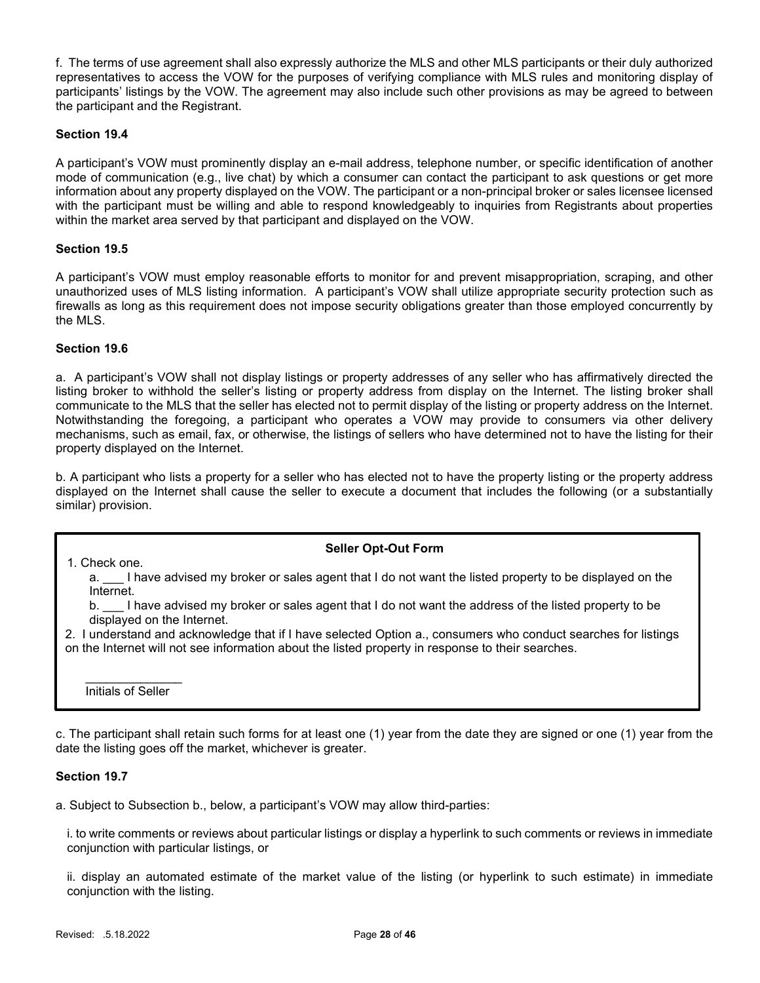f. The terms of use agreement shall also expressly authorize the MLS and other MLS participants or their duly authorized representatives to access the VOW for the purposes of verifying compliance with MLS rules and monitoring display of participants' listings by the VOW. The agreement may also include such other provisions as may be agreed to between the participant and the Registrant.

## Section 19.4

A participant's VOW must prominently display an e-mail address, telephone number, or specific identification of another mode of communication (e.g., live chat) by which a consumer can contact the participant to ask questions or get more information about any property displayed on the VOW. The participant or a non-principal broker or sales licensee licensed with the participant must be willing and able to respond knowledgeably to inquiries from Registrants about properties within the market area served by that participant and displayed on the VOW.

## Section 19.5

A participant's VOW must employ reasonable efforts to monitor for and prevent misappropriation, scraping, and other unauthorized uses of MLS listing information. A participant's VOW shall utilize appropriate security protection such as firewalls as long as this requirement does not impose security obligations greater than those employed concurrently by the MLS.

## Section 19.6

a. A participant's VOW shall not display listings or property addresses of any seller who has affirmatively directed the listing broker to withhold the seller's listing or property address from display on the Internet. The listing broker shall communicate to the MLS that the seller has elected not to permit display of the listing or property address on the Internet. Notwithstanding the foregoing, a participant who operates a VOW may provide to consumers via other delivery mechanisms, such as email, fax, or otherwise, the listings of sellers who have determined not to have the listing for their property displayed on the Internet.

b. A participant who lists a property for a seller who has elected not to have the property listing or the property address displayed on the Internet shall cause the seller to execute a document that includes the following (or a substantially similar) provision.

## Seller Opt-Out Form

a. I have advised my broker or sales agent that I do not want the listed property to be displayed on the Internet.

b. \_\_\_ I have advised my broker or sales agent that I do not want the address of the listed property to be displayed on the Internet.

2. I understand and acknowledge that if I have selected Option a., consumers who conduct searches for listings on the Internet will not see information about the listed property in response to their searches.

Initials of Seller

1. Check one.

c. The participant shall retain such forms for at least one (1) year from the date they are signed or one (1) year from the date the listing goes off the market, whichever is greater.

## Section 19.7

a. Subject to Subsection b., below, a participant's VOW may allow third-parties:

i. to write comments or reviews about particular listings or display a hyperlink to such comments or reviews in immediate conjunction with particular listings, or

ii. display an automated estimate of the market value of the listing (or hyperlink to such estimate) in immediate conjunction with the listing.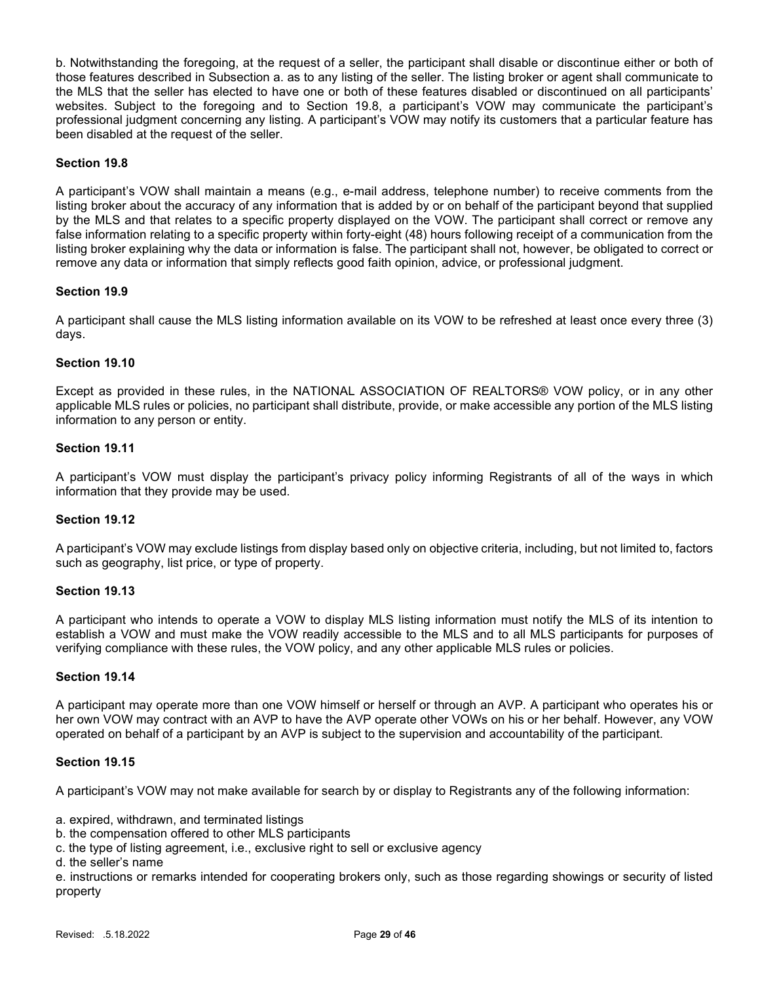b. Notwithstanding the foregoing, at the request of a seller, the participant shall disable or discontinue either or both of those features described in Subsection a. as to any listing of the seller. The listing broker or agent shall communicate to the MLS that the seller has elected to have one or both of these features disabled or discontinued on all participants' websites. Subject to the foregoing and to Section 19.8, a participant's VOW may communicate the participant's professional judgment concerning any listing. A participant's VOW may notify its customers that a particular feature has been disabled at the request of the seller.

## Section 19.8

A participant's VOW shall maintain a means (e.g., e-mail address, telephone number) to receive comments from the listing broker about the accuracy of any information that is added by or on behalf of the participant beyond that supplied by the MLS and that relates to a specific property displayed on the VOW. The participant shall correct or remove any false information relating to a specific property within forty-eight (48) hours following receipt of a communication from the listing broker explaining why the data or information is false. The participant shall not, however, be obligated to correct or remove any data or information that simply reflects good faith opinion, advice, or professional judgment.

#### Section 19.9

A participant shall cause the MLS listing information available on its VOW to be refreshed at least once every three (3) days.

#### Section 19.10

Except as provided in these rules, in the NATIONAL ASSOCIATION OF REALTORS® VOW policy, or in any other applicable MLS rules or policies, no participant shall distribute, provide, or make accessible any portion of the MLS listing information to any person or entity.

#### Section 19.11

A participant's VOW must display the participant's privacy policy informing Registrants of all of the ways in which information that they provide may be used.

## Section 19.12

A participant's VOW may exclude listings from display based only on objective criteria, including, but not limited to, factors such as geography, list price, or type of property.

#### Section 19.13

A participant who intends to operate a VOW to display MLS listing information must notify the MLS of its intention to establish a VOW and must make the VOW readily accessible to the MLS and to all MLS participants for purposes of verifying compliance with these rules, the VOW policy, and any other applicable MLS rules or policies.

#### Section 19.14

A participant may operate more than one VOW himself or herself or through an AVP. A participant who operates his or her own VOW may contract with an AVP to have the AVP operate other VOWs on his or her behalf. However, any VOW operated on behalf of a participant by an AVP is subject to the supervision and accountability of the participant.

#### Section 19.15

A participant's VOW may not make available for search by or display to Registrants any of the following information:

a. expired, withdrawn, and terminated listings

b. the compensation offered to other MLS participants

c. the type of listing agreement, i.e., exclusive right to sell or exclusive agency

d. the seller's name

e. instructions or remarks intended for cooperating brokers only, such as those regarding showings or security of listed property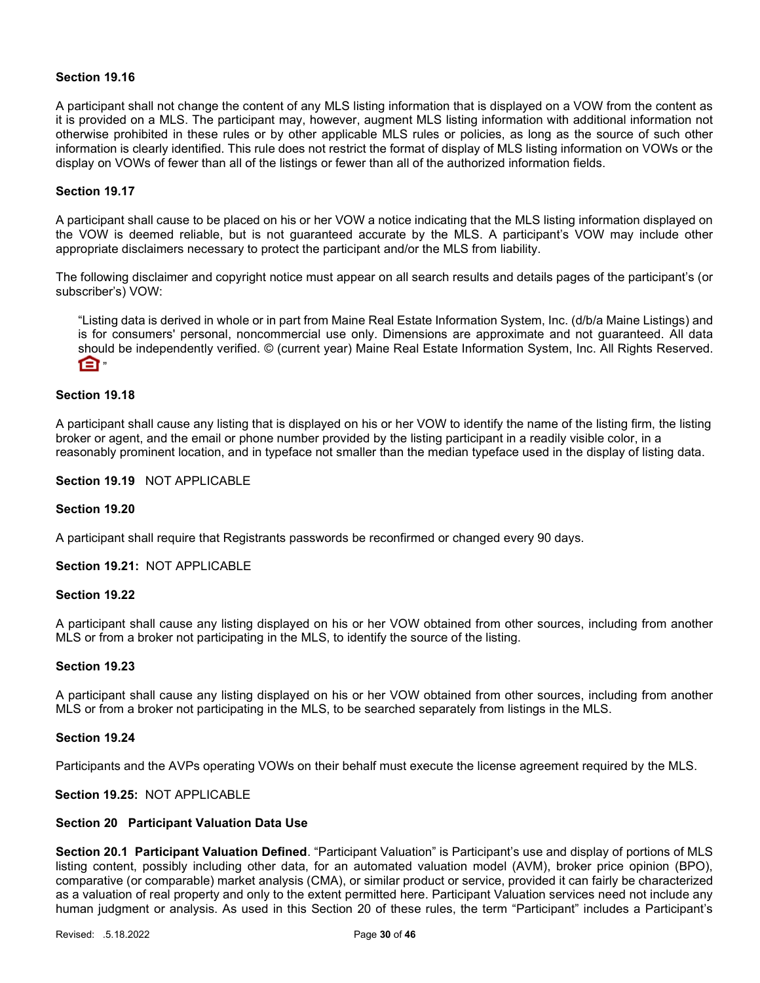#### Section 19.16

A participant shall not change the content of any MLS listing information that is displayed on a VOW from the content as it is provided on a MLS. The participant may, however, augment MLS listing information with additional information not otherwise prohibited in these rules or by other applicable MLS rules or policies, as long as the source of such other information is clearly identified. This rule does not restrict the format of display of MLS listing information on VOWs or the display on VOWs of fewer than all of the listings or fewer than all of the authorized information fields.

#### Section 19.17

A participant shall cause to be placed on his or her VOW a notice indicating that the MLS listing information displayed on the VOW is deemed reliable, but is not guaranteed accurate by the MLS. A participant's VOW may include other appropriate disclaimers necessary to protect the participant and/or the MLS from liability.

The following disclaimer and copyright notice must appear on all search results and details pages of the participant's (or subscriber's) VOW:

"Listing data is derived in whole or in part from Maine Real Estate Information System, Inc. (d/b/a Maine Listings) and is for consumers' personal, noncommercial use only. Dimensions are approximate and not guaranteed. All data should be independently verified. © (current year) Maine Real Estate Information System, Inc. All Rights Reserved.  $\mathsf{m}$ 

#### Section 19.18

A participant shall cause any listing that is displayed on his or her VOW to identify the name of the listing firm, the listing broker or agent, and the email or phone number provided by the listing participant in a readily visible color, in a reasonably prominent location, and in typeface not smaller than the median typeface used in the display of listing data.

#### Section 19.19 NOT APPLICABLE

#### Section 19.20

A participant shall require that Registrants passwords be reconfirmed or changed every 90 days.

Section 19.21: NOT APPLICABLE

## Section 19.22

A participant shall cause any listing displayed on his or her VOW obtained from other sources, including from another MLS or from a broker not participating in the MLS, to identify the source of the listing.

#### Section 19.23

A participant shall cause any listing displayed on his or her VOW obtained from other sources, including from another MLS or from a broker not participating in the MLS, to be searched separately from listings in the MLS.

#### Section 19.24

Participants and the AVPs operating VOWs on their behalf must execute the license agreement required by the MLS.

#### Section 19.25: NOT APPLICABLE

#### Section 20 Participant Valuation Data Use

Section 20.1 Participant Valuation Defined. "Participant Valuation" is Participant's use and display of portions of MLS listing content, possibly including other data, for an automated valuation model (AVM), broker price opinion (BPO), comparative (or comparable) market analysis (CMA), or similar product or service, provided it can fairly be characterized as a valuation of real property and only to the extent permitted here. Participant Valuation services need not include any human judgment or analysis. As used in this Section 20 of these rules, the term "Participant" includes a Participant's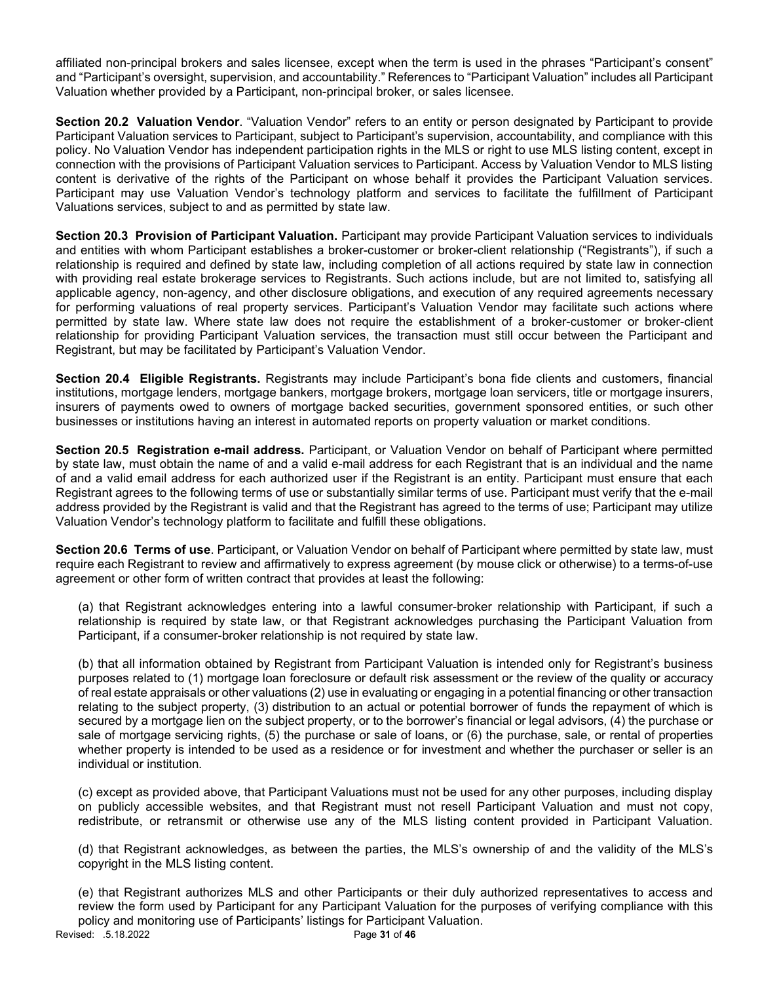affiliated non-principal brokers and sales licensee, except when the term is used in the phrases "Participant's consent" and "Participant's oversight, supervision, and accountability." References to "Participant Valuation" includes all Participant Valuation whether provided by a Participant, non-principal broker, or sales licensee.

Section 20.2 Valuation Vendor. "Valuation Vendor" refers to an entity or person designated by Participant to provide Participant Valuation services to Participant, subject to Participant's supervision, accountability, and compliance with this policy. No Valuation Vendor has independent participation rights in the MLS or right to use MLS listing content, except in connection with the provisions of Participant Valuation services to Participant. Access by Valuation Vendor to MLS listing content is derivative of the rights of the Participant on whose behalf it provides the Participant Valuation services. Participant may use Valuation Vendor's technology platform and services to facilitate the fulfillment of Participant Valuations services, subject to and as permitted by state law.

Section 20.3 Provision of Participant Valuation. Participant may provide Participant Valuation services to individuals and entities with whom Participant establishes a broker-customer or broker-client relationship ("Registrants"), if such a relationship is required and defined by state law, including completion of all actions required by state law in connection with providing real estate brokerage services to Registrants. Such actions include, but are not limited to, satisfying all applicable agency, non-agency, and other disclosure obligations, and execution of any required agreements necessary for performing valuations of real property services. Participant's Valuation Vendor may facilitate such actions where permitted by state law. Where state law does not require the establishment of a broker-customer or broker-client relationship for providing Participant Valuation services, the transaction must still occur between the Participant and Registrant, but may be facilitated by Participant's Valuation Vendor.

Section 20.4 Eligible Registrants. Registrants may include Participant's bona fide clients and customers, financial institutions, mortgage lenders, mortgage bankers, mortgage brokers, mortgage loan servicers, title or mortgage insurers, insurers of payments owed to owners of mortgage backed securities, government sponsored entities, or such other businesses or institutions having an interest in automated reports on property valuation or market conditions.

Section 20.5 Registration e-mail address. Participant, or Valuation Vendor on behalf of Participant where permitted by state law, must obtain the name of and a valid e-mail address for each Registrant that is an individual and the name of and a valid email address for each authorized user if the Registrant is an entity. Participant must ensure that each Registrant agrees to the following terms of use or substantially similar terms of use. Participant must verify that the e-mail address provided by the Registrant is valid and that the Registrant has agreed to the terms of use; Participant may utilize Valuation Vendor's technology platform to facilitate and fulfill these obligations.

Section 20.6 Terms of use. Participant, or Valuation Vendor on behalf of Participant where permitted by state law, must require each Registrant to review and affirmatively to express agreement (by mouse click or otherwise) to a terms-of-use agreement or other form of written contract that provides at least the following:

(a) that Registrant acknowledges entering into a lawful consumer-broker relationship with Participant, if such a relationship is required by state law, or that Registrant acknowledges purchasing the Participant Valuation from Participant, if a consumer-broker relationship is not required by state law.

(b) that all information obtained by Registrant from Participant Valuation is intended only for Registrant's business purposes related to (1) mortgage loan foreclosure or default risk assessment or the review of the quality or accuracy of real estate appraisals or other valuations (2) use in evaluating or engaging in a potential financing or other transaction relating to the subject property, (3) distribution to an actual or potential borrower of funds the repayment of which is secured by a mortgage lien on the subject property, or to the borrower's financial or legal advisors, (4) the purchase or sale of mortgage servicing rights, (5) the purchase or sale of loans, or (6) the purchase, sale, or rental of properties whether property is intended to be used as a residence or for investment and whether the purchaser or seller is an individual or institution.

(c) except as provided above, that Participant Valuations must not be used for any other purposes, including display on publicly accessible websites, and that Registrant must not resell Participant Valuation and must not copy, redistribute, or retransmit or otherwise use any of the MLS listing content provided in Participant Valuation.

(d) that Registrant acknowledges, as between the parties, the MLS's ownership of and the validity of the MLS's copyright in the MLS listing content.

Revised: .5.18.2022 **Page 31 of 46** (e) that Registrant authorizes MLS and other Participants or their duly authorized representatives to access and review the form used by Participant for any Participant Valuation for the purposes of verifying compliance with this policy and monitoring use of Participants' listings for Participant Valuation.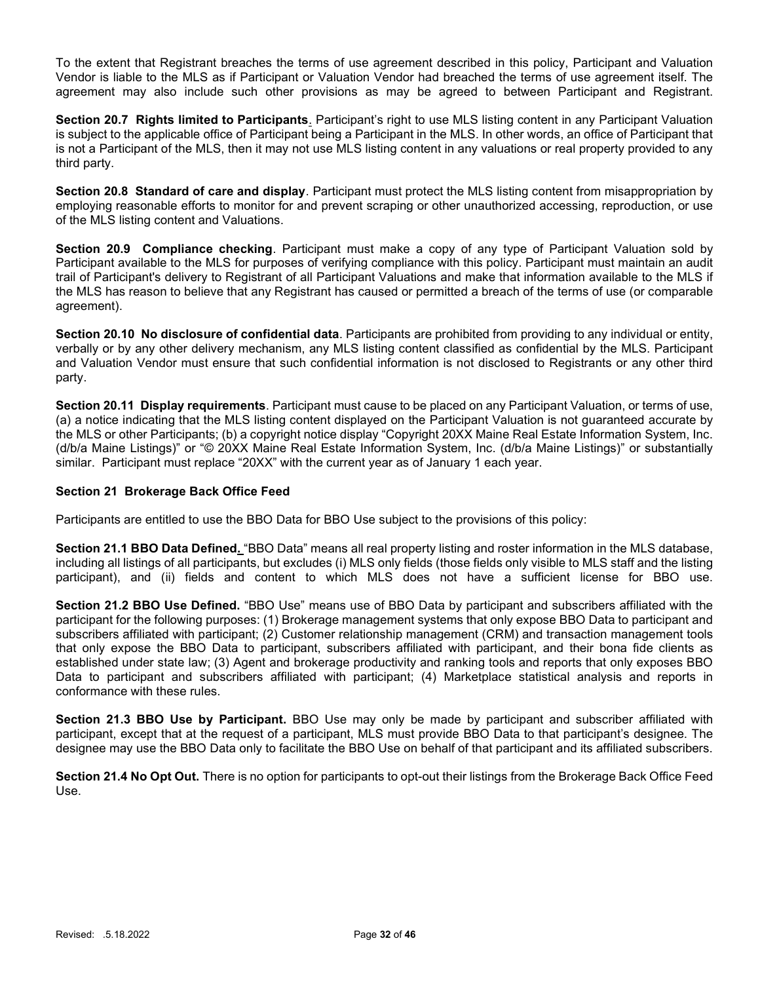To the extent that Registrant breaches the terms of use agreement described in this policy, Participant and Valuation Vendor is liable to the MLS as if Participant or Valuation Vendor had breached the terms of use agreement itself. The agreement may also include such other provisions as may be agreed to between Participant and Registrant.

Section 20.7 Rights limited to Participants. Participant's right to use MLS listing content in any Participant Valuation is subject to the applicable office of Participant being a Participant in the MLS. In other words, an office of Participant that is not a Participant of the MLS, then it may not use MLS listing content in any valuations or real property provided to any third party.

Section 20.8 Standard of care and display. Participant must protect the MLS listing content from misappropriation by employing reasonable efforts to monitor for and prevent scraping or other unauthorized accessing, reproduction, or use of the MLS listing content and Valuations.

Section 20.9 Compliance checking. Participant must make a copy of any type of Participant Valuation sold by Participant available to the MLS for purposes of verifying compliance with this policy. Participant must maintain an audit trail of Participant's delivery to Registrant of all Participant Valuations and make that information available to the MLS if the MLS has reason to believe that any Registrant has caused or permitted a breach of the terms of use (or comparable agreement).

Section 20.10 No disclosure of confidential data. Participants are prohibited from providing to any individual or entity, verbally or by any other delivery mechanism, any MLS listing content classified as confidential by the MLS. Participant and Valuation Vendor must ensure that such confidential information is not disclosed to Registrants or any other third party.

Section 20.11 Display requirements. Participant must cause to be placed on any Participant Valuation, or terms of use, (a) a notice indicating that the MLS listing content displayed on the Participant Valuation is not guaranteed accurate by the MLS or other Participants; (b) a copyright notice display "Copyright 20XX Maine Real Estate Information System, Inc. (d/b/a Maine Listings)" or "© 20XX Maine Real Estate Information System, Inc. (d/b/a Maine Listings)" or substantially similar. Participant must replace "20XX" with the current year as of January 1 each year.

## Section 21 Brokerage Back Office Feed

Participants are entitled to use the BBO Data for BBO Use subject to the provisions of this policy:

Section 21.1 BBO Data Defined. "BBO Data" means all real property listing and roster information in the MLS database, including all listings of all participants, but excludes (i) MLS only fields (those fields only visible to MLS staff and the listing participant), and (ii) fields and content to which MLS does not have a sufficient license for BBO use.

Section 21.2 BBO Use Defined. "BBO Use" means use of BBO Data by participant and subscribers affiliated with the participant for the following purposes: (1) Brokerage management systems that only expose BBO Data to participant and subscribers affiliated with participant; (2) Customer relationship management (CRM) and transaction management tools that only expose the BBO Data to participant, subscribers affiliated with participant, and their bona fide clients as established under state law; (3) Agent and brokerage productivity and ranking tools and reports that only exposes BBO Data to participant and subscribers affiliated with participant; (4) Marketplace statistical analysis and reports in conformance with these rules.

Section 21.3 BBO Use by Participant. BBO Use may only be made by participant and subscriber affiliated with participant, except that at the request of a participant, MLS must provide BBO Data to that participant's designee. The designee may use the BBO Data only to facilitate the BBO Use on behalf of that participant and its affiliated subscribers.

Section 21.4 No Opt Out. There is no option for participants to opt-out their listings from the Brokerage Back Office Feed Use.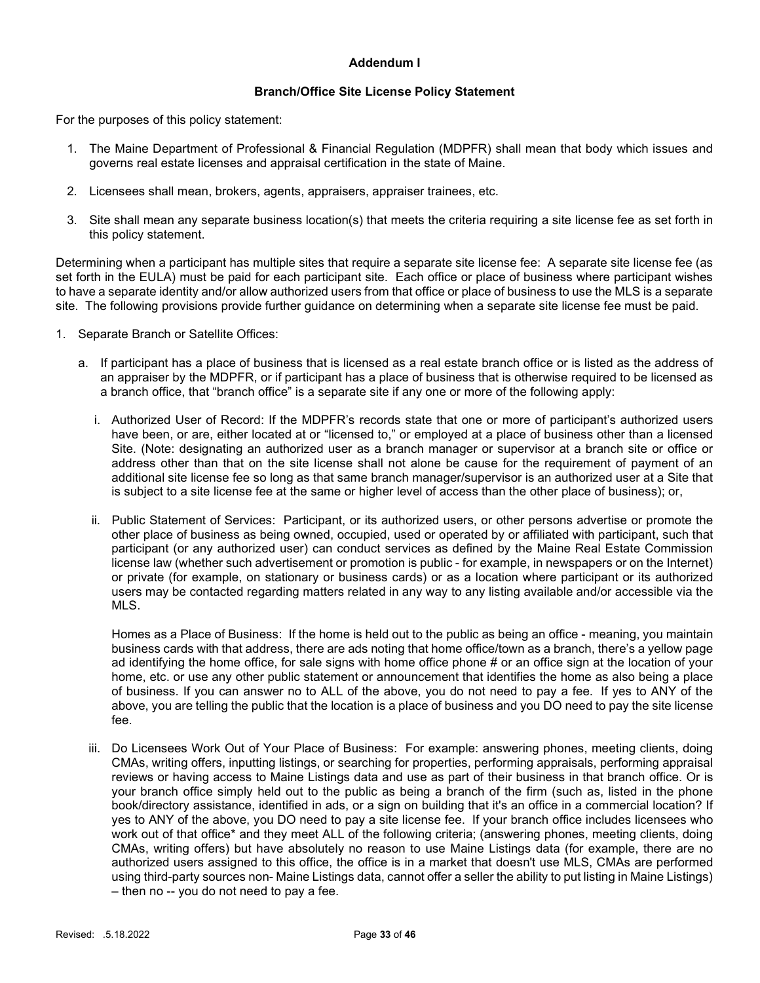## Addendum I

#### Branch/Office Site License Policy Statement

For the purposes of this policy statement:

- 1. The Maine Department of Professional & Financial Regulation (MDPFR) shall mean that body which issues and governs real estate licenses and appraisal certification in the state of Maine.
- 2. Licensees shall mean, brokers, agents, appraisers, appraiser trainees, etc.
- 3. Site shall mean any separate business location(s) that meets the criteria requiring a site license fee as set forth in this policy statement.

Determining when a participant has multiple sites that require a separate site license fee: A separate site license fee (as set forth in the EULA) must be paid for each participant site. Each office or place of business where participant wishes to have a separate identity and/or allow authorized users from that office or place of business to use the MLS is a separate site. The following provisions provide further guidance on determining when a separate site license fee must be paid.

- 1. Separate Branch or Satellite Offices:
	- a. If participant has a place of business that is licensed as a real estate branch office or is listed as the address of an appraiser by the MDPFR, or if participant has a place of business that is otherwise required to be licensed as a branch office, that "branch office" is a separate site if any one or more of the following apply:
		- i. Authorized User of Record: If the MDPFR's records state that one or more of participant's authorized users have been, or are, either located at or "licensed to," or employed at a place of business other than a licensed Site. (Note: designating an authorized user as a branch manager or supervisor at a branch site or office or address other than that on the site license shall not alone be cause for the requirement of payment of an additional site license fee so long as that same branch manager/supervisor is an authorized user at a Site that is subject to a site license fee at the same or higher level of access than the other place of business); or,
		- ii. Public Statement of Services: Participant, or its authorized users, or other persons advertise or promote the other place of business as being owned, occupied, used or operated by or affiliated with participant, such that participant (or any authorized user) can conduct services as defined by the Maine Real Estate Commission license law (whether such advertisement or promotion is public - for example, in newspapers or on the Internet) or private (for example, on stationary or business cards) or as a location where participant or its authorized users may be contacted regarding matters related in any way to any listing available and/or accessible via the MLS.

Homes as a Place of Business: If the home is held out to the public as being an office - meaning, you maintain business cards with that address, there are ads noting that home office/town as a branch, there's a yellow page ad identifying the home office, for sale signs with home office phone # or an office sign at the location of your home, etc. or use any other public statement or announcement that identifies the home as also being a place of business. If you can answer no to ALL of the above, you do not need to pay a fee. If yes to ANY of the above, you are telling the public that the location is a place of business and you DO need to pay the site license fee.

iii. Do Licensees Work Out of Your Place of Business: For example: answering phones, meeting clients, doing CMAs, writing offers, inputting listings, or searching for properties, performing appraisals, performing appraisal reviews or having access to Maine Listings data and use as part of their business in that branch office. Or is your branch office simply held out to the public as being a branch of the firm (such as, listed in the phone book/directory assistance, identified in ads, or a sign on building that it's an office in a commercial location? If yes to ANY of the above, you DO need to pay a site license fee. If your branch office includes licensees who work out of that office\* and they meet ALL of the following criteria; (answering phones, meeting clients, doing CMAs, writing offers) but have absolutely no reason to use Maine Listings data (for example, there are no authorized users assigned to this office, the office is in a market that doesn't use MLS, CMAs are performed using third-party sources non- Maine Listings data, cannot offer a seller the ability to put listing in Maine Listings) – then no -- you do not need to pay a fee.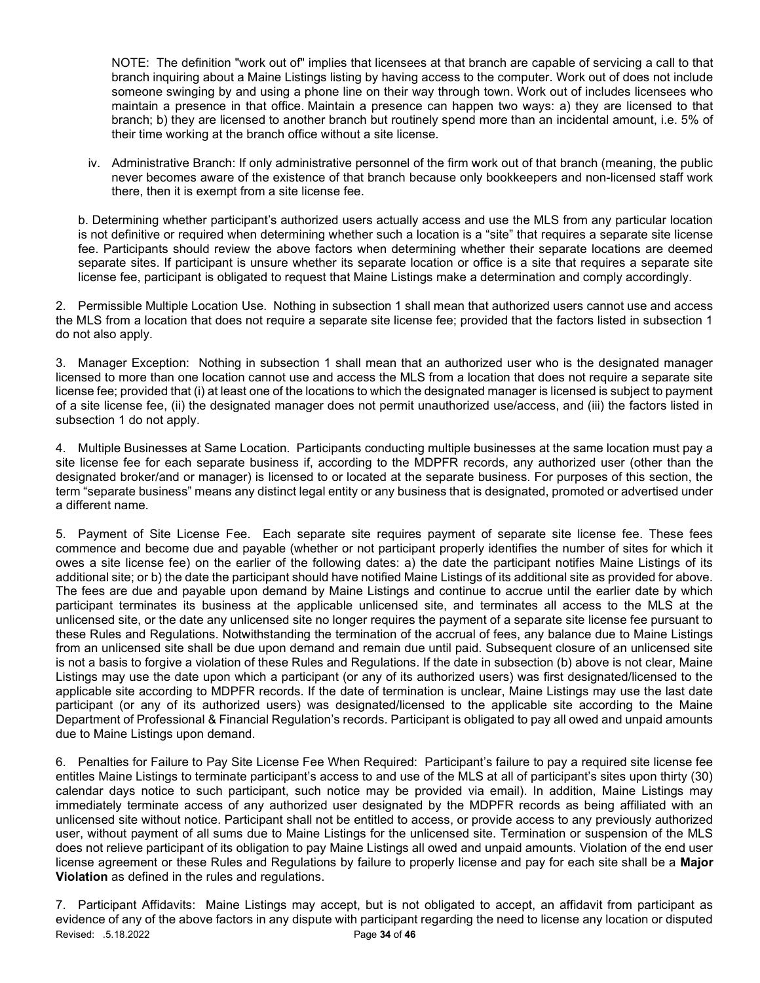NOTE: The definition "work out of" implies that licensees at that branch are capable of servicing a call to that branch inquiring about a Maine Listings listing by having access to the computer. Work out of does not include someone swinging by and using a phone line on their way through town. Work out of includes licensees who maintain a presence in that office. Maintain a presence can happen two ways: a) they are licensed to that branch; b) they are licensed to another branch but routinely spend more than an incidental amount, i.e. 5% of their time working at the branch office without a site license.

iv. Administrative Branch: If only administrative personnel of the firm work out of that branch (meaning, the public never becomes aware of the existence of that branch because only bookkeepers and non-licensed staff work there, then it is exempt from a site license fee.

b. Determining whether participant's authorized users actually access and use the MLS from any particular location is not definitive or required when determining whether such a location is a "site" that requires a separate site license fee. Participants should review the above factors when determining whether their separate locations are deemed separate sites. If participant is unsure whether its separate location or office is a site that requires a separate site license fee, participant is obligated to request that Maine Listings make a determination and comply accordingly.

2. Permissible Multiple Location Use. Nothing in subsection 1 shall mean that authorized users cannot use and access the MLS from a location that does not require a separate site license fee; provided that the factors listed in subsection 1 do not also apply.

3. Manager Exception: Nothing in subsection 1 shall mean that an authorized user who is the designated manager licensed to more than one location cannot use and access the MLS from a location that does not require a separate site license fee; provided that (i) at least one of the locations to which the designated manager is licensed is subject to payment of a site license fee, (ii) the designated manager does not permit unauthorized use/access, and (iii) the factors listed in subsection 1 do not apply.

4. Multiple Businesses at Same Location. Participants conducting multiple businesses at the same location must pay a site license fee for each separate business if, according to the MDPFR records, any authorized user (other than the designated broker/and or manager) is licensed to or located at the separate business. For purposes of this section, the term "separate business" means any distinct legal entity or any business that is designated, promoted or advertised under a different name.

5. Payment of Site License Fee. Each separate site requires payment of separate site license fee. These fees commence and become due and payable (whether or not participant properly identifies the number of sites for which it owes a site license fee) on the earlier of the following dates: a) the date the participant notifies Maine Listings of its additional site; or b) the date the participant should have notified Maine Listings of its additional site as provided for above. The fees are due and payable upon demand by Maine Listings and continue to accrue until the earlier date by which participant terminates its business at the applicable unlicensed site, and terminates all access to the MLS at the unlicensed site, or the date any unlicensed site no longer requires the payment of a separate site license fee pursuant to these Rules and Regulations. Notwithstanding the termination of the accrual of fees, any balance due to Maine Listings from an unlicensed site shall be due upon demand and remain due until paid. Subsequent closure of an unlicensed site is not a basis to forgive a violation of these Rules and Regulations. If the date in subsection (b) above is not clear, Maine Listings may use the date upon which a participant (or any of its authorized users) was first designated/licensed to the applicable site according to MDPFR records. If the date of termination is unclear, Maine Listings may use the last date participant (or any of its authorized users) was designated/licensed to the applicable site according to the Maine Department of Professional & Financial Regulation's records. Participant is obligated to pay all owed and unpaid amounts due to Maine Listings upon demand.

6. Penalties for Failure to Pay Site License Fee When Required: Participant's failure to pay a required site license fee entitles Maine Listings to terminate participant's access to and use of the MLS at all of participant's sites upon thirty (30) calendar days notice to such participant, such notice may be provided via email). In addition, Maine Listings may immediately terminate access of any authorized user designated by the MDPFR records as being affiliated with an unlicensed site without notice. Participant shall not be entitled to access, or provide access to any previously authorized user, without payment of all sums due to Maine Listings for the unlicensed site. Termination or suspension of the MLS does not relieve participant of its obligation to pay Maine Listings all owed and unpaid amounts. Violation of the end user license agreement or these Rules and Regulations by failure to properly license and pay for each site shall be a Major Violation as defined in the rules and regulations.

Revised: .5.18.2022 **Page 34 of 46** 7. Participant Affidavits: Maine Listings may accept, but is not obligated to accept, an affidavit from participant as evidence of any of the above factors in any dispute with participant regarding the need to license any location or disputed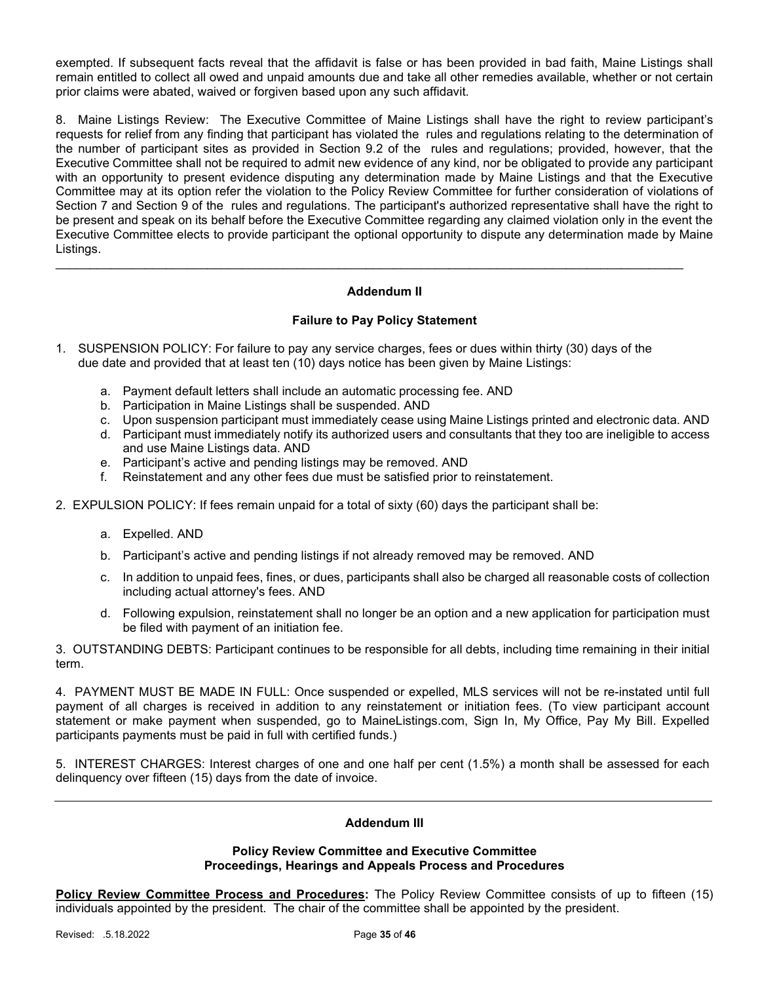exempted. If subsequent facts reveal that the affidavit is false or has been provided in bad faith, Maine Listings shall remain entitled to collect all owed and unpaid amounts due and take all other remedies available, whether or not certain prior claims were abated, waived or forgiven based upon any such affidavit.

8. Maine Listings Review: The Executive Committee of Maine Listings shall have the right to review participant's requests for relief from any finding that participant has violated the rules and regulations relating to the determination of the number of participant sites as provided in Section 9.2 of the rules and regulations; provided, however, that the Executive Committee shall not be required to admit new evidence of any kind, nor be obligated to provide any participant with an opportunity to present evidence disputing any determination made by Maine Listings and that the Executive Committee may at its option refer the violation to the Policy Review Committee for further consideration of violations of Section 7 and Section 9 of the rules and regulations. The participant's authorized representative shall have the right to be present and speak on its behalf before the Executive Committee regarding any claimed violation only in the event the Executive Committee elects to provide participant the optional opportunity to dispute any determination made by Maine Listings.

## Addendum II

\_\_\_\_\_\_\_\_\_\_\_\_\_\_\_\_\_\_\_\_\_\_\_\_\_\_\_\_\_\_\_\_\_\_\_\_\_\_\_\_\_\_\_\_\_\_\_\_\_\_\_\_\_\_\_\_\_\_\_\_\_\_\_\_\_\_\_\_\_\_\_\_\_\_\_\_\_\_\_\_\_\_\_\_\_\_\_\_\_\_\_

## Failure to Pay Policy Statement

- 1. SUSPENSION POLICY: For failure to pay any service charges, fees or dues within thirty (30) days of the due date and provided that at least ten (10) days notice has been given by Maine Listings:
	- a. Payment default letters shall include an automatic processing fee. AND
	- b. Participation in Maine Listings shall be suspended. AND
	- c. Upon suspension participant must immediately cease using Maine Listings printed and electronic data. AND
	- d. Participant must immediately notify its authorized users and consultants that they too are ineligible to access and use Maine Listings data. AND
	- e. Participant's active and pending listings may be removed. AND
	- f. Reinstatement and any other fees due must be satisfied prior to reinstatement.
- 2. EXPULSION POLICY: If fees remain unpaid for a total of sixty (60) days the participant shall be:
	- a. Expelled. AND
	- b. Participant's active and pending listings if not already removed may be removed. AND
	- c. In addition to unpaid fees, fines, or dues, participants shall also be charged all reasonable costs of collection including actual attorney's fees. AND
	- d. Following expulsion, reinstatement shall no longer be an option and a new application for participation must be filed with payment of an initiation fee.

3. OUTSTANDING DEBTS: Participant continues to be responsible for all debts, including time remaining in their initial term.

4. PAYMENT MUST BE MADE IN FULL: Once suspended or expelled, MLS services will not be re-instated until full payment of all charges is received in addition to any reinstatement or initiation fees. (To view participant account statement or make payment when suspended, go to MaineListings.com, Sign In, My Office, Pay My Bill. Expelled participants payments must be paid in full with certified funds.)

5. INTEREST CHARGES: Interest charges of one and one half per cent (1.5%) a month shall be assessed for each delinquency over fifteen (15) days from the date of invoice.

## Addendum III

## Policy Review Committee and Executive Committee Proceedings, Hearings and Appeals Process and Procedures

Policy Review Committee Process and Procedures: The Policy Review Committee consists of up to fifteen (15) individuals appointed by the president. The chair of the committee shall be appointed by the president.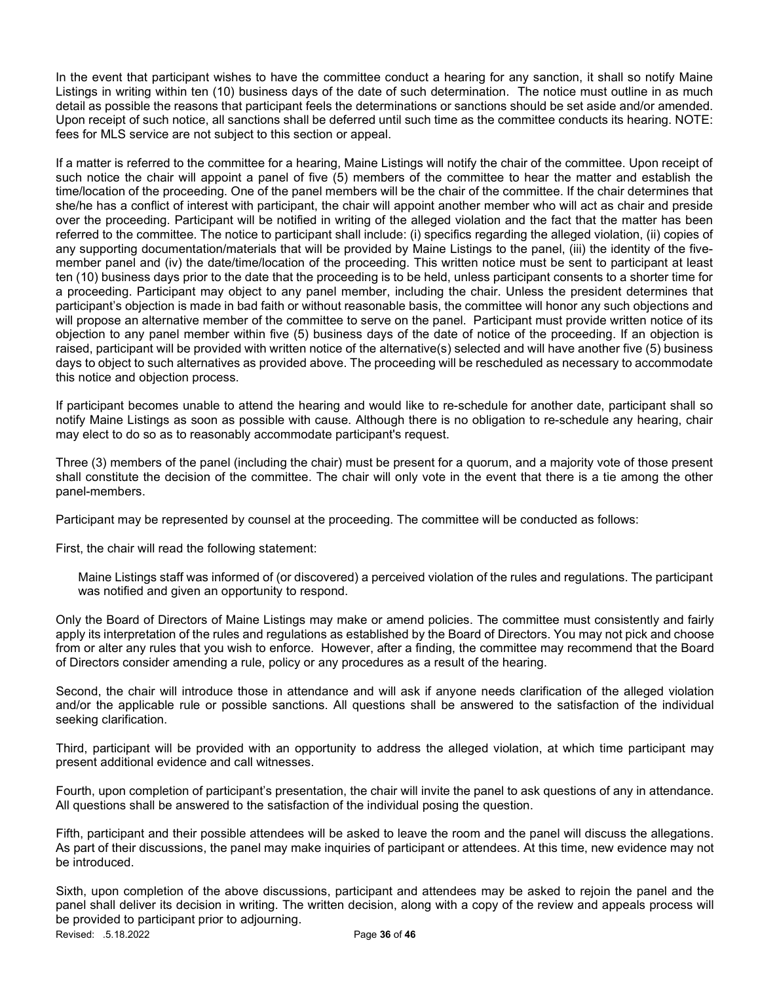In the event that participant wishes to have the committee conduct a hearing for any sanction, it shall so notify Maine Listings in writing within ten (10) business days of the date of such determination. The notice must outline in as much detail as possible the reasons that participant feels the determinations or sanctions should be set aside and/or amended. Upon receipt of such notice, all sanctions shall be deferred until such time as the committee conducts its hearing. NOTE: fees for MLS service are not subject to this section or appeal.

If a matter is referred to the committee for a hearing, Maine Listings will notify the chair of the committee. Upon receipt of such notice the chair will appoint a panel of five (5) members of the committee to hear the matter and establish the time/location of the proceeding. One of the panel members will be the chair of the committee. If the chair determines that she/he has a conflict of interest with participant, the chair will appoint another member who will act as chair and preside over the proceeding. Participant will be notified in writing of the alleged violation and the fact that the matter has been referred to the committee. The notice to participant shall include: (i) specifics regarding the alleged violation, (ii) copies of any supporting documentation/materials that will be provided by Maine Listings to the panel, (iii) the identity of the fivemember panel and (iv) the date/time/location of the proceeding. This written notice must be sent to participant at least ten (10) business days prior to the date that the proceeding is to be held, unless participant consents to a shorter time for a proceeding. Participant may object to any panel member, including the chair. Unless the president determines that participant's objection is made in bad faith or without reasonable basis, the committee will honor any such objections and will propose an alternative member of the committee to serve on the panel. Participant must provide written notice of its objection to any panel member within five (5) business days of the date of notice of the proceeding. If an objection is raised, participant will be provided with written notice of the alternative(s) selected and will have another five (5) business days to object to such alternatives as provided above. The proceeding will be rescheduled as necessary to accommodate this notice and objection process.

If participant becomes unable to attend the hearing and would like to re-schedule for another date, participant shall so notify Maine Listings as soon as possible with cause. Although there is no obligation to re-schedule any hearing, chair may elect to do so as to reasonably accommodate participant's request.

Three (3) members of the panel (including the chair) must be present for a quorum, and a majority vote of those present shall constitute the decision of the committee. The chair will only vote in the event that there is a tie among the other panel-members.

Participant may be represented by counsel at the proceeding. The committee will be conducted as follows:

First, the chair will read the following statement:

Maine Listings staff was informed of (or discovered) a perceived violation of the rules and regulations. The participant was notified and given an opportunity to respond.

Only the Board of Directors of Maine Listings may make or amend policies. The committee must consistently and fairly apply its interpretation of the rules and regulations as established by the Board of Directors. You may not pick and choose from or alter any rules that you wish to enforce. However, after a finding, the committee may recommend that the Board of Directors consider amending a rule, policy or any procedures as a result of the hearing.

Second, the chair will introduce those in attendance and will ask if anyone needs clarification of the alleged violation and/or the applicable rule or possible sanctions. All questions shall be answered to the satisfaction of the individual seeking clarification.

Third, participant will be provided with an opportunity to address the alleged violation, at which time participant may present additional evidence and call witnesses.

Fourth, upon completion of participant's presentation, the chair will invite the panel to ask questions of any in attendance. All questions shall be answered to the satisfaction of the individual posing the question.

Fifth, participant and their possible attendees will be asked to leave the room and the panel will discuss the allegations. As part of their discussions, the panel may make inquiries of participant or attendees. At this time, new evidence may not be introduced.

Revised: .5.18.2022 **Page 36 of 46** Sixth, upon completion of the above discussions, participant and attendees may be asked to rejoin the panel and the panel shall deliver its decision in writing. The written decision, along with a copy of the review and appeals process will be provided to participant prior to adjourning.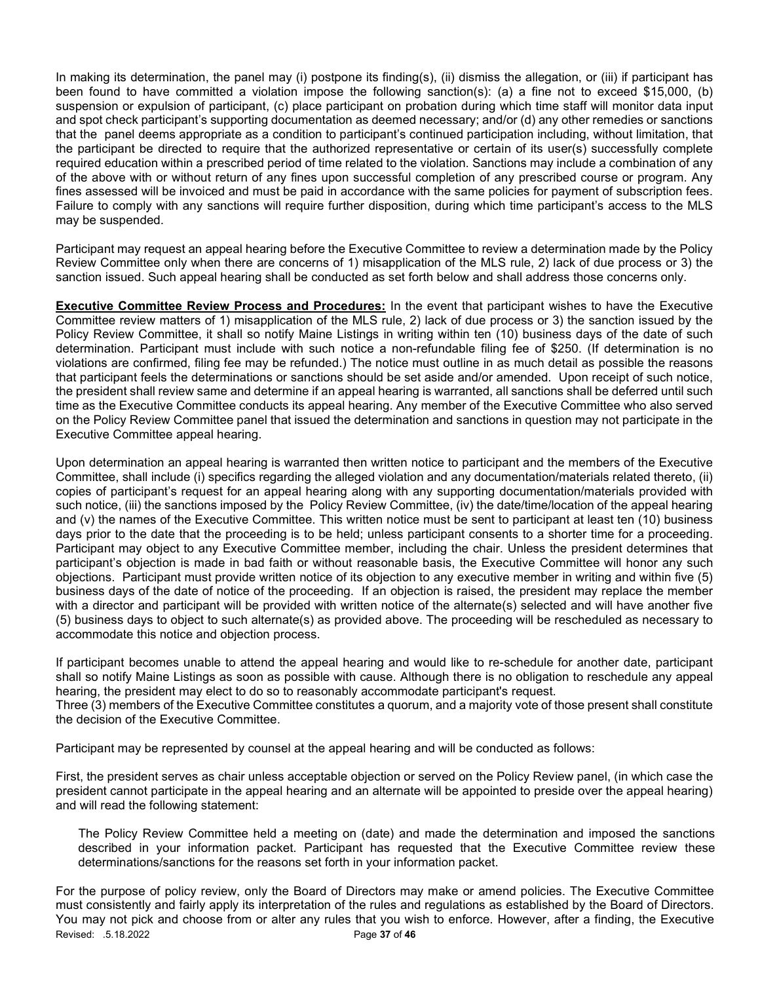In making its determination, the panel may (i) postpone its finding(s), (ii) dismiss the allegation, or (iii) if participant has been found to have committed a violation impose the following sanction(s): (a) a fine not to exceed \$15,000, (b) suspension or expulsion of participant, (c) place participant on probation during which time staff will monitor data input and spot check participant's supporting documentation as deemed necessary; and/or (d) any other remedies or sanctions that the panel deems appropriate as a condition to participant's continued participation including, without limitation, that the participant be directed to require that the authorized representative or certain of its user(s) successfully complete required education within a prescribed period of time related to the violation. Sanctions may include a combination of any of the above with or without return of any fines upon successful completion of any prescribed course or program. Any fines assessed will be invoiced and must be paid in accordance with the same policies for payment of subscription fees. Failure to comply with any sanctions will require further disposition, during which time participant's access to the MLS may be suspended.

Participant may request an appeal hearing before the Executive Committee to review a determination made by the Policy Review Committee only when there are concerns of 1) misapplication of the MLS rule, 2) lack of due process or 3) the sanction issued. Such appeal hearing shall be conducted as set forth below and shall address those concerns only.

**Executive Committee Review Process and Procedures:** In the event that participant wishes to have the Executive Committee review matters of 1) misapplication of the MLS rule, 2) lack of due process or 3) the sanction issued by the Policy Review Committee, it shall so notify Maine Listings in writing within ten (10) business days of the date of such determination. Participant must include with such notice a non-refundable filing fee of \$250. (If determination is no violations are confirmed, filing fee may be refunded.) The notice must outline in as much detail as possible the reasons that participant feels the determinations or sanctions should be set aside and/or amended. Upon receipt of such notice, the president shall review same and determine if an appeal hearing is warranted, all sanctions shall be deferred until such time as the Executive Committee conducts its appeal hearing. Any member of the Executive Committee who also served on the Policy Review Committee panel that issued the determination and sanctions in question may not participate in the Executive Committee appeal hearing.

Upon determination an appeal hearing is warranted then written notice to participant and the members of the Executive Committee, shall include (i) specifics regarding the alleged violation and any documentation/materials related thereto, (ii) copies of participant's request for an appeal hearing along with any supporting documentation/materials provided with such notice, (iii) the sanctions imposed by the Policy Review Committee, (iv) the date/time/location of the appeal hearing and (v) the names of the Executive Committee. This written notice must be sent to participant at least ten (10) business days prior to the date that the proceeding is to be held; unless participant consents to a shorter time for a proceeding. Participant may object to any Executive Committee member, including the chair. Unless the president determines that participant's objection is made in bad faith or without reasonable basis, the Executive Committee will honor any such objections. Participant must provide written notice of its objection to any executive member in writing and within five (5) business days of the date of notice of the proceeding. If an objection is raised, the president may replace the member with a director and participant will be provided with written notice of the alternate(s) selected and will have another five (5) business days to object to such alternate(s) as provided above. The proceeding will be rescheduled as necessary to accommodate this notice and objection process.

If participant becomes unable to attend the appeal hearing and would like to re-schedule for another date, participant shall so notify Maine Listings as soon as possible with cause. Although there is no obligation to reschedule any appeal hearing, the president may elect to do so to reasonably accommodate participant's request.

Three (3) members of the Executive Committee constitutes a quorum, and a majority vote of those present shall constitute the decision of the Executive Committee.

Participant may be represented by counsel at the appeal hearing and will be conducted as follows:

First, the president serves as chair unless acceptable objection or served on the Policy Review panel, (in which case the president cannot participate in the appeal hearing and an alternate will be appointed to preside over the appeal hearing) and will read the following statement:

The Policy Review Committee held a meeting on (date) and made the determination and imposed the sanctions described in your information packet. Participant has requested that the Executive Committee review these determinations/sanctions for the reasons set forth in your information packet.

Revised: .5.18.2022 Page 37 of 46 For the purpose of policy review, only the Board of Directors may make or amend policies. The Executive Committee must consistently and fairly apply its interpretation of the rules and regulations as established by the Board of Directors. You may not pick and choose from or alter any rules that you wish to enforce. However, after a finding, the Executive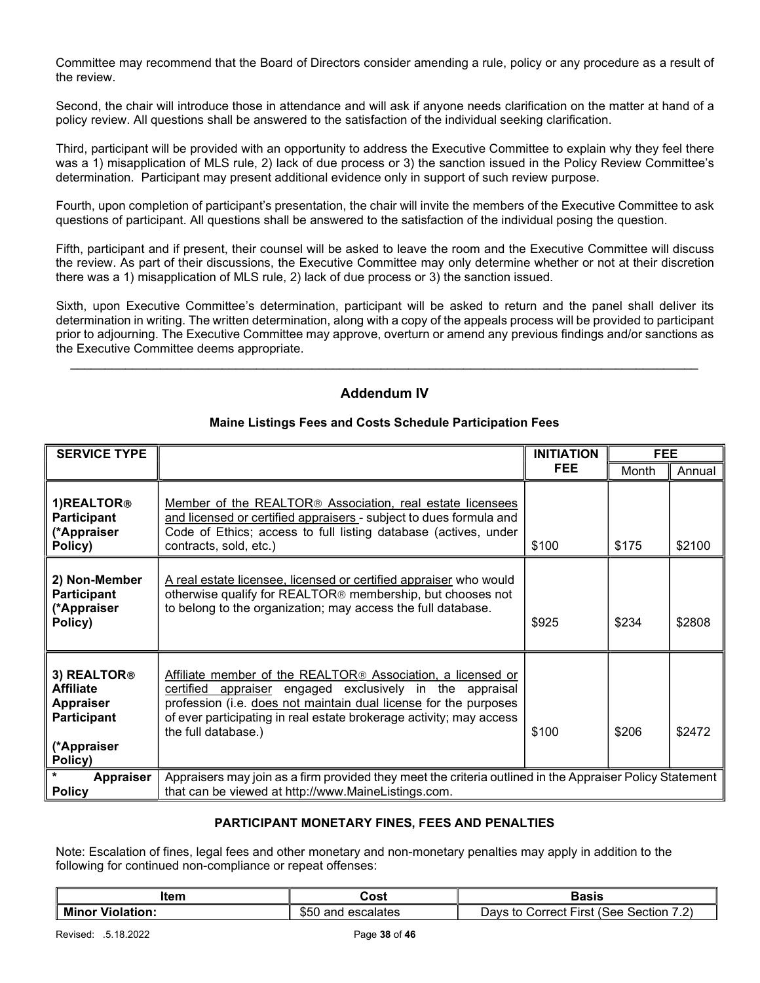Committee may recommend that the Board of Directors consider amending a rule, policy or any procedure as a result of the review.

Second, the chair will introduce those in attendance and will ask if anyone needs clarification on the matter at hand of a policy review. All questions shall be answered to the satisfaction of the individual seeking clarification.

Third, participant will be provided with an opportunity to address the Executive Committee to explain why they feel there was a 1) misapplication of MLS rule, 2) lack of due process or 3) the sanction issued in the Policy Review Committee's determination. Participant may present additional evidence only in support of such review purpose.

Fourth, upon completion of participant's presentation, the chair will invite the members of the Executive Committee to ask questions of participant. All questions shall be answered to the satisfaction of the individual posing the question.

Fifth, participant and if present, their counsel will be asked to leave the room and the Executive Committee will discuss the review. As part of their discussions, the Executive Committee may only determine whether or not at their discretion there was a 1) misapplication of MLS rule, 2) lack of due process or 3) the sanction issued.

Sixth, upon Executive Committee's determination, participant will be asked to return and the panel shall deliver its determination in writing. The written determination, along with a copy of the appeals process will be provided to participant prior to adjourning. The Executive Committee may approve, overturn or amend any previous findings and/or sanctions as the Executive Committee deems appropriate.

## Addendum IV

 $\mathcal{L}_\mathcal{L} = \mathcal{L}_\mathcal{L} = \mathcal{L}_\mathcal{L} = \mathcal{L}_\mathcal{L} = \mathcal{L}_\mathcal{L} = \mathcal{L}_\mathcal{L} = \mathcal{L}_\mathcal{L} = \mathcal{L}_\mathcal{L} = \mathcal{L}_\mathcal{L} = \mathcal{L}_\mathcal{L} = \mathcal{L}_\mathcal{L} = \mathcal{L}_\mathcal{L} = \mathcal{L}_\mathcal{L} = \mathcal{L}_\mathcal{L} = \mathcal{L}_\mathcal{L} = \mathcal{L}_\mathcal{L} = \mathcal{L}_\mathcal{L}$ 

| <b>SERVICE TYPE</b>                                                                                             |                                                                                                                                                                                                                                                                                                       | <b>INITIATION</b> | <b>FEE</b> |        |
|-----------------------------------------------------------------------------------------------------------------|-------------------------------------------------------------------------------------------------------------------------------------------------------------------------------------------------------------------------------------------------------------------------------------------------------|-------------------|------------|--------|
|                                                                                                                 |                                                                                                                                                                                                                                                                                                       | FEE.              | Month      | Annual |
| 1) REALTOR <sup>®</sup><br><b>Participant</b><br>(*Appraiser<br>Policy)                                         | Member of the REALTOR <sup>®</sup> Association, real estate licensees<br>and licensed or certified appraisers - subject to dues formula and<br>Code of Ethics; access to full listing database (actives, under<br>contracts, sold, etc.)                                                              | \$100             | \$175      | \$2100 |
| 2) Non-Member<br><b>Participant</b><br>(*Appraiser<br>Policy)                                                   | A real estate licensee, licensed or certified appraiser who would<br>otherwise qualify for REALTOR® membership, but chooses not<br>to belong to the organization; may access the full database.                                                                                                       | \$925             | \$234      | \$2808 |
| 3) REALTOR <sup>®</sup><br><b>Affiliate</b><br><b>Appraiser</b><br><b>Participant</b><br>(*Appraiser<br>Policy) | Affiliate member of the REALTOR <sup>®</sup> Association, a licensed or<br>certified appraiser engaged exclusively in the appraisal<br>profession (i.e. does not maintain dual license for the purposes<br>of ever participating in real estate brokerage activity; may access<br>the full database.) | \$100             | \$206      | \$2472 |
| Appraiser<br><b>Policy</b>                                                                                      | Appraisers may join as a firm provided they meet the criteria outlined in the Appraiser Policy Statement<br>that can be viewed at http://www.MaineListings.com.                                                                                                                                       |                   |            |        |

## Maine Listings Fees and Costs Schedule Participation Fees

## PARTICIPANT MONETARY FINES, FEES AND PENALTIES

Note: Escalation of fines, legal fees and other monetary and non-monetary penalties may apply in addition to the following for continued non-compliance or repeat offenses:

| ltem             | Cost                  | Basis                                   |
|------------------|-----------------------|-----------------------------------------|
| Minor Violation: | \$50<br>and escalates | Days to Correct First (See Section 7.2) |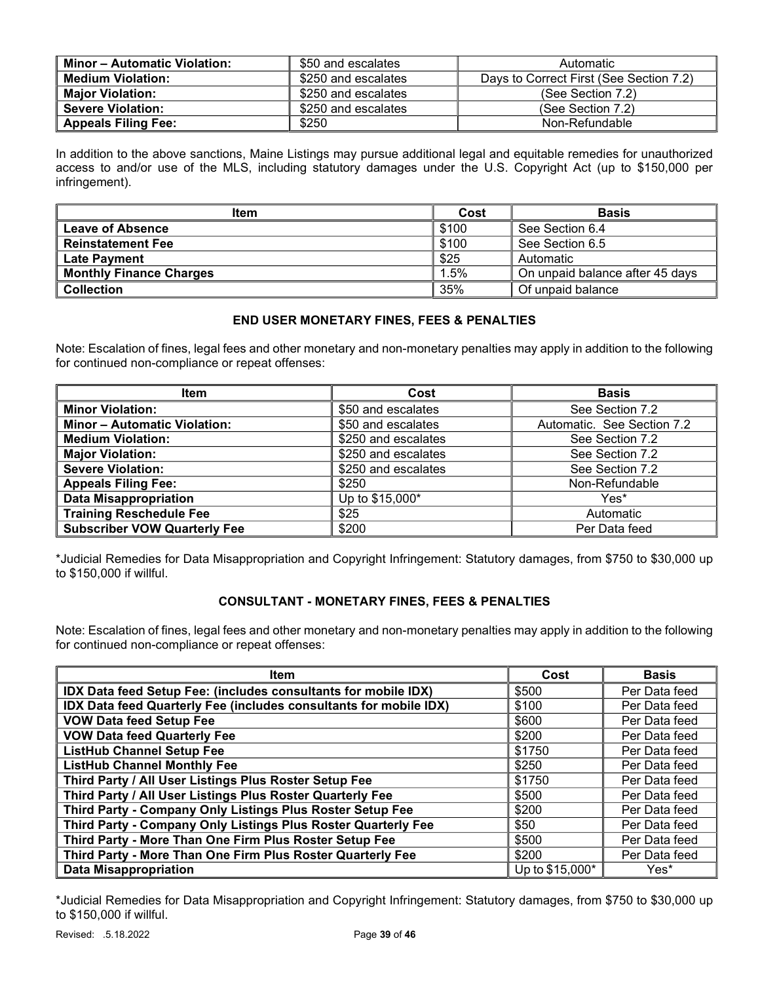| <b>Minor – Automatic Violation:</b> | \$50 and escalates  | Automatic                               |
|-------------------------------------|---------------------|-----------------------------------------|
| <b>Medium Violation:</b>            | \$250 and escalates | Days to Correct First (See Section 7.2) |
| <b>Major Violation:</b>             | \$250 and escalates | (See Section 7.2)                       |
| <b>Severe Violation:</b>            | \$250 and escalates | (See Section 7.2)                       |
| <b>Appeals Filing Fee:</b>          | \$250               | Non-Refundable                          |

In addition to the above sanctions, Maine Listings may pursue additional legal and equitable remedies for unauthorized access to and/or use of the MLS, including statutory damages under the U.S. Copyright Act (up to \$150,000 per infringement).

| <b>Item</b>                    | Cost  | <b>Basis</b>                    |
|--------------------------------|-------|---------------------------------|
| Leave of Absence               | \$100 | See Section 6.4                 |
| <b>Reinstatement Fee</b>       | \$100 | See Section 6.5                 |
| <b>Late Payment</b>            | \$25  | Automatic                       |
| <b>Monthly Finance Charges</b> | 1.5%  | On unpaid balance after 45 days |
| <b>Collection</b>              | 35%   | Of unpaid balance               |

## END USER MONETARY FINES, FEES & PENALTIES

Note: Escalation of fines, legal fees and other monetary and non-monetary penalties may apply in addition to the following for continued non-compliance or repeat offenses:

| <b>Item</b>                         | Cost                | <b>Basis</b>               |
|-------------------------------------|---------------------|----------------------------|
| <b>Minor Violation:</b>             | \$50 and escalates  | See Section 7.2            |
| <b>Minor - Automatic Violation:</b> | \$50 and escalates  | Automatic. See Section 7.2 |
| <b>Medium Violation:</b>            | \$250 and escalates | See Section 7.2            |
| <b>Major Violation:</b>             | \$250 and escalates | See Section 7.2            |
| <b>Severe Violation:</b>            | \$250 and escalates | See Section 7.2            |
| <b>Appeals Filing Fee:</b>          | \$250               | Non-Refundable             |
| <b>Data Misappropriation</b>        | Up to \$15,000*     | Yes*                       |
| <b>Training Reschedule Fee</b>      | \$25                | Automatic                  |
| <b>Subscriber VOW Quarterly Fee</b> | \$200               | Per Data feed              |

\*Judicial Remedies for Data Misappropriation and Copyright Infringement: Statutory damages, from \$750 to \$30,000 up to \$150,000 if willful.

## CONSULTANT - MONETARY FINES, FEES & PENALTIES

Note: Escalation of fines, legal fees and other monetary and non-monetary penalties may apply in addition to the following for continued non-compliance or repeat offenses:

| <b>Item</b>                                                       | Cost            | <b>Basis</b>  |
|-------------------------------------------------------------------|-----------------|---------------|
| IDX Data feed Setup Fee: (includes consultants for mobile IDX)    | \$500           | Per Data feed |
| IDX Data feed Quarterly Fee (includes consultants for mobile IDX) | \$100           | Per Data feed |
| <b>VOW Data feed Setup Fee</b>                                    | \$600           | Per Data feed |
| <b>VOW Data feed Quarterly Fee</b>                                | \$200           | Per Data feed |
| <b>ListHub Channel Setup Fee</b>                                  | \$1750          | Per Data feed |
| <b>ListHub Channel Monthly Fee</b>                                | \$250           | Per Data feed |
| Third Party / All User Listings Plus Roster Setup Fee             | \$1750          | Per Data feed |
| Third Party / All User Listings Plus Roster Quarterly Fee         | \$500           | Per Data feed |
| Third Party - Company Only Listings Plus Roster Setup Fee         | \$200           | Per Data feed |
| Third Party - Company Only Listings Plus Roster Quarterly Fee     | \$50            | Per Data feed |
| Third Party - More Than One Firm Plus Roster Setup Fee            | \$500           | Per Data feed |
| Third Party - More Than One Firm Plus Roster Quarterly Fee        | \$200           | Per Data feed |
| <b>Data Misappropriation</b>                                      | Up to \$15,000* | Yes*          |

\*Judicial Remedies for Data Misappropriation and Copyright Infringement: Statutory damages, from \$750 to \$30,000 up to \$150,000 if willful.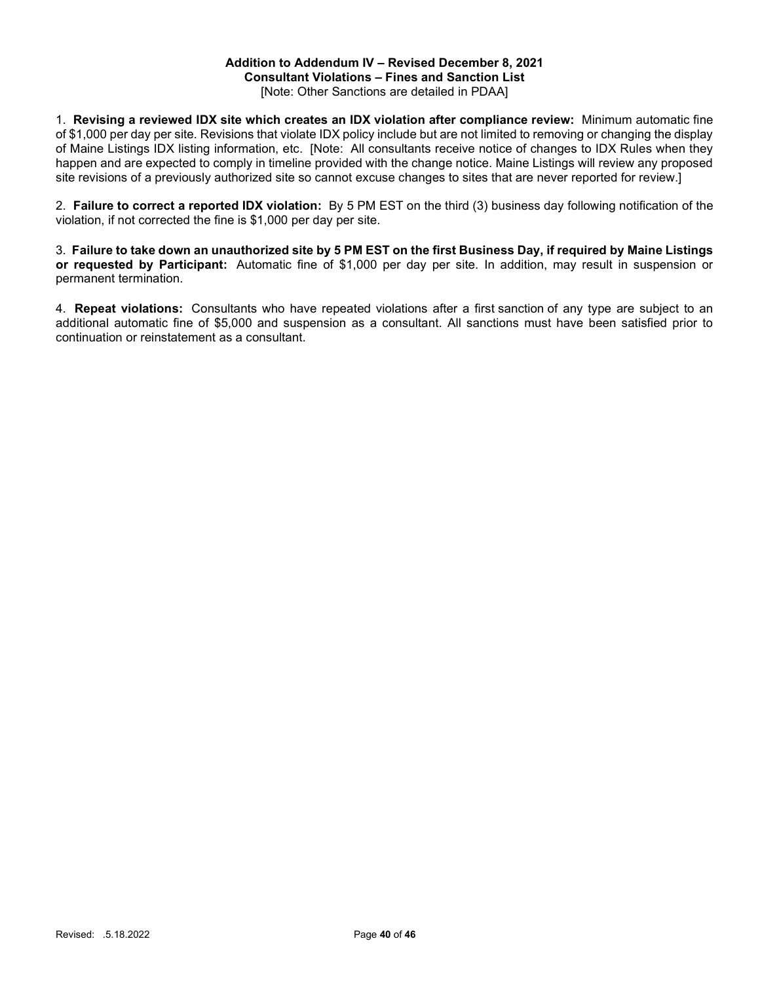#### Addition to Addendum IV – Revised December 8, 2021 Consultant Violations – Fines and Sanction List

[Note: Other Sanctions are detailed in PDAA]

1. Revising a reviewed IDX site which creates an IDX violation after compliance review: Minimum automatic fine of \$1,000 per day per site. Revisions that violate IDX policy include but are not limited to removing or changing the display of Maine Listings IDX listing information, etc. [Note: All consultants receive notice of changes to IDX Rules when they happen and are expected to comply in timeline provided with the change notice. Maine Listings will review any proposed site revisions of a previously authorized site so cannot excuse changes to sites that are never reported for review.]

2. Failure to correct a reported IDX violation: By 5 PM EST on the third (3) business day following notification of the violation, if not corrected the fine is \$1,000 per day per site.

3. Failure to take down an unauthorized site by 5 PM EST on the first Business Day, if required by Maine Listings or requested by Participant: Automatic fine of \$1,000 per day per site. In addition, may result in suspension or permanent termination.

4. Repeat violations: Consultants who have repeated violations after a first sanction of any type are subject to an additional automatic fine of \$5,000 and suspension as a consultant. All sanctions must have been satisfied prior to continuation or reinstatement as a consultant.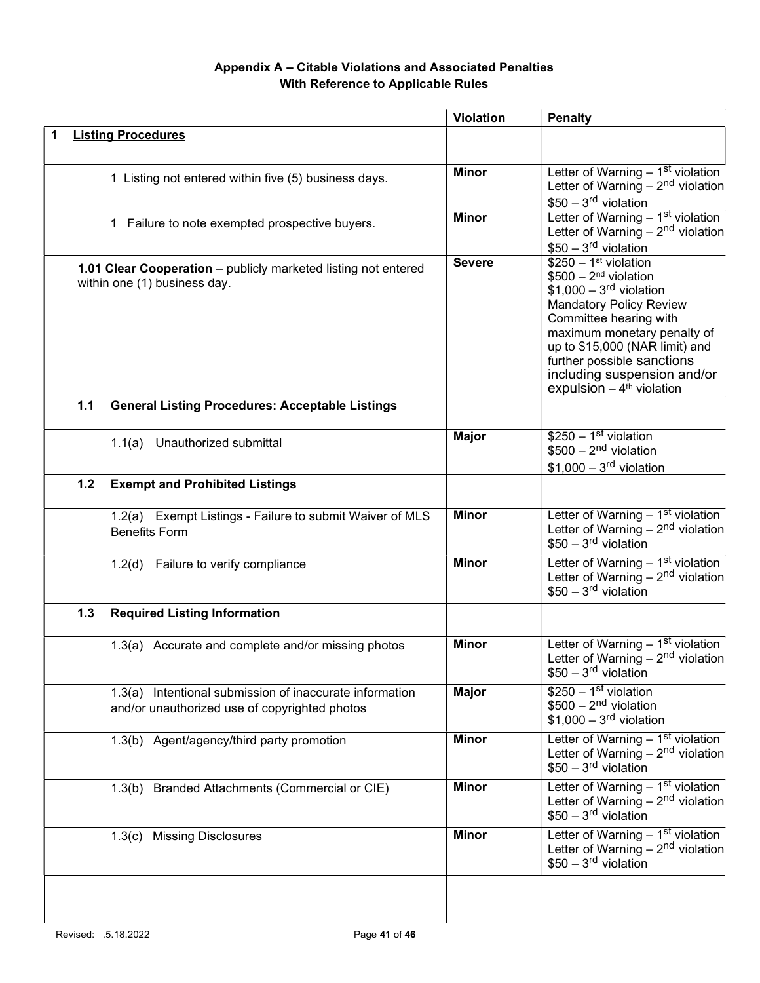# Appendix A – Citable Violations and Associated Penalties With Reference to Applicable Rules

|       |                                                                                                          | <b>Violation</b> | <b>Penalty</b>                                                                                                                                                                                                                                                                                                   |
|-------|----------------------------------------------------------------------------------------------------------|------------------|------------------------------------------------------------------------------------------------------------------------------------------------------------------------------------------------------------------------------------------------------------------------------------------------------------------|
|       | <b>Listing Procedures</b>                                                                                |                  |                                                                                                                                                                                                                                                                                                                  |
|       | 1 Listing not entered within five (5) business days.                                                     | <b>Minor</b>     | Letter of Warning $-1st$ violation<br>Letter of Warning $-2nd$ violation<br>$$50 - 3rd$ violation                                                                                                                                                                                                                |
|       | 1 Failure to note exempted prospective buyers.                                                           | <b>Minor</b>     | Letter of Warning - 1st violation<br>Letter of Warning $-2nd$ violation<br>$$50 - 3rd$ violation                                                                                                                                                                                                                 |
|       | 1.01 Clear Cooperation - publicly marketed listing not entered<br>within one (1) business day.           | <b>Severe</b>    | $$250 - 1st$ violation<br>$$500 - 2nd$ violation<br>$$1,000 - 3rd$ violation<br><b>Mandatory Policy Review</b><br>Committee hearing with<br>maximum monetary penalty of<br>up to \$15,000 (NAR limit) and<br>further possible sanctions<br>including suspension and/or<br>expulsion $-4$ <sup>th</sup> violation |
| 1.1   | <b>General Listing Procedures: Acceptable Listings</b>                                                   |                  |                                                                                                                                                                                                                                                                                                                  |
|       | 1.1(a) Unauthorized submittal                                                                            | <b>Major</b>     | $$250 - 1st$ violation<br>$$500 - 2nd$ violation<br>$$1,000-3rd$ violation                                                                                                                                                                                                                                       |
| $1.2$ | <b>Exempt and Prohibited Listings</b>                                                                    |                  |                                                                                                                                                                                                                                                                                                                  |
|       | 1.2(a) Exempt Listings - Failure to submit Waiver of MLS<br><b>Benefits Form</b>                         | <b>Minor</b>     | Letter of Warning - 1st violation<br>Letter of Warning $-2nd$ violation<br>$$50 - 3rd$ violation                                                                                                                                                                                                                 |
|       | 1.2(d) Failure to verify compliance                                                                      | <b>Minor</b>     | Letter of Warning – 1 <sup>st</sup> violation<br>Letter of Warning – $2nd$ violation<br>$$50 - 3rd$ violation                                                                                                                                                                                                    |
| 1.3   | <b>Required Listing Information</b>                                                                      |                  |                                                                                                                                                                                                                                                                                                                  |
|       | 1.3(a) Accurate and complete and/or missing photos                                                       | <b>Minor</b>     | Letter of Warning $-1st$ violation<br>Letter of Warning $-2nd$ violation<br>$$50 - 3rd$ violation                                                                                                                                                                                                                |
|       | 1.3(a) Intentional submission of inaccurate information<br>and/or unauthorized use of copyrighted photos | <b>Major</b>     | $$250 - 1st$ violation<br>$$500 - 2nd$ violation<br>$$1,000-3rd$ violation                                                                                                                                                                                                                                       |
|       | 1.3(b) Agent/agency/third party promotion                                                                | <b>Minor</b>     | Letter of Warning - 1 <sup>st</sup> violation<br>Letter of Warning $-2nd$ violation<br>$$50 - 3rd$ violation                                                                                                                                                                                                     |
|       | 1.3(b) Branded Attachments (Commercial or CIE)                                                           | <b>Minor</b>     | Letter of Warning - 1st violation<br>Letter of Warning $-2nd$ violation<br>$$50 - 3rd$ violation                                                                                                                                                                                                                 |
|       | 1.3(c) Missing Disclosures                                                                               | <b>Minor</b>     | Letter of Warning $-1st$ violation<br>Letter of Warning $-2nd$ violation<br>$$50 - 3rd$ violation                                                                                                                                                                                                                |
|       |                                                                                                          |                  |                                                                                                                                                                                                                                                                                                                  |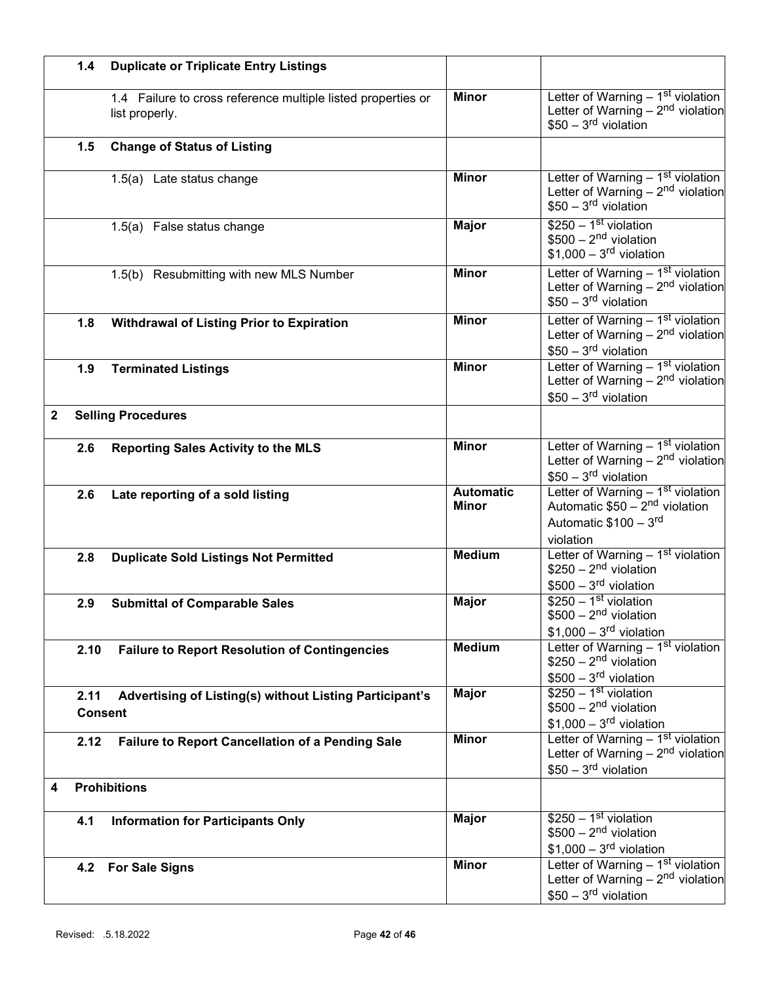|              | 1.4                    | <b>Duplicate or Triplicate Entry Listings</b>                                  |                                  |                                                                                                                                   |
|--------------|------------------------|--------------------------------------------------------------------------------|----------------------------------|-----------------------------------------------------------------------------------------------------------------------------------|
|              |                        | 1.4 Failure to cross reference multiple listed properties or<br>list properly. | <b>Minor</b>                     | Letter of Warning $-1st$ violation<br>Letter of Warning $-2nd$ violation<br>$$50 - 3rd$ violation                                 |
|              | 1.5                    | <b>Change of Status of Listing</b>                                             |                                  |                                                                                                                                   |
|              |                        | 1.5(a) Late status change                                                      | <b>Minor</b>                     | Letter of Warning $-1st$ violation<br>Letter of Warning $-2nd$ violation<br>$$50 - 3rd$ violation                                 |
|              |                        | 1.5(a) False status change                                                     | <b>Major</b>                     | $$250 - 1st$ violation<br>$$500 - 2nd$ violation<br>$$1,000-3rd$ violation                                                        |
|              |                        | 1.5(b) Resubmitting with new MLS Number                                        | <b>Minor</b>                     | Letter of Warning $-1st$ violation<br>Letter of Warning $-2nd$ violation<br>$$50 - 3rd$ violation                                 |
|              | 1.8                    | <b>Withdrawal of Listing Prior to Expiration</b>                               | <b>Minor</b>                     | Letter of Warning - 1 <sup>st</sup> violation<br>Letter of Warning $-2nd$ violation<br>$$50 - 3rd$ violation                      |
|              | 1.9                    | <b>Terminated Listings</b>                                                     | <b>Minor</b>                     | Letter of Warning - 1st violation<br>Letter of Warning $-2nd$ violation<br>$$50 - 3rd$ violation                                  |
| $\mathbf{2}$ |                        | <b>Selling Procedures</b>                                                      |                                  |                                                                                                                                   |
|              | 2.6                    | <b>Reporting Sales Activity to the MLS</b>                                     | <b>Minor</b>                     | Letter of Warning $-1st$ violation<br>Letter of Warning - $2nd$ violation<br>$$50 - 3rd$ violation                                |
|              | 2.6                    | Late reporting of a sold listing                                               | <b>Automatic</b><br><b>Minor</b> | Letter of Warning - 1 <sup>st</sup> violation<br>Automatic \$50 - 2 <sup>nd</sup> violation<br>Automatic \$100 - 3rd<br>violation |
|              | 2.8                    | <b>Duplicate Sold Listings Not Permitted</b>                                   | <b>Medium</b>                    | Letter of Warning $-1st$ violation<br>$$250 - 2nd$ violation<br>$$500 - 3rd$ violation                                            |
|              | 2.9                    | <b>Submittal of Comparable Sales</b>                                           | <b>Major</b>                     | $$250 - 1st$ violation<br>$$500 - 2nd$ violation<br>$$1,000 - 3rd$ violation                                                      |
|              | 2.10                   | <b>Failure to Report Resolution of Contingencies</b>                           | <b>Medium</b>                    | Letter of Warning - 1st violation<br>$$250 - 2nd$ violation<br>$$500 - 3rd$ violation                                             |
|              | 2.11<br><b>Consent</b> | Advertising of Listing(s) without Listing Participant's                        | <b>Major</b>                     | $$250 - 1st$ violation<br>$$500 - 2nd$ violation<br>$$1,000-3rd$ violation                                                        |
|              | 2.12                   | <b>Failure to Report Cancellation of a Pending Sale</b>                        | <b>Minor</b>                     | Letter of Warning - 1st violation<br>Letter of Warning $-2nd$ violation<br>$$50 - 3rd$ violation                                  |
| 4            |                        | <b>Prohibitions</b>                                                            |                                  |                                                                                                                                   |
|              | 4.1                    | <b>Information for Participants Only</b>                                       | <b>Major</b>                     | $$250 - 1st$ violation<br>$$500 - 2nd$ violation<br>$$1,000 - 3rd$ violation                                                      |
|              | 4.2                    | <b>For Sale Signs</b>                                                          | <b>Minor</b>                     | Letter of Warning - 1 <sup>st</sup> violation<br>Letter of Warning $-2nd$ violation<br>$$50 - 3rd$ violation                      |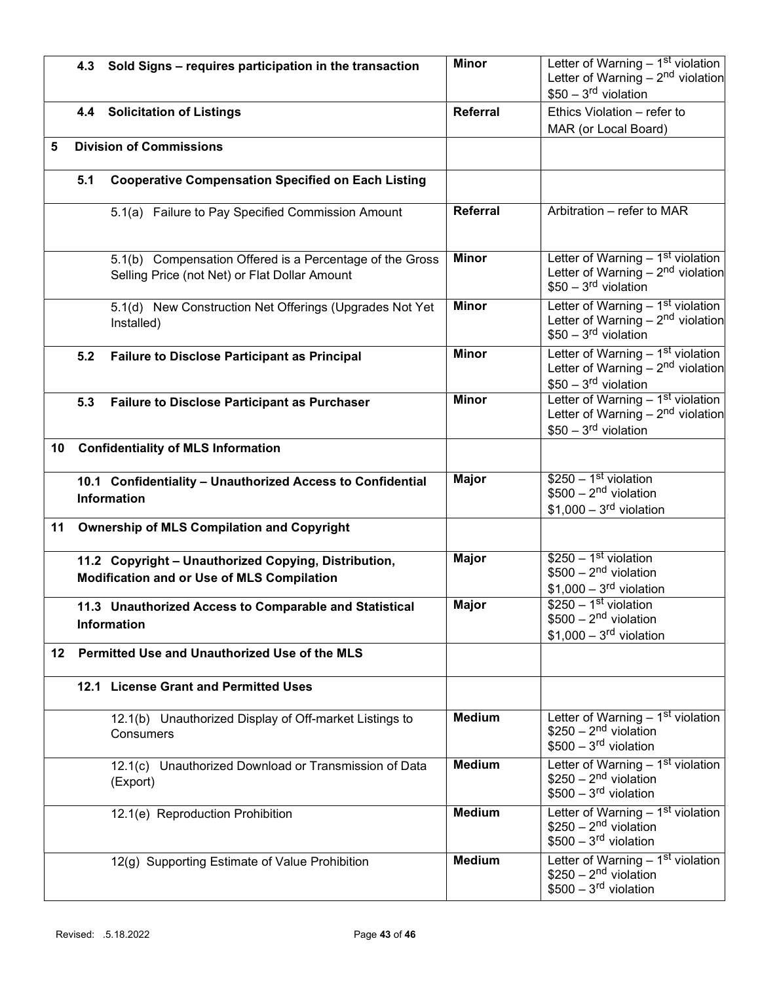|     | 4.3 | Sold Signs - requires participation in the transaction                                                    | <b>Minor</b>    | Letter of Warning - 1st violation<br>Letter of Warning $-2nd$ violation                           |
|-----|-----|-----------------------------------------------------------------------------------------------------------|-----------------|---------------------------------------------------------------------------------------------------|
|     |     |                                                                                                           |                 | $$50 - 3rd$ violation                                                                             |
|     |     | 4.4 Solicitation of Listings                                                                              | <b>Referral</b> | Ethics Violation - refer to                                                                       |
|     |     |                                                                                                           |                 | MAR (or Local Board)                                                                              |
| 5   |     | <b>Division of Commissions</b>                                                                            |                 |                                                                                                   |
|     | 5.1 | <b>Cooperative Compensation Specified on Each Listing</b>                                                 |                 |                                                                                                   |
|     |     | 5.1(a) Failure to Pay Specified Commission Amount                                                         | Referral        | Arbitration - refer to MAR                                                                        |
|     |     | 5.1(b) Compensation Offered is a Percentage of the Gross<br>Selling Price (not Net) or Flat Dollar Amount | <b>Minor</b>    | Letter of Warning $-1st$ violation<br>Letter of Warning $-2nd$ violation<br>$$50 - 3rd$ violation |
|     |     | 5.1(d) New Construction Net Offerings (Upgrades Not Yet<br>Installed)                                     | <b>Minor</b>    | Letter of Warning $-1st$ violation<br>Letter of Warning $-2nd$ violation<br>$$50 - 3rd$ violation |
|     | 5.2 | <b>Failure to Disclose Participant as Principal</b>                                                       | <b>Minor</b>    | Letter of Warning - 1st violation<br>Letter of Warning $-2nd$ violation<br>$$50 - 3rd$ violation  |
|     | 5.3 | <b>Failure to Disclose Participant as Purchaser</b>                                                       | <b>Minor</b>    | Letter of Warning - 1st violation<br>Letter of Warning $-2nd$ violation<br>$$50 - 3rd$ violation  |
| 10  |     | <b>Confidentiality of MLS Information</b>                                                                 |                 |                                                                                                   |
|     |     | 10.1 Confidentiality - Unauthorized Access to Confidential<br>Information                                 | <b>Major</b>    | $$250 - 1st$ violation<br>$$500 - 2nd$ violation<br>$$1,000-3rd$ violation                        |
| 11  |     | <b>Ownership of MLS Compilation and Copyright</b>                                                         |                 |                                                                                                   |
|     |     | 11.2 Copyright - Unauthorized Copying, Distribution,<br>Modification and or Use of MLS Compilation        | <b>Major</b>    | $$250 - 1st$ violation<br>$$500 - 2nd$ violation<br>$$1,000 - 3rd$ violation                      |
|     |     | 11.3 Unauthorized Access to Comparable and Statistical<br><b>Information</b>                              | <b>Major</b>    | $$250 - 1st$ violation<br>$$500 - 2nd$ violation<br>$$1,000-3rd$ violation                        |
| 12. |     | Permitted Use and Unauthorized Use of the MLS                                                             |                 |                                                                                                   |
|     |     | 12.1 License Grant and Permitted Uses                                                                     |                 |                                                                                                   |
|     |     | 12.1(b) Unauthorized Display of Off-market Listings to<br>Consumers                                       | <b>Medium</b>   | Letter of Warning $-1st$ violation<br>$$250 - 2nd$ violation<br>$$500 - 3rd$ violation            |
|     |     | 12.1(c) Unauthorized Download or Transmission of Data<br>(Export)                                         | <b>Medium</b>   | Letter of Warning $-1st$ violation<br>$$250 - 2nd$ violation<br>$$500 - 3rd$ violation            |
|     |     | 12.1(e) Reproduction Prohibition                                                                          | <b>Medium</b>   | Letter of Warning - 1 <sup>st</sup> violation<br>$$250 - 2nd$ violation<br>$$500 - 3rd$ violation |
|     |     | 12(g) Supporting Estimate of Value Prohibition                                                            | <b>Medium</b>   | Letter of Warning $-1st$ violation<br>$$250 - 2nd$ violation<br>$$500 - 3rd$ violation            |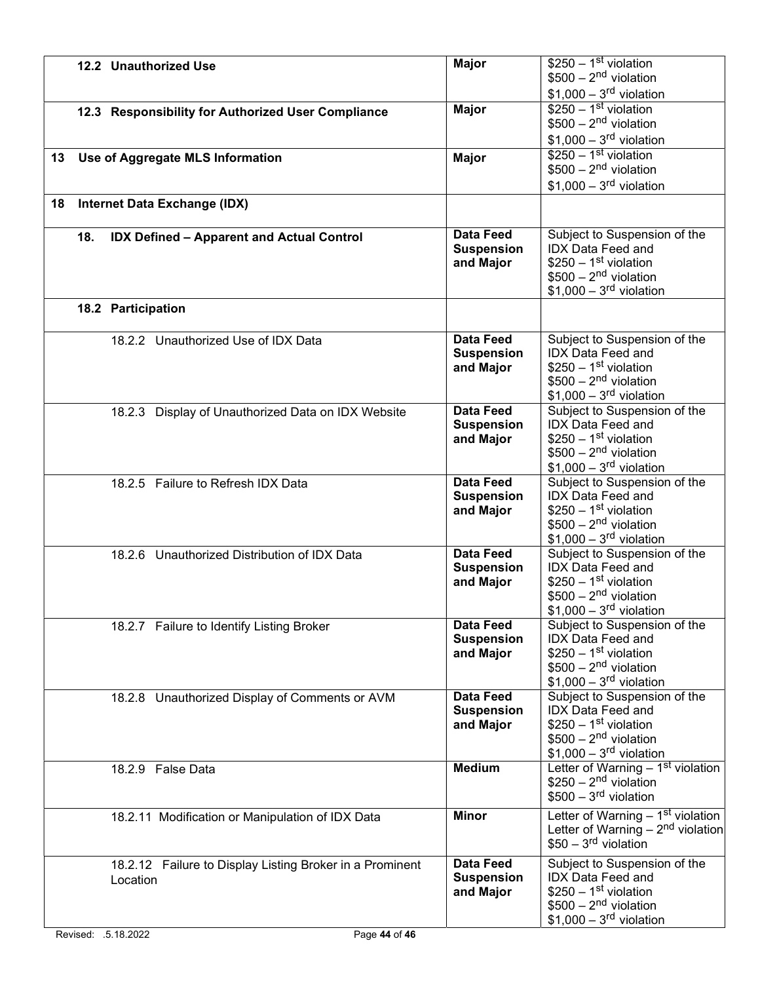|    |     | 12.2 Unauthorized Use                                                | <b>Major</b>                                       | $$250 - 1st$ violation<br>$$500 - 2nd$ violation<br>$$1,000 - 3rd$ violation                                                             |
|----|-----|----------------------------------------------------------------------|----------------------------------------------------|------------------------------------------------------------------------------------------------------------------------------------------|
|    |     | 12.3 Responsibility for Authorized User Compliance                   | <b>Major</b>                                       | $$250 - 1st$ violation<br>$$500 - 2nd$ violation<br>$$1,000 - 3rd$ violation                                                             |
| 13 |     | Use of Aggregate MLS Information                                     | <b>Major</b>                                       | $$250 - 1st$ violation<br>$$500 - 2nd$ violation<br>$$1,000 - 3rd$ violation                                                             |
| 18 |     | Internet Data Exchange (IDX)                                         |                                                    |                                                                                                                                          |
|    | 18. | <b>IDX Defined - Apparent and Actual Control</b>                     | <b>Data Feed</b><br><b>Suspension</b><br>and Major | Subject to Suspension of the<br><b>IDX Data Feed and</b><br>$$250 - 1st$ violation<br>$$500 - 2nd$ violation<br>$$1,000-3rd$ violation   |
|    |     | 18.2 Participation                                                   |                                                    |                                                                                                                                          |
|    |     | 18.2.2 Unauthorized Use of IDX Data                                  | <b>Data Feed</b><br><b>Suspension</b><br>and Major | Subject to Suspension of the<br><b>IDX Data Feed and</b><br>$$250 - 1st$ violation<br>$$500 - 2nd$ violation<br>$$1,000 - 3rd$ violation |
|    |     | 18.2.3 Display of Unauthorized Data on IDX Website                   | <b>Data Feed</b><br><b>Suspension</b><br>and Major | Subject to Suspension of the<br><b>IDX Data Feed and</b><br>$$250 - 1st$ violation<br>$$500 - 2nd$ violation<br>$$1,000 - 3rd$ violation |
|    |     | 18.2.5 Failure to Refresh IDX Data                                   | <b>Data Feed</b><br><b>Suspension</b><br>and Major | Subject to Suspension of the<br><b>IDX Data Feed and</b><br>$$250 - 1st$ violation<br>$$500 - 2nd$ violation<br>$$1,000-3rd$ violation   |
|    |     | 18.2.6 Unauthorized Distribution of IDX Data                         | <b>Data Feed</b><br><b>Suspension</b><br>and Major | Subject to Suspension of the<br><b>IDX Data Feed and</b><br>$$250 - 1st$ violation<br>$$500 - 2nd$ violation<br>$$1,000-3rd$ violation   |
|    |     | 18.2.7 Failure to Identify Listing Broker                            | <b>Data Feed</b><br><b>Suspension</b><br>and Major | Subject to Suspension of the<br><b>IDX Data Feed and</b><br>$$250 - 1st$ violation<br>$$500 - 2nd$ violation<br>$$1,000 - 3rd$ violation |
|    |     | 18.2.8 Unauthorized Display of Comments or AVM                       | <b>Data Feed</b><br><b>Suspension</b><br>and Major | Subject to Suspension of the<br>IDX Data Feed and<br>$$250 - 1st$ violation<br>$$500 - 2nd$ violation<br>$$1,000 - 3rd$ violation        |
|    |     | 18.2.9 False Data                                                    | <b>Medium</b>                                      | Letter of Warning $-1st$ violation<br>$$250 - 2nd$ violation<br>$$500 - 3rd$ violation                                                   |
|    |     | 18.2.11 Modification or Manipulation of IDX Data                     | <b>Minor</b>                                       | Letter of Warning $-1st$ violation<br>Letter of Warning $-2nd$ violation<br>$$50 - 3rd$ violation                                        |
|    |     | 18.2.12 Failure to Display Listing Broker in a Prominent<br>Location | <b>Data Feed</b><br><b>Suspension</b><br>and Major | Subject to Suspension of the<br><b>IDX Data Feed and</b><br>$$250 - 1st$ violation<br>$$500 - 2nd$ violation<br>$$1,000-3rd$ violation   |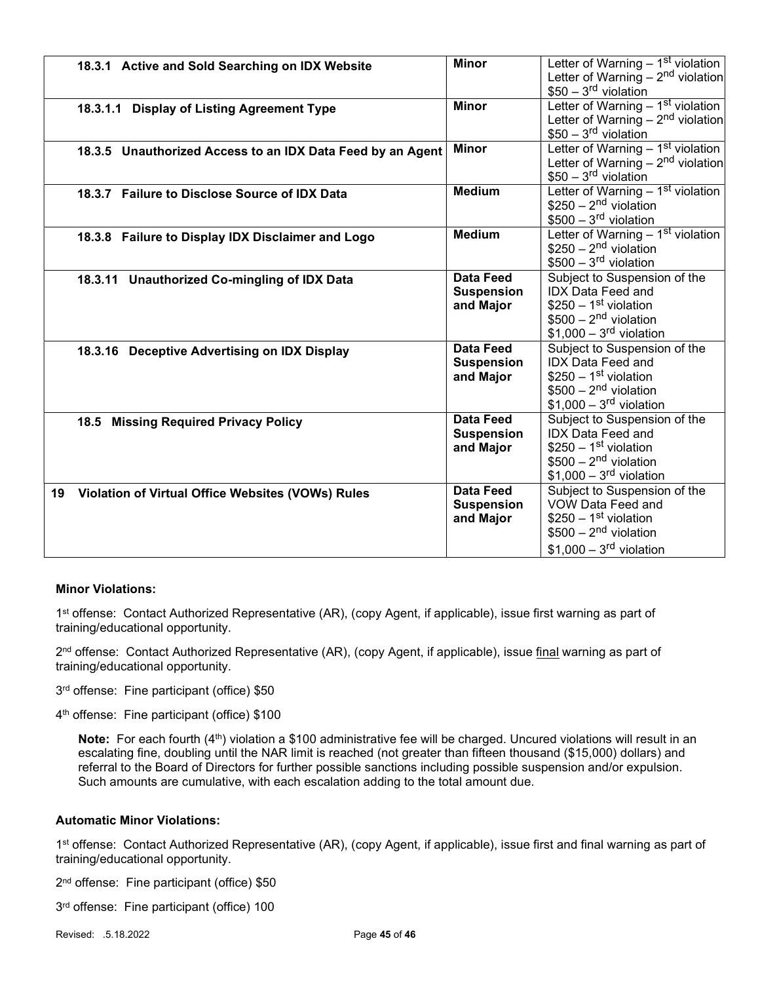| 18.3.1 Active and Sold Searching on IDX Website            | <b>Minor</b>      | Letter of Warning - 1st violation             |
|------------------------------------------------------------|-------------------|-----------------------------------------------|
|                                                            |                   | Letter of Warning $-2nd$ violation            |
|                                                            |                   | $$50 - 3rd$ violation                         |
| 18.3.1.1 Display of Listing Agreement Type                 | <b>Minor</b>      | Letter of Warning - 1 <sup>st</sup> violation |
|                                                            |                   | Letter of Warning $-2nd$ violation            |
|                                                            |                   | $$50 - 3rd$ violation                         |
| 18.3.5 Unauthorized Access to an IDX Data Feed by an Agent | <b>Minor</b>      | Letter of Warning $-1st$ violation            |
|                                                            |                   | Letter of Warning $-2nd$ violation            |
|                                                            |                   | $$50 - 3rd$ violation                         |
| 18.3.7 Failure to Disclose Source of IDX Data              | <b>Medium</b>     | Letter of Warning - 1st violation             |
|                                                            |                   | $$250 - 2nd$ violation                        |
|                                                            |                   | $$500 - 3rd$ violation                        |
| 18.3.8 Failure to Display IDX Disclaimer and Logo          | <b>Medium</b>     | Letter of Warning - 1st violation             |
|                                                            |                   | $$250 - 2nd$ violation                        |
|                                                            |                   | $$500 - 3rd$ violation                        |
|                                                            | <b>Data Feed</b>  | Subject to Suspension of the                  |
| 18.3.11 Unauthorized Co-mingling of IDX Data               | <b>Suspension</b> | <b>IDX Data Feed and</b>                      |
|                                                            | and Major         | $$250 - 1st$ violation                        |
|                                                            |                   | $$500 - 2nd$ violation                        |
|                                                            |                   | $$1,000-3rd$ violation                        |
|                                                            | <b>Data Feed</b>  | Subject to Suspension of the                  |
| 18.3.16 Deceptive Advertising on IDX Display               |                   | <b>IDX</b> Data Feed and                      |
|                                                            | <b>Suspension</b> | $$250 - 1st$ violation                        |
|                                                            | and Major         |                                               |
|                                                            |                   | $$500 - 2nd$ violation                        |
|                                                            |                   | $$1,000-3rd$ violation                        |
| 18.5 Missing Required Privacy Policy                       | <b>Data Feed</b>  | Subject to Suspension of the                  |
|                                                            | <b>Suspension</b> | <b>IDX Data Feed and</b>                      |
|                                                            | and Major         | $$250 - 1st$ violation                        |
|                                                            |                   | $$500 - 2nd$ violation                        |
|                                                            |                   | $$1,000-3rd$ violation                        |
| 19 Violation of Virtual Office Websites (VOWs) Rules       | <b>Data Feed</b>  | Subject to Suspension of the                  |
|                                                            | <b>Suspension</b> | VOW Data Feed and                             |
|                                                            | and Major         | $$250 - 1st$ violation                        |
|                                                            |                   | $$500 - 2nd$ violation                        |
|                                                            |                   | $$1,000 - 3rd$ violation                      |
|                                                            |                   |                                               |

## Minor Violations:

1<sup>st</sup> offense: Contact Authorized Representative (AR), (copy Agent, if applicable), issue first warning as part of training/educational opportunity.

2<sup>nd</sup> offense: Contact Authorized Representative (AR), (copy Agent, if applicable), issue <u>final</u> warning as part of training/educational opportunity.

3 rd offense: Fine participant (office) \$50

4 th offense: Fine participant (office) \$100

Note: For each fourth  $(4<sup>th</sup>)$  violation a \$100 administrative fee will be charged. Uncured violations will result in an escalating fine, doubling until the NAR limit is reached (not greater than fifteen thousand (\$15,000) dollars) and referral to the Board of Directors for further possible sanctions including possible suspension and/or expulsion. Such amounts are cumulative, with each escalation adding to the total amount due.

## Automatic Minor Violations:

1<sup>st</sup> offense: Contact Authorized Representative (AR), (copy Agent, if applicable), issue first and final warning as part of training/educational opportunity.

2 nd offense: Fine participant (office) \$50

3 rd offense: Fine participant (office) 100